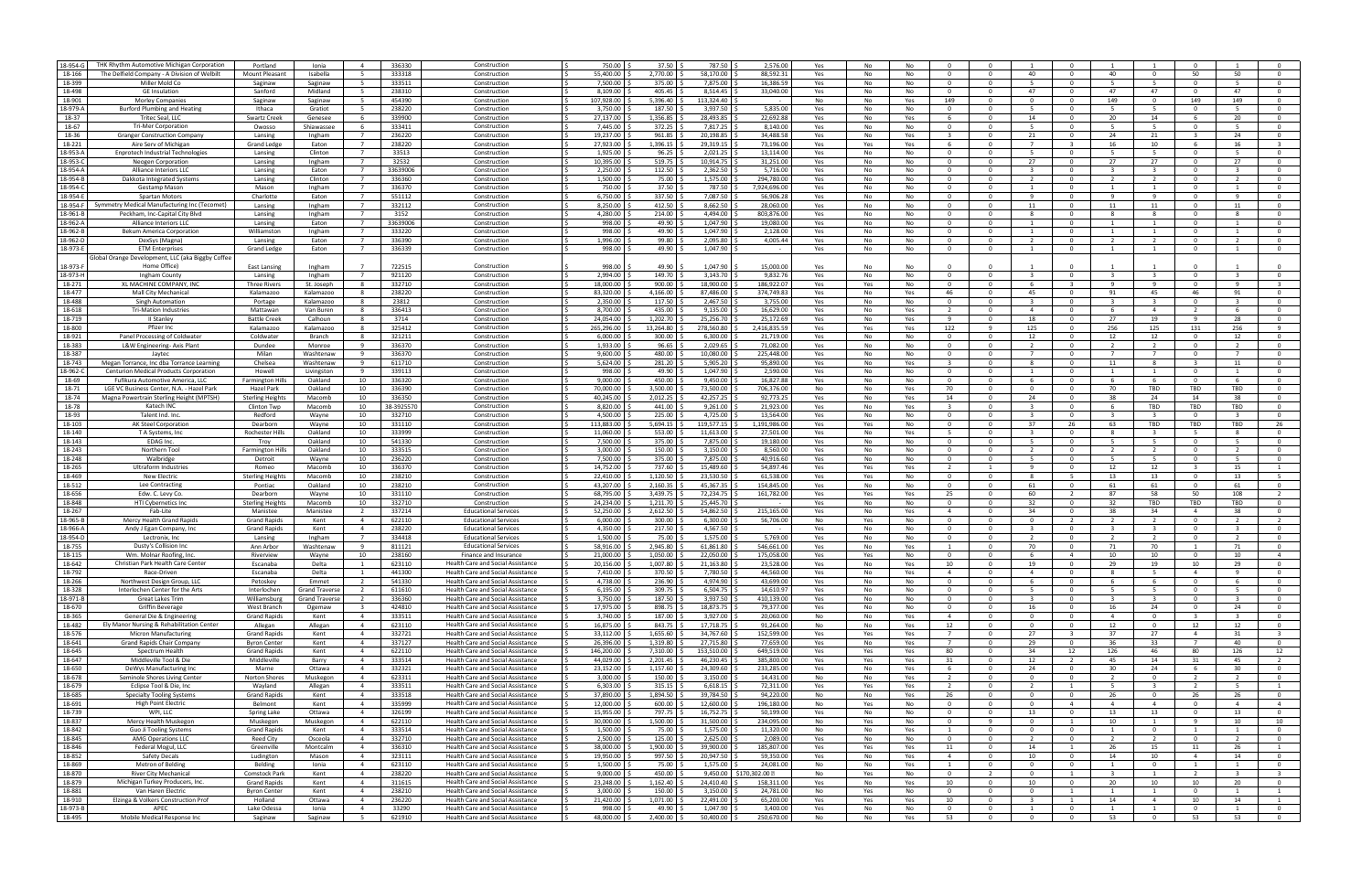| 18-954-G           | THK Rhythm Automotive Michigan Corporation        | Portland                | Ionia                 | $\overline{4}$          | 336330          |                                                                        | 750.00                 | 37.50             | 787.50                | 2,576.00               |           | No       | No        |                  | $\Omega$                                  |                             |                          |                  | $\Omega$                |                          |                                |
|--------------------|---------------------------------------------------|-------------------------|-----------------------|-------------------------|-----------------|------------------------------------------------------------------------|------------------------|-------------------|-----------------------|------------------------|-----------|----------|-----------|------------------|-------------------------------------------|-----------------------------|--------------------------|------------------|-------------------------|--------------------------|--------------------------------|
|                    |                                                   |                         |                       |                         |                 | Construction                                                           |                        |                   |                       |                        | Yes       |          |           |                  |                                           |                             |                          |                  |                         |                          |                                |
| 18-166             | The Delfield Company - A Division of Welbilt      | Mount Pleasant          | Isabella              |                         | 333318          | Construction                                                           | 55,400.00              | 2,770.00          | 58,170.00             | 88,592.3               | Yes       | No       | No        | $\Omega$         | 40<br>$\Omega$                            |                             | 40                       |                  | 50                      | 50                       |                                |
| 18-399             | Miller Mold Co                                    | Saginaw                 | Saginaw               | - 5                     | 333511          | Construction                                                           | 7,500.00               | 375.00            | 7,875.00              | 16,386.59              | Yes       | No       | No        | $\Omega$         | $\Omega$<br>-5                            | $\mathbf{0}$                | -5                       | -5.              | $\mathbf{O}$            | -5                       |                                |
| 18-498             | <b>GE</b> Insulation                              | Sanford                 | Midland               |                         | 238310          | Construction                                                           | 3,109.00               | 405.45            | 8,514.45              | 33,040.00              | Yes       | No       | No        | $\Omega$         | $\Omega$<br>47                            | $\Omega$                    | 47                       | 47               | $\Omega$                | 47                       |                                |
|                    |                                                   |                         |                       |                         |                 |                                                                        |                        |                   |                       |                        |           |          |           |                  |                                           |                             |                          |                  |                         |                          |                                |
| 18-901             | <b>Morley Companies</b>                           | Saginaw                 | Saginaw               | 5                       | 454390          | Construction                                                           | 107.928.00             | 5,396.40          | 113.324.40            | $\sim$                 | No        | No       | Yes       | 149              | $\overline{0}$<br>$\Omega$                | $\mathbf{0}$                | 149                      | $\overline{0}$   | 149                     | 149                      | $\Omega$                       |
| 18-979-A           | <b>Burford Plumbing and Heating</b>               | Ithaca                  | Gratiot               | -5                      | 238220          | Construction                                                           | 3,750.00               | 187.50            | 3,937.50              | 5,835.00               | Yes       | No       | No        | - 0              | $\Omega$                                  | $\Omega$                    |                          | -5.              | $\Omega$                | -5                       |                                |
| 18-37              | Tritec Seal, LLC                                  | Swartz Creek            | Genesee               |                         | 339900          | Construction                                                           | 27,137.00              | 1,356.85          | 28,493.8              | 22,692.8               | Yes       | No       | Yes       |                  | 14<br>$\Omega$                            | $\Omega$                    | 20                       | 14               | -6                      | 20                       | $^{\circ}$                     |
| 18-67              | <b>Tri-Mer Corporation</b>                        |                         |                       | - 6                     | 333411          |                                                                        | 7,445.00               | 372.25            | 7,817.25              | 8,140.00               |           |          |           | $\Omega$         | $\mathbf 0$<br>- 5                        | $\Omega$                    | - 5                      | -5.              |                         | -5                       | $\Omega$                       |
|                    |                                                   | Owosso                  | Shiawassee            |                         |                 | Construction                                                           |                        |                   |                       |                        | Yes       | No       | No        |                  |                                           |                             |                          |                  | $\mathbf{O}$            |                          |                                |
| 18-36              | <b>Granger Construction Company</b>               | Lansing                 | Ingham                |                         | 236220          | Construction                                                           | 19.237.00              | 961.85            | 20,198.85             | 34.488.58              | Yes       | No       | Yes       |                  | $\Omega$<br>21                            | $\Omega$                    | 24                       | 21               |                         | 24                       |                                |
| 18-221             | Aire Serv of Michigar                             | <b>Grand Ledge</b>      | Eaton                 | $\overline{7}$          | 238220          | Construction                                                           | 27,923.00              | 1,396.15          | 29,319.15             | 73,196.00              | Yes       | Yes      | Yes       | - 6              | $\overline{0}$                            | $\mathbf{R}$                | 16                       | 10               | -6                      | 16                       | $\mathbf{3}$                   |
| 18-953-A           | <b>Enprotech Industrial Technologies</b>          | Lansing                 | Clinton               | $\overline{7}$          | 33513           | Construction                                                           | 1,925.00               | 96.25             | 2,021.25              | 13,114.00              | Yes       | No       | No        | $\Omega$         | $\Omega$<br>-5                            | $\mathbf{0}$                | -5                       | -5.              | $\Omega$                | -5                       | $\Omega$                       |
|                    |                                                   |                         |                       |                         |                 |                                                                        |                        |                   |                       |                        |           |          |           |                  |                                           |                             |                          |                  |                         |                          |                                |
| 18-953-0           | Neogen Corporation                                | Lansing                 | Ingham                |                         | 32532           | Construction                                                           | 10,395.00              | 519.75            | 10,914.75             | 31,251.00              | Yes       | No       | No        | $\Omega$         | 27<br>$\Omega$                            | $\Omega$                    | 27                       | 27               | $\mathbf{0}$            | 27                       |                                |
| 18-954-A           | Alliance Interiors LLC                            | Lansing                 | Eaton                 | $\overline{7}$          | 33639006        | Construction                                                           | 2,250.00               | 112.50            | 2,362.50              | 5,716.00               | Yes       | No       | No        | $\Omega$         | $\Omega$<br>- 3                           | $\mathbf{0}$                | $\mathbf{3}$             | $\mathbf{3}$     | $\mathbf 0$             | $\overline{3}$           | $\Omega$                       |
|                    | Dakkota Integrated Systems                        |                         |                       |                         | 336360          | Construction                                                           |                        |                   |                       |                        |           |          |           | $\Omega$         | $\Omega$                                  |                             |                          |                  | $\Omega$                |                          | $\Omega$                       |
| 18-954-B           |                                                   | Lansing                 | Clinton               |                         |                 |                                                                        | 1,500.00               | 75.00             | 1,575.00              | 294.780.00             | Yes       | No       | No        |                  |                                           |                             |                          |                  |                         |                          |                                |
| 18-954-C           | Gestamp Mason                                     | Mason                   | Ingham                | $\overline{7}$          | 336370          | Construction                                                           | 750.00                 | 37.50             | 787.50                | 7.924.696.00           | Yes       | No       | No        | $\Omega$         | $\Omega$<br>$\overline{1}$                | $\Omega$                    | $\overline{1}$           | $\overline{1}$   | $\Omega$                | $\overline{1}$           | $\overline{0}$                 |
| 18-954-E           | Spartan Motors                                    | Charlotte               | Eaton                 | $\overline{7}$          | 551112          | Construction                                                           | 6,750.00               | 337.50            | 7.087.50              | 56,906.28              | Yes       | No       | No        | $\Omega$         | $\Omega$                                  | $\Omega$                    | - q                      | $\mathsf{q}$     | $\Omega$                | $\mathbf{q}$             |                                |
|                    |                                                   |                         |                       |                         |                 |                                                                        |                        |                   |                       |                        |           |          |           |                  |                                           |                             |                          |                  |                         |                          |                                |
| 18-954-F           | Symmetry Medical Manufacturing Inc (Tecomet)      | Lansing                 | Ingham                |                         | 332112          | Construction                                                           | 8,250.00               | 412.50            | 8,662.50              | 28,060.0               | Yes       | No       | No        | - 0              | 11<br>$\Omega$                            | $\Omega$                    | 11                       | 11               | $\mathbf{0}$            | 11                       | $^{\circ}$                     |
| 18-961-B           | Peckham, Inc-Capital City Blyd                    | Lansing                 | Ingham                | $\overline{7}$          | 3152            | Construction                                                           | 4,280.00               | 214.00            | 4,494.00              | 803,876.00             | Yes       | No       | No        | - 0              | $\Omega$<br>-8                            | $\mathbf{0}$                | -8                       | -8               | $\mathbf 0$             | -8                       | $\Omega$                       |
| 18-962-A           | <b>Alliance Interiors LLC</b>                     | Lansing                 | Eaton                 |                         | 33639006        | Construction                                                           | 998.00                 | 49.90             | 1.047.90              | 19.080.00              | Yes       | No       | No        |                  |                                           |                             |                          |                  | $\Omega$                |                          |                                |
|                    |                                                   |                         |                       |                         |                 |                                                                        |                        |                   |                       |                        |           |          |           |                  |                                           |                             |                          |                  |                         |                          |                                |
| 18-962-E           | Bekum America Corporation                         | Williamston             | Ingham                | $\overline{7}$          | 333220          | Construction                                                           | 998.00                 | 49.90             | 1.047.90              | 2.128.00               | Yes       | No       | No        | $\Omega$         | $\Omega$<br>$\overline{1}$                | $\Omega$                    | $\overline{1}$           | 1                | $\Omega$                | $\overline{1}$           | $\Omega$                       |
| 18-962-D           | DexSys (Magna)                                    | Lansing                 | Eaton                 | - 7                     | 336390          | Construction                                                           | 1,996.00               | 99.80             | 2,095.80              | 4,005.44               | Yes       | No       | No        | $\Omega$         | $\Omega$<br>$\overline{2}$                | $\Omega$                    | $\overline{\phantom{a}}$ | $\overline{2}$   | $\Omega$                | $\overline{2}$           | $\Omega$                       |
| 18-973-E           | <b>ETM Enterprises</b>                            |                         | Eaton                 |                         | 336339          |                                                                        | 998.00                 | 49.90             | 1,047.90              |                        | Yes       | No       | No        | $\Omega$         | $\mathbf{0}$                              | $\Omega$                    |                          |                  | $^{\circ}$              |                          |                                |
|                    |                                                   | Grand Ledge             |                       |                         |                 | Construction                                                           |                        |                   |                       |                        |           |          |           |                  |                                           |                             |                          |                  |                         |                          |                                |
|                    | Global Orange Development, LLC (aka Biggby Coffee |                         |                       |                         |                 |                                                                        |                        |                   |                       |                        |           |          |           |                  |                                           |                             |                          |                  |                         |                          |                                |
| 18-973-R           | Home Office)                                      | East Lansing            | Ingham                |                         | 722515          | Construction                                                           | 998.00                 | 49.90             | 1.047.90              | 15,000.00              | Yes       | No.      | No        |                  | $\Omega$                                  |                             |                          |                  | $\Omega$                |                          |                                |
|                    | Ingham County                                     |                         |                       | $\overline{7}$          |                 |                                                                        |                        | 149.70            |                       | 9.832.76               |           |          | <b>No</b> | $\Omega$         | $\Omega$<br>$\overline{\mathbf{3}}$       | $\Omega$                    | $\mathbf{R}$             | $\mathbf{R}$     | $\Omega$                | $\mathbf{R}$             | $\Omega$                       |
| 18-973-H           |                                                   | Lansing                 | Ingham                |                         | 921120          | Construction                                                           | 2,994.00               |                   | 3,143.70              |                        | Yes       | No       |           |                  |                                           |                             |                          |                  |                         |                          |                                |
| 18-271             | XL MACHINE COMPANY, INC                           | <b>Three Rivers</b>     | St. Joseph            | -8                      | 332710          | Construction                                                           | 18,000.00              | 900.00            | 18,900.00             | 186,922.07             | Yes       | Yes      | No        | - 0              | $\Omega$                                  |                             | <b>Q</b>                 | $\alpha$         | $\Omega$                | q                        |                                |
| 18-477             | Mall City Mechanica                               | Kalamazoo               | Kalamazoo             |                         | 238220          | Construction                                                           | 83,320.00              | 4,166.00          | 87,486.00             | 374,749.83             | Yes       | No       | Yes       | 46               | $\mathbf{0}$<br>45                        | $\Omega$                    | 91                       | 45               | 46                      | 91                       | $^{\circ}$                     |
|                    |                                                   |                         |                       |                         |                 |                                                                        |                        |                   |                       |                        |           |          |           |                  |                                           |                             |                          |                  |                         |                          |                                |
| 18-488             | <b>Singh Automation</b>                           | Portage                 | Kalamazoo             | - 8                     | 23812           | Construction                                                           | 2,350.00               | 117.50            | 2,467.50              | 3,755.00               | Yes       | No       | No        | $\Omega$         | $\mathbf 0$<br>- 3                        | $\Omega$                    | $\mathbf{3}$             | $\mathbf{3}$     | $\mathbf 0$             | $\overline{3}$           | $\Omega$                       |
| 18-618             | <b>Tri-Mation Industries</b>                      | Mattawan                | Van Buren             | -8                      | 336413          | Construction                                                           | 8.700.00               | 435.00            | 9,135.00              | 16,629.00              | Yes       | No       | Yes       |                  | $\Omega$<br>$\overline{4}$                | . റ                         | -6                       | $\overline{4}$   |                         | -6                       |                                |
| 18-719             | II Stanley                                        | <b>Battle Creek</b>     | Calhoun               | $\mathbf{R}$            | 3714            | Construction                                                           | 24,054.00              | 1,202.70          | 25,256.70             | 25,172.69              | Yes       | No       | Yes       | $\mathbf{q}$     | $\Omega$<br>18                            | $\Omega$                    | 27                       | 19               | $\overline{9}$          | 28                       | $\overline{0}$                 |
|                    |                                                   |                         |                       |                         |                 |                                                                        |                        |                   |                       |                        |           |          |           |                  |                                           |                             |                          |                  |                         |                          |                                |
| 18-800             | Pfizer Inc                                        | Kalamazoo               | Kalamazoo             | - 8                     | 325412          | Construction                                                           | 265,296.00             | 13,264.80         | 278,560.80            | 2,416,835.59           | Yes       | Yes      | Yes       | 122              | 125<br>-9                                 | $\Omega$                    | 256                      | 125              | 131                     | 256                      | q                              |
| 18-921             | Panel Processing of Coldwate                      | Coldwater               | Branch                |                         | 321211          | Construction                                                           | 6,000.00               | 300.00            | 6,300.00              | 21,719.0               | Yes       | No       | No        | - 0              | $\mathbf{0}$<br>12                        | $\Omega$                    | 12                       | 12               | $^{\circ}$              | 12                       |                                |
| 18-383             | L&W Engineering- Axis Plant                       | Dundee                  | Monroe                | -9                      | 336370          | Construction                                                           | 1,933.00               | 96.65             | 2,029.65              | 71,082.00              |           | No       | No        | $\Omega$         | $\Omega$<br>$\overline{2}$                | $\mathbf{0}$                | $\overline{2}$           | $\overline{2}$   | $\mathbf 0$             |                          | $\Omega$                       |
|                    |                                                   |                         |                       |                         |                 |                                                                        |                        |                   |                       |                        | Yes       |          |           |                  |                                           |                             |                          |                  |                         | 2                        |                                |
| 18-387             | Jaytec                                            | Milan                   | Washtenaw             | - 9                     | 336370          | Construction                                                           | 9.600.00               | 480.00            | 10,080.00             | 225.448.00             | Yes       | No       | No        | $\Omega$         | $\Omega$                                  | . റ                         |                          |                  | $\Omega$                | -7                       | $\Omega$                       |
| 18-743             | Megan Torrance, Inc dba Torrance Learning         | Chelsea                 | Washtenaw             | - 9                     | 611710          | Construction                                                           | 5,624.00               | 281.20            | 5,905.20              | 95,890.00              | Yes       | No       | Yes       | -3               | $\Omega$<br>-8                            | $\Omega$                    | 11                       | -8               | $\overline{\mathbf{3}}$ | 11                       | $\Omega$                       |
|                    |                                                   |                         |                       |                         |                 |                                                                        |                        |                   |                       |                        |           |          |           |                  |                                           |                             |                          |                  |                         |                          |                                |
| 18-962-C           | Centurion Medical Products Corporation            | Howell                  | Livingston            | -9                      | 339113          | Construction                                                           | 998.00                 | 49.90             | 1.047.90              | 2.590.00               | Yes       | No       | No        | $\Omega$         | $\Omega$                                  | $\Omega$                    | -1                       | - 1              | $\Omega$                | -1                       |                                |
| 18-69              | Fufikura Automotive America, LL                   | <b>Farmington Hill</b>  | Oakland               | 10                      | 336320          | Construction                                                           | 9,000.00               | 450.00            | 9,450.00              | 16,827.88              | Yes       | No       | No        | $\Omega$         | $\Omega$                                  | $\Omega$                    |                          |                  | $\mathbf{0}$            |                          | $^{\circ}$                     |
| 18-71              | LGE VC Business Center, N.A. - Hazel Park         | Hazel Park              | Oakland               | 10                      | 336390          | Construction                                                           | 70,000.00              | 3.500.00          | 73,500.00             | 706,376.00             | No        | No       | Yes       | 70               | $\Omega$<br>$\Omega$                      | $\Omega$                    | 70                       | TBD              | TBD                     | TBD                      | $\Omega$                       |
|                    |                                                   |                         |                       |                         |                 |                                                                        |                        |                   |                       |                        |           |          |           |                  |                                           |                             |                          |                  |                         |                          |                                |
| 18-74              | Magna Powertrain Sterling Height (MPTSH)          | <b>Sterling Heights</b> | Macomb                | 10                      | 336350          | Construction                                                           | 40.245.00              | 2,012.25          | 42,257.25             | 92,773.25              | Yes       | No       | Yes       | 14               | $\Omega$<br>24                            | <u>__</u>                   | 38                       | 24               | 14                      | 38                       |                                |
| 18-78              | Katech INC                                        | <b>Clinton Twp</b>      | Macomb                | 10                      | 38-3925570      | Construction                                                           | 8.820.00               | 441.00            | 9,261.00              | 21,923.00              | Yes       | No       | Yes       | -3               | $\Omega$<br>$\overline{\mathbf{3}}$       | $\Omega$                    | - 6                      | TBD              | TBD                     | TBD                      | $\mathbf 0$                    |
|                    |                                                   |                         |                       |                         |                 |                                                                        |                        |                   |                       |                        |           |          |           |                  |                                           |                             |                          |                  |                         |                          |                                |
| 18-93              | Talent Ind. Inc.                                  | Redford                 | Wayne                 | 10                      | 332710          | Construction                                                           | 4,500.00               | 225.00            | 4,725.00              | 13.564.00              | Yes       | No       | No        | - 0              | $\Omega$                                  | $\Omega$                    |                          |                  | $\Omega$                | -3                       | $\Omega$                       |
| 18-103             | <b>AK Steel Corporation</b>                       | Dearborn                | Wayne                 | 10                      | 331110          | Construction                                                           | 113,883.00             | 5,694.15          | 119,577.15            | 1,191,986.0            | Yes       | Yes      | No        | - 0              | $\Omega$<br>37                            | 26                          | 63                       | TBD              | TBD                     | TBD                      | 26                             |
| 18-140             | T A Systems, Inc.                                 | Rochester Hills         | Oakland               | 10                      | 333999          | Construction                                                           | 11,060.00              | 553.00            | 11,613.00             | 27,501.00              | Yes       | No       | Yes       | - 5              | $\Omega$<br>- 3                           | $\Omega$                    | -8                       | $\mathbf{3}$     | - 5                     | - 8                      | $\Omega$                       |
|                    |                                                   |                         |                       |                         |                 |                                                                        |                        |                   |                       |                        |           |          |           |                  |                                           |                             |                          |                  |                         |                          |                                |
| 18-143             | EDAG Inc.                                         | Troy                    | Oakland               | 10                      | 541330          | Construction                                                           | 7.500.00               | 375.00            | 7,875.00              | 19.180.00              | Yes       | No       | No        | - 0              | $\Omega$                                  | <u>__</u>                   |                          |                  | $\Omega$                |                          | $\Omega$                       |
| 18-243             | Northern Tool                                     | Farmington Hills        | Oakland               | 10                      | 333515          | Construction                                                           | 3,000.00               | 150.00            | 3,150.00              | 8.560.00               | Yes       | No       | <b>No</b> | $\Omega$         | $\Omega$                                  | $\Omega$                    | $\overline{\phantom{a}}$ | $\overline{2}$   | $\Omega$                | $\overline{2}$           | $\Omega$                       |
| 18-248             | Walbridge                                         | Detroit                 |                       | 10                      | 236220          | Construction                                                           | 7.500.00               | 375.00            | 7,875.00              | 40.916.60              |           |          | No        | $\Omega$         | $\Omega$<br>-5                            | $\Omega$                    | -5                       | -5.              | $\Omega$                | -5.                      | $\Omega$                       |
|                    |                                                   |                         | Wayne                 |                         |                 |                                                                        |                        |                   |                       |                        | Yes       | No       |           |                  |                                           |                             |                          |                  |                         |                          |                                |
| 18-265             | Ultraform Industries                              | Romeo                   | Macomb                | 10                      | 336370          | Construction                                                           | 14,752.00              | 737.60            | 15,489.60             | 54,897.4               | Yes       | Yes      | Yes       |                  | ٠Q                                        | $\Omega$                    | 12                       | 12               | -3                      | 15                       |                                |
| 18-469             | <b>New Electric</b>                               | <b>Sterling Heights</b> | Macomb                | 10                      | 238210          | Construction                                                           | 22,410.00              | 1,120.50          | 23,530.50             | 61.538.00              | Yes       | Yes      | No        | $\Omega$         | $\Omega$<br>- 8                           | -5                          | 13                       | 13               | $\mathbf 0$             | 13                       |                                |
|                    |                                                   |                         |                       |                         |                 |                                                                        |                        |                   |                       |                        |           |          |           |                  |                                           |                             |                          |                  |                         |                          |                                |
| 18-512             | Lee Contracting                                   | Pontiac                 | Oakland               | 10                      | 238210          | Construction                                                           | 43.207.00              | 2,160.35          | 45.367.35             | 154.845.00             | Yes       | No       | No        | $\Omega$         | $\Omega$<br>61                            | $\mathbf{0}$                | 61                       | 61               | $\Omega$                | 61                       | $\Omega$                       |
| 18-656             | Edw. C. Levy Co                                   | Dearborn                | Wayne                 | 10                      | 331110          | Construction                                                           | 68,795.00              | 3,439.7           | 72,234.75             | 161,782.00             | Yes       | Yes      | Yes       | 25               | $\Omega$<br>60                            | $\overline{2}$              | 87                       | 58               | 50                      | 108                      | $\overline{2}$                 |
| 18-848             | HTI Cybernetics Inc                               | <b>Sterling Heights</b> | Macomb                | 10                      | 332710          | Construction                                                           | 24,234.00              | 1,211.70          | 25,445.70             |                        | Yes       | No       | No        | $\Omega$         | $\Omega$<br>32                            | $\Omega$                    | 32                       | TBD              | TBD                     | TBD                      | $\Omega$                       |
|                    |                                                   |                         |                       |                         |                 |                                                                        |                        |                   |                       |                        |           |          |           |                  |                                           |                             |                          |                  |                         |                          |                                |
| 18-267             | Fab-Lite                                          | Manistee                | Manistee              |                         | 337214          | <b>Educational Services</b>                                            | 52,250.00              | 2,612.50          | 54,862.50             | 215,165.00             | Yes       | No       | Yes       | -4               | $\Omega$<br>34                            | $\Omega$                    | 38                       | 34               | $\overline{a}$          | 38                       |                                |
| 18-965-E           | Mercy Health Grand Rapids                         | <b>Grand Rapids</b>     | Kent                  | $\overline{4}$          | 622110          | <b>Educational Services</b>                                            | 6,000.00               | 300.00            | 6,300.00              | 56,706.00              | No        | Yes      | No        | $\Omega$         | $\Omega$<br>$\Omega$                      | $\overline{2}$              | 2                        | $\overline{2}$   | $\mathbf{O}$            | 2                        | 2                              |
| 18-966-A           | Andy J Egan Company, Inc                          | <b>Grand Rapids</b>     | Kent                  | $\overline{4}$          | 238220          | <b>Educational Services</b>                                            | 4.350.00               | 217.50            | 4,567.50              |                        | Yes       | No       | No        | $\Omega$         | $\Omega$                                  | $\mathbf{0}$                | -3                       | -3               | $\Omega$                | -3                       | $\overline{0}$                 |
|                    |                                                   |                         |                       |                         |                 |                                                                        |                        |                   |                       |                        |           |          |           |                  |                                           |                             |                          |                  |                         |                          |                                |
| 18-954-D           | Lectronix, Inc                                    | Lansing                 | Ingham                | $\overline{7}$          | 334418          | <b>Educational Services</b>                                            | 1,500.00               | 75.00             | 1,575.00              | 5,769.00               | Yes       | No       | No        | $\Omega$         | $\Omega$                                  | $\Omega$                    |                          | $\overline{2}$   | $\Omega$                | $\overline{\phantom{a}}$ | $\Omega$                       |
| 18-755             | Dusty's Collision Inc                             | Ann Arbor               | Washtenaw             | - 9                     | 811121          | <b>Educational Services</b>                                            | 58,916.00              | 2,945.80          | 61.861.80             | 546.661.00             | Yes       | No       | Yes       |                  | $\Omega$<br>70                            | $\Omega$                    | 71                       | 70               |                         | 71                       |                                |
| 18-115             | Wm. Molnar Roofing, Inc.                          | Riverview               | Wayne                 | 10                      | 238160          | Finance and Insurance                                                  | 21,000.00              | 1,050.00          | 22,050.00             | 175,058.00             | Yes       | Yes      | No        | $\Omega$         | $\Omega$                                  | $\overline{a}$              | 10                       | 10               | $\Omega$                | 10                       |                                |
|                    |                                                   |                         |                       |                         |                 |                                                                        |                        |                   |                       |                        |           |          |           |                  |                                           |                             |                          |                  |                         |                          |                                |
| 18-642             | Christian Park Health Care Center                 | Escanaba                | Delta                 |                         | 623110          | Health Care and Social Assistance                                      | 20,156.00 \$           | $1,007.80$ S      | 21,163.80             | 23,528.00              | Yes       | No       | Yes       | 10               | $\Omega$<br>19                            |                             | 29                       | 19               | 10                      | 29                       |                                |
| 18-792             | Race-Driven                                       | Escanaba                | Delta                 | 1                       | 441300          | Health Care and Social Assistance                                      | 7,410.00 \$            | 370.50            | 7,780.50              | 44.560.00              | Yes       | No       | Yes       | $\overline{4}$   | $\overline{0}$<br>$\overline{4}$          | $\mathbf{0}$                | -8                       | -5               | $\overline{4}$          | 9                        | $\overline{0}$                 |
| 18-266             | Northwest Design Group, LLC                       | Petoskey                | Emmet                 | $\overline{2}$          | 541330          | Health Care and Social Assistance                                      | 4,738.00 \$            | 236.90            | 4,974.90              | 43,699.00              | Yes       | No       | No        | $\Omega$         | $\overline{0}$<br>- 6                     | $\mathbf{0}$                | - 6                      | 6                | $\Omega$                | 6                        | $\mathbf 0$                    |
|                    |                                                   |                         |                       |                         |                 |                                                                        |                        |                   |                       |                        |           |          |           |                  |                                           |                             |                          |                  |                         |                          |                                |
| 18-328             | Interlochen Center for the Arts                   | Interlochen             | <b>Grand Traverse</b> | 2                       | 611610          | Health Care and Social Assistance                                      | $6,195.00$ 9           | 309.75            | 6,504.75              | 14,610.97              | Yes       | No       | No        | $\Omega$         | $\mathbf{0}$<br>- 5                       | $\mathbf{0}$                | - 5                      | 5                | $\mathbf{O}$            | -5                       | $\mathbf 0$                    |
| 18-971-B           | Great Lakes Trim                                  | Williamsburg            | <b>Grand Traverse</b> | 2                       | 336360          | Health Care and Social Assistance                                      | 3,750.00               | 187.50            | 3,937.50              | 410,139.00             | Yes       | No       | No        | $^{\circ}$       | $\mathbf{0}$<br>-3                        | $\mathbf 0$                 | -3                       | $\mathbf{3}$     | $\mathbf{0}$            | $\overline{3}$           | $\mathbf 0$                    |
| 18-670             | Griffin Beverage                                  | West Branch             | Ogemaw                | $\overline{\mathbf{3}}$ | 424810          | Health Care and Social Assistance                                      | 17,975.00 \$           | 898.75            | 18,873.75             | 79,377.00              | Yes       | No       | No        | $\mathbf{0}$     | $\overline{0}$<br>16                      | $\mathbf 0$                 | 16                       | 24               | $\overline{0}$          | 24                       | $\overline{0}$                 |
|                    |                                                   |                         |                       |                         |                 |                                                                        |                        |                   |                       |                        |           |          |           |                  |                                           |                             |                          |                  |                         |                          |                                |
| 18-365             | General Die & Engineering                         | Grand Rapids            | Kent                  | $\overline{4}$          | 333511          | Health Care and Social Assistance                                      | 3,740.00 \$            | 187.00            | 3,927.00              | 20.060.00              | No        | No       | Yes       | $\overline{4}$   | $\overline{0}$<br>$\overline{0}$          | $\overline{0}$              | $\overline{4}$           | $\overline{0}$   | $\overline{\mathbf{3}}$ | $\overline{\mathbf{3}}$  | $\overline{0}$                 |
| 18-482             | Ely Manor Nursing & Rehabilitation Center         | Allegan                 | Allegan               | $\overline{4}$          | 623110          | Health Care and Social Assistance                                      | 16,875.00              | 843.75            | 17,718.75             | 91,264.00              | No        | No       | Yes       | 12               | $\overline{0}$<br>$\overline{\mathbf{0}}$ | $\mathbf{0}$                | 12                       | $\mathbf 0$      | 12                      | 12                       | $\mathbf 0$                    |
| 18-576             | <b>Micron Manufacturing</b>                       | <b>Grand Rapids</b>     | Kent                  | $\overline{4}$          | 332721          | Health Care and Social Assistance                                      | 33,112.00              | 1,655.60          | 34,767.60             | 152,599.00             | Yes       | Yes      | Yes       |                  | 27<br>$\mathbf{O}$                        | $\mathbf{3}$                | 37                       | 27               | $\overline{4}$          | 31                       | $\mathbf{B}$                   |
|                    |                                                   |                         |                       |                         |                 |                                                                        |                        |                   |                       |                        |           |          |           |                  |                                           |                             |                          |                  |                         |                          |                                |
| 18-641             | <b>Grand Rapids Chair Company</b>                 | <b>Byron Center</b>     | Kent                  | $\overline{4}$          | 337127          | Health Care and Social Assistance                                      | 26,396.00              | 1,319.80          | 27,715.80             | 77,659.00              | Yes       | No       | Yes       |                  | $\overline{0}$<br>29                      | $\mathbf 0$                 | 36                       | 33               | $\overline{7}$          | 40                       | $\mathbf 0$                    |
| 18-645             | Spectrum Health                                   | <b>Grand Rapids</b>     | Kent                  | $\overline{4}$          | 622110          | Health Care and Social Assistance                                      | 146,200.00             | 7,310.00          | 153,510.00            | 649,519.00             | Yes       | Yes      | Yes       | 80               | $\overline{0}$<br>34                      | 12                          | 126                      | 46               | 80                      | 126                      | 12                             |
| 18-647             | Middleville Tool & Die                            | Middleville             | Barry                 | $\overline{4}$          | 333514          | Health Care and Social Assistance                                      | 44,029.00 \$           | 2,201.45          | 46.230.45             | 385.800.00             | Yes       | Yes      | Yes       | 31               | $\overline{0}$<br>12                      | 2                           | 45                       | 14               | 31                      | 45                       | 2                              |
|                    |                                                   |                         |                       |                         |                 |                                                                        |                        |                   |                       |                        |           |          |           |                  |                                           |                             |                          |                  |                         |                          |                                |
| 18-650             | DeWys Manufacturing Inc                           | Marne                   | Ottawa                | $\overline{4}$          | 332321          | Health Care and Social Assistance                                      | 23,152.00              | 1,157.60          | 24,309.60             | 233,285.00             | Yes       | No       | Yes       | - 6              | $\overline{0}$<br>24                      | $\mathbf{0}$                | 30                       | 24               | -6                      | 30 <sup>°</sup>          | $\mathbf 0$                    |
| 18-678             | Seminole Shores Living Center                     | <b>Norton Shores</b>    | Muskegon              | $\overline{4}$          | 623311          | Health Care and Social Assistance                                      | 3,000.00               | 150.00            | 3,150.00              | 14,431.00              | No        | No       | Yes       |                  | $\mathbf{O}$<br>$^{\circ}$                | $\mathbf{O}$                | 2                        | $\mathbf{0}$     | - 2                     | 2                        | $\mathbf{O}$                   |
| 18-679             | Eclipse Tool & Die, Inc.                          | Wayland                 | Allegan               | $\overline{4}$          | 333511          | Health Care and Social Assistance                                      | 6,303.00               | 315.15            | 6,618.15              | 72,311.00              | Yes       | Yes      | Yes       | $\overline{2}$   | $\mathbf{0}$<br>$\overline{2}$            | $\overline{1}$              | - 5                      | $\mathbf{3}$     | $\overline{2}$          | - 5                      | $\overline{1}$                 |
|                    |                                                   |                         |                       |                         |                 |                                                                        |                        |                   |                       |                        |           |          |           |                  |                                           |                             |                          |                  |                         |                          |                                |
| 18-685             | <b>Specialty Tooling Systems</b>                  | <b>Grand Rapids</b>     | Kent                  | $\overline{4}$          | 333518          | Health Care and Social Assistance                                      | 37,890.00 \$           | 1,894.50          | 39,784.50             | 94,220.00              | No        | No       | Yes       | 26               | $\overline{0}$<br>$\overline{0}$          | $\mathbf 0$                 | 26                       | $\mathbf 0$      | - 26                    | 26                       | $\overline{0}$                 |
| 18-691             | <b>High Point Electric</b>                        | Belmont                 | Kent                  | $\overline{4}$          | 335999          | Health Care and Social Assistance                                      | 12,000.00 \$           | 600.00            | 12,600.00             | 196,180.00             | No        | Yes      | No        | $\mathbf{0}$     | $\overline{0}$<br>$\overline{0}$          | $\overline{4}$              | $\overline{4}$           | $\overline{4}$   | $\overline{0}$          | $\overline{4}$           | $\overline{4}$                 |
|                    |                                                   |                         |                       |                         |                 |                                                                        |                        |                   |                       |                        |           |          |           | $\Omega$         |                                           |                             |                          |                  |                         |                          |                                |
| 18-739             | WPI, LLC                                          | Spring Lake             | Ottawa                | $\overline{4}$          | 326199          | Health Care and Social Assistance                                      | 15,955.00              | 797.75            | 16,752.75             | 50,199.00              | Yes       | No       | No        |                  | 13<br>$\overline{0}$                      | $\mathbf 0$                 | 13                       | 13               | $\mathbf 0$             | 13                       | $\mathbf 0$                    |
| 18-837             | Mercy Health Muskegon                             | Muskegon                | Muskegon              | $\overline{4}$          | 622110          | Health Care and Social Assistance                                      | 30,000.00              | 1,500.00          | 31,500.00             | 234,095.00             | No        | Yes      | No        | $\mathbf{0}$     | -9<br>$^{\circ}$                          | 1                           | 10                       | 1                | -9                      | 10                       | 10                             |
| 18-842             | Guo Ji Tooling Systems                            | <b>Grand Rapids</b>     | Kent                  | $\overline{4}$          | 333514          | Health Care and Social Assistance                                      | 1,500.00               | 75.00             | 1,575.00              | 11,320.00              | No        | No       | Yes       |                  | $\overline{0}$<br>$^{\circ}$              | $\mathbf 0$                 | 1                        | $\mathbf 0$      | 1                       | 1                        | $\mathbf 0$                    |
|                    |                                                   |                         |                       |                         |                 |                                                                        |                        |                   |                       |                        |           |          |           |                  |                                           |                             |                          |                  |                         |                          |                                |
| 18-845             | <b>AMG Operations LLC</b>                         | Reed City               | Osceola               | $\overline{4}$          | 332710          | Health Care and Social Assistance                                      | 2,500.00 \$            | 125.00            | 2,625.00              | 2,089.00               | Yes       | No       | No        | $\overline{0}$   | $\overline{0}$<br>$\overline{2}$          | $\mathbf{O}$                | $\overline{2}$           | 2                | $\overline{0}$          | $\overline{2}$           | $\mathbf 0$                    |
| 18-846             | Federal Mogul, LLC                                | Greenville              | Montcalm              | $\overline{4}$          | 336310          | Health Care and Social Assistance                                      | 38,000.00 \$           | 1,900.00          | 39.900.00             | 185.807.00             | Yes       | Yes      | Yes       | 11               | $\overline{0}$<br>14                      | 1                           | 26                       | 15               | 11                      | 26                       | 1                              |
| 18-852             | Safety Decals                                     | Ludington               | Mason                 | $\overline{4}$          | 323111          | Health Care and Social Assistance                                      | 19,950.00              | 997.50            | 20,947.50             | 59,350.00              | Yes       | No       | Yes       | $\overline{4}$   | $\overline{0}$<br>10                      | $\mathbf{0}$                | 14                       | 10               | $\overline{4}$          | 14                       | $\mathbf 0$                    |
|                    |                                                   |                         |                       |                         |                 |                                                                        |                        |                   |                       |                        |           |          |           |                  |                                           |                             |                          |                  |                         |                          |                                |
| 18-869             | Metron of Belding                                 | Belding                 | Ionia                 | $\overline{4}$          | 623110          | Health Care and Social Assistance                                      | 1,500.00               | 75.00             | 1,575.00              | 24,081.00              | No        | No       | Yes       |                  | $^{\circ}$<br>$^{\circ}$                  | $\mathbf{O}$                | -1                       | $\mathbf{0}$     | -1                      | 1                        | $\mathbf{O}$                   |
| 18-870             | River City Mechanical                             | Comstock Park           | Kent                  | $\overline{4}$          | 238220          | Health Care and Social Assistance                                      | 9,000.00               | 450.00            | 9,450.00              | \$170,302.00           | No        | Yes      | No        | $^{\circ}$       | $\overline{2}$<br>$^{\circ}$              | 1                           | -3                       | 1                | $\overline{2}$          | $\overline{\mathbf{3}}$  | $\overline{\mathbf{3}}$        |
|                    |                                                   | <b>Grand Rapids</b>     | Kent                  | $\overline{4}$          | 311615          | Health Care and Social Assistance                                      | 23,248.00 \$           | 1,162.40          | 24,410.40             | 158,311.00             | Yes       | No       | Yes       | 10               | $\overline{0}$<br>10                      | $\mathbf 0$                 | 20                       | 10               | 10                      | 20                       | $\overline{0}$                 |
|                    |                                                   |                         |                       |                         |                 |                                                                        |                        |                   |                       |                        |           |          |           |                  |                                           |                             |                          |                  |                         |                          |                                |
| 18-879             | Michigan Turkey Producers, Inc.                   |                         |                       |                         |                 |                                                                        |                        |                   |                       |                        |           |          |           |                  |                                           |                             |                          |                  |                         |                          |                                |
| 18-881             | Van Haren Electric                                | <b>Byron Center</b>     | Kent                  | $\overline{4}$          | 238210          | Health Care and Social Assistance                                      | 3,000.00 \$            | 150.00            | 3,150.00              | 24,781.00              | No        | Yes      | No        | $\mathbf{0}$     | $\overline{0}$<br>$\overline{0}$          | 1                           | $\overline{1}$           | 1                | $\overline{0}$          | 1                        | $\mathbf{1}$                   |
| 18-910             | Elzinga & Volkers Construction Prof               | Holland                 | Ottawa                | $\overline{4}$          | 236220          | Health Care and Social Assistance                                      | 21,420.00              | 1,071.00          | 22,491.00             | 65,200.00              | Yes       | Yes      | Yes       | 10               | $\overline{0}$<br>$\overline{\mathbf{3}}$ | 1                           | 14                       | $\overline{4}$   | 10                      | 14                       | $\mathbf{1}$                   |
|                    |                                                   |                         |                       |                         |                 |                                                                        |                        |                   |                       |                        |           |          |           |                  |                                           |                             |                          |                  |                         |                          |                                |
| 18-973-E<br>18-495 | APEC<br>Mobile Medical Response Inc               | Lake Odessa<br>Saginaw  | Ionia<br>Saginaw      | $\overline{4}$<br>5     | 33290<br>621910 | Health Care and Social Assistance<br>Health Care and Social Assistance | 998.00<br>48,000.00 \$ | 49.90<br>2,400.00 | 1,047.90<br>50,400.00 | 3,400.00<br>250,670.00 | Yes<br>No | No<br>No | No<br>Yes | $^{\circ}$<br>53 | $\mathbf 0$<br>$\mathbf{0}$<br>$^{\circ}$ | $\mathbf{O}$<br>$\mathbf 0$ | -1<br>53                 | 1<br>$\mathbf 0$ | $\mathbf{0}$<br>53      | 1<br>53                  | $\mathbf{O}$<br>$\overline{0}$ |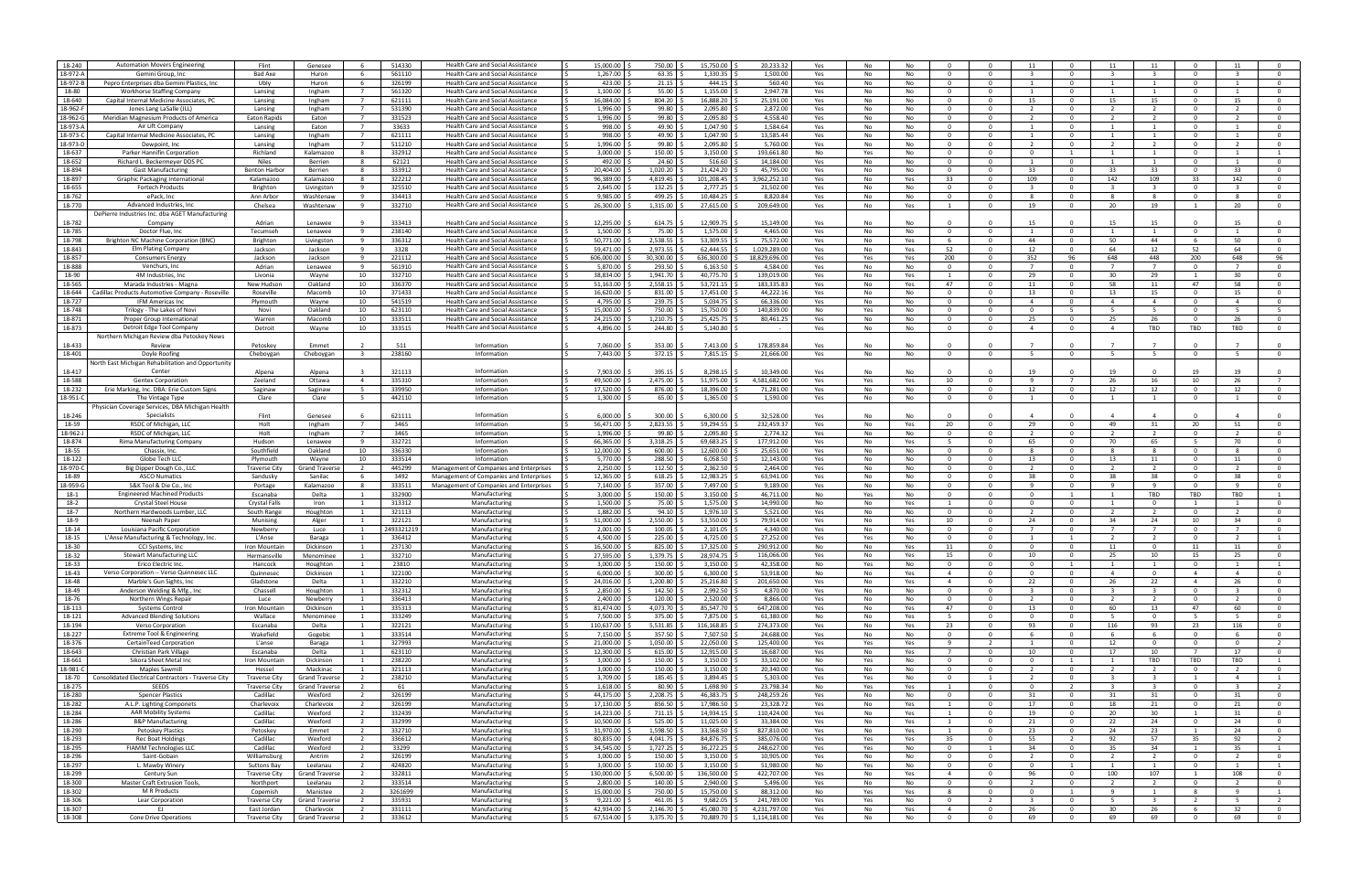| 18-240           | <b>Automation Movers Engineering</b>                       | Flint                               | Genesee                             | - 6                              | 514330           | Health Care and Social Assistance        | 15,000.00                           | 750.00                  | 15,750.00                 | 20,233.32                    | Yes        | No       | No        |                                  |                            | 11                       |                                  |                         | 11                      |                                |                         |                                  |
|------------------|------------------------------------------------------------|-------------------------------------|-------------------------------------|----------------------------------|------------------|------------------------------------------|-------------------------------------|-------------------------|---------------------------|------------------------------|------------|----------|-----------|----------------------------------|----------------------------|--------------------------|----------------------------------|-------------------------|-------------------------|--------------------------------|-------------------------|----------------------------------|
| 18-972-A         | Gemini Group, Inc                                          | Bad Axe                             | Huron                               | 6                                | 561110           | <b>Health Care and Social Assistance</b> | 1,267.00                            | 63.35                   | 1,330.35                  | 1.500.00                     | Yes        | No       | No        | - 0                              | $\Omega$                   |                          |                                  |                         |                         | $\Omega$                       |                         | $\Omega$                         |
| 18-972-B         | Pepro Enterprises dba Gemini Plastics, Inc.                | Ubly                                | Huron                               | -6                               | 326199           | Health Care and Social Assistance        | 423.00                              | 21.15                   | 444.15                    | 560.40                       | Yes        | No       | No        | $\Omega$                         | $\Omega$                   | $\overline{1}$           | $\Omega$                         | $\overline{1}$          | 1                       | $\Omega$                       | $\mathbf{1}$            | $\mathbf{0}$                     |
|                  |                                                            |                                     |                                     |                                  |                  |                                          |                                     |                         |                           |                              |            |          |           |                                  |                            |                          |                                  |                         |                         |                                |                         |                                  |
| 18-80            | <b>Workhorse Staffing Company</b>                          | Lansing                             | Ingham                              | $\overline{7}$                   | 561320           | Health Care and Social Assistance        | 1,100.00                            | 55.00                   | 1,155.00                  | 2.947.78                     | Yes        | No       | No        | $\Omega$                         | $\Omega$                   |                          | $\Omega$                         | $\mathbf{1}$            | $\overline{1}$          | $\Omega$                       | $\mathbf{1}$            | $\mathbf{0}$                     |
| 18-640           | Capital Internal Medicine Associates, PC                   | Lansing                             | Ingham                              | $\overline{7}$                   | 621111           | Health Care and Social Assistance        | 16,084.00                           | 804.20                  | 16,888.20                 | 25,191.00                    | Yes        | No       | No        | $\Omega$                         | $\Omega$                   | 15                       | $\Omega$                         | 15                      | 15                      | $\Omega$                       | 15                      | $\mathbf{0}$                     |
| 18-962-          |                                                            |                                     |                                     |                                  |                  |                                          | 1,996.00                            | 99.80                   | 2,095.80                  |                              |            |          |           |                                  | $\Omega$                   |                          |                                  |                         |                         | $\Omega$                       |                         |                                  |
|                  | Jones Lang LaSalle (JLL)                                   | Lansing                             | Ingham                              | - 7                              | 531390           | Health Care and Social Assistance        |                                     |                         |                           | 2,872.00                     | Yes        | No       | No        | - 0                              |                            |                          | - 0                              |                         | 2                       |                                |                         | $\mathbf{O}$                     |
| 18-962-0         | Meridian Magnesium Products of America                     | Eaton Rapids                        | Eaton                               | $\overline{7}$                   | 331523           | <b>Health Care and Social Assistance</b> | 1,996.00                            | 99.80                   | 2,095.80                  | 4,558.40                     | Yes        | No       | No        | $\Omega$                         | $\Omega$                   | $\overline{2}$           | $\Omega$                         | $\overline{2}$          | $\overline{2}$          | $\Omega$                       | $\overline{2}$          | $\mathbf 0$                      |
| 18-973-A         | Air Lift Company                                           | Lansing                             | Eaton                               | $\overline{7}$                   | 33633            | <b>Health Care and Social Assistance</b> | 998.00                              | 49.90                   | 1,047.90                  | 1.584.64                     | Yes        | No       | No        | $\Omega$                         | $\Omega$                   | $\overline{1}$           | $\Omega$                         | $\overline{1}$          | 1                       | $\Omega$                       |                         | $\mathbf{0}$                     |
|                  | Capital Internal Medicine Associates, PC                   |                                     |                                     | $\overline{7}$                   |                  |                                          |                                     |                         |                           |                              |            |          |           | $\Omega$                         | $\Omega$                   |                          | $\Omega$                         |                         | $\overline{1}$          | $\Omega$                       |                         | $\Omega$                         |
| 18-973-C         |                                                            | Lansing                             | Ingham                              |                                  | 621111           | <b>Health Care and Social Assistance</b> | 998.00                              | 49.90                   | 1,047.90                  | 13.585.44                    | Yes        | No       | No        |                                  |                            |                          |                                  |                         |                         |                                |                         |                                  |
| 18-973-D         | Dewpoint, Inc.                                             | Lansing                             | Ingham                              | $\overline{7}$                   | 511210           | Health Care and Social Assistance        | 1,996.00                            | 99.80                   | 2,095.80                  | 5,760.00                     | Yes        | No       | No        | $\Omega$                         | $\Omega$                   | $\overline{\phantom{a}}$ | $\Omega$                         | $\overline{2}$          | $\overline{2}$          | $\Omega$                       | $\overline{2}$          | $\mathbf{0}$                     |
| 18-637           | Parker Hannifin Corporation                                | Richland                            | Kalamazoo                           | 8                                | 332912           | Health Care and Social Assistance        | 3,000.00                            | 150.00                  | 3,150.00                  | 193,661.8                    | No         | Yes      | No        | - 0                              | $\Omega$                   | $\Omega$                 | -1                               |                         | 1                       | $\mathbf{0}$                   |                         | -1                               |
|                  |                                                            |                                     |                                     |                                  |                  |                                          |                                     |                         |                           |                              |            |          |           |                                  |                            |                          |                                  |                         |                         |                                |                         |                                  |
| 18-652           | Richard L. Beckermeyer DDS PC                              | Niles                               | Berrien                             | - 8                              | 62121            | <b>Health Care and Social Assistance</b> | 492.00                              | 24.60                   | 516.60                    | 14.184.00                    | Yes        | No       | No        | $\Omega$                         | $\Omega$                   |                          | $\Omega$                         |                         | 1                       | $\Omega$                       |                         | $\mathbf 0$                      |
| 18-894           | <b>Gast Manufacturing</b>                                  | <b>Benton Harbor</b>                | Berrien                             | 8                                | 333912           | <b>Health Care and Social Assistance</b> | 20.404.00                           | 1,020.20                | 21,424.20                 | 45,795.0                     | Yes        | No       | No        | $\Omega$                         | $\Omega$                   | 33                       | $\Omega$                         | 33                      | 33                      | $\Omega$                       | 33                      | $\mathbf{0}$                     |
| 18-897           | Graphic Packaging International                            | Kalamazoo                           |                                     | $\mathbf{R}$                     | 322212           | Health Care and Social Assistance        | 96,389.00                           | 4,819.45                | 101,208.45                | 3,962,252.10                 |            | No       |           | 33                               | $\Omega$                   | 109                      | $\Omega$                         | 142                     | 109                     | 33                             | 142                     | $\mathbf{0}$                     |
|                  |                                                            |                                     | Kalamazoo                           |                                  |                  |                                          |                                     |                         |                           |                              | Yes        |          | Yes       |                                  |                            |                          |                                  |                         |                         |                                |                         |                                  |
| 18-655           | <b>Fortech Products</b>                                    | Brighton                            | Livingston                          | 9                                | 325510           | Health Care and Social Assistance        | 2,645.00                            | 132.25                  | 2,777.25                  | 21,502.00                    | Yes        | No       | No        | $\Omega$                         | $\Omega$                   | $\mathbf{R}$             | $\Omega$                         | $\overline{\mathbf{3}}$ | $\overline{3}$          | $\Omega$                       | $\mathbf{R}$            | $\mathbf{0}$                     |
| 18-762           | ePack, Inc                                                 | Ann Arbor                           | Washtenaw                           | - 9                              | 334413           | Health Care and Social Assistance        | 9,985.00                            | 499.25                  | 10,484.25                 | 8,820.8                      | Yes        | No       | No        | 0                                | $^{\circ}$                 |                          | - 0                              | -8                      | 8                       | - 0                            | -8                      | $\mathbf{O}$                     |
|                  |                                                            |                                     |                                     |                                  |                  |                                          |                                     |                         |                           |                              |            |          |           |                                  |                            |                          |                                  |                         |                         |                                |                         |                                  |
| 18-770           | Advanced Industries, Inc                                   | Chelsea                             | Washtenaw                           | - 9                              | 332710           | <b>Health Care and Social Assistance</b> | 26,300.00                           | 1,315.00                | 27,615.00                 | 209,649.00                   | Yes        | No       | Yes       |                                  | $\Omega$                   | 19                       | $\Omega$                         | 20                      | 19                      | $\overline{1}$                 | 20                      | $\mathbf 0$                      |
|                  | DePierre Industries Inc. dba AGET Manufacturing            |                                     |                                     |                                  |                  |                                          |                                     |                         |                           |                              |            |          |           |                                  |                            |                          |                                  |                         |                         |                                |                         |                                  |
| 18-782           | Company                                                    | Adrian                              | Lenawee                             | $\mathbf{q}$                     | 333413           | <b>Health Care and Social Assistance</b> | 12,295.00                           | 614.75                  | 12.909.75                 | 15.149.00                    | Yes        | No       | No        |                                  |                            | 15                       |                                  | 15                      | 15                      |                                | 15                      |                                  |
|                  |                                                            |                                     |                                     |                                  |                  |                                          |                                     |                         |                           |                              |            |          |           |                                  |                            |                          |                                  |                         |                         |                                |                         |                                  |
| 18-785           | Doctor Flue, Inc                                           | Tecumseh                            | Lenawee                             | - 9                              | 238140           | Health Care and Social Assistance        | 1,500.00                            | 75.00                   | 1,575.00                  | 4,465.0                      | Yes        | No       | No        | - 0                              | $\Omega$                   |                          |                                  |                         |                         | $\Omega$                       |                         | $\mathbf 0$                      |
| 18-798           | Brighton NC Machine Corporation (BNC)                      | Brighton                            | Livingston                          | - 9                              | 336312           | Health Care and Social Assistance        | 50,771.00                           | 2,538.55                | 53.309.55                 | 75,572.0                     | Yes        | No       | Yes       |                                  | $\Omega$                   | -44                      |                                  | 50                      | 44                      | - 6                            | 50                      | $\Omega$                         |
| 18-843           | Elm Plating Company                                        | Jackson                             | Jackson                             | -9                               | 3328             | <b>Health Care and Social Assistance</b> | 59,471.00                           | 2,973.55                | 62.444.55                 | 1,029,289.00                 | Yes        | No       | Yes       | 52                               | $\Omega$                   | 12                       | $\Omega$                         | 64                      | 12                      | 52                             | 64                      | $\Omega$                         |
|                  |                                                            |                                     |                                     |                                  |                  |                                          |                                     |                         |                           |                              |            |          |           |                                  |                            |                          |                                  |                         |                         |                                |                         |                                  |
| 18-857           | Consumers Energy                                           | Jackson                             | Jackson                             | 9                                | 221112           | <b>Health Care and Social Assistance</b> | 606.000.00                          | 30,300.00               | 636,300.00                | 18,829,696.0                 | Yes        | Yes      | Yes       | 200                              | $\Omega$                   | 352                      | 96                               | 648                     | 448                     | 200                            | 648                     | 96                               |
| 18-888           | Venchurs, Inc                                              | Adrian                              | Lenawee                             | - 9                              | 561910           | <b>Health Care and Social Assistance</b> | 5,870.00                            | 293.50                  | 6,163.50                  | 4.584.00                     | Yes        | No       | No        | $\Omega$                         | $\Omega$                   |                          | $\Omega$                         |                         | $\overline{7}$          | $\Omega$                       |                         | $\mathbf{0}$                     |
| 18-90            | 4M Industries, Inc                                         |                                     |                                     | 10                               | 332710           | Health Care and Social Assistance        | 38,834.00                           | 1,941.70                | 40,775.70                 | 139,019.0                    |            | No       |           |                                  | $\Omega$                   | 29                       |                                  | 30                      | 29                      |                                | 30                      | $\Omega$                         |
|                  |                                                            | Livonia                             | Wayne                               |                                  |                  |                                          |                                     |                         |                           |                              | Yes        |          | Yes       |                                  |                            |                          |                                  |                         |                         |                                |                         |                                  |
| 18-565           | Marada Industries - Magna                                  | New Hudson                          | Oakland                             | 10                               | 336370           | Health Care and Social Assistance        | 51,163.00                           | 2,558.15                | 53,721.15                 | 183.335.8                    | Yes        | No       | Yes       | 47                               | $\Omega$                   | 11                       |                                  | 58                      | 11                      | 47                             | 58                      | $\mathbf{0}$                     |
| 18-644           | Cadillac Products Automotive Company - Roseville           | Roseville                           | Macomb                              | 10                               | 371433           | <b>Health Care and Social Assistance</b> | 16,620.00                           | 831.00                  | 17,451.00                 | 44,222.1                     | Yes        | No       | No        | $\Omega$                         | $\Omega$                   | 13                       | $\Omega$                         | 13                      | 15                      | $\Omega$                       | 15                      | $\mathbf 0$                      |
|                  |                                                            |                                     |                                     |                                  |                  |                                          |                                     |                         |                           | 66.336.0                     |            |          |           | $\Omega$                         | $\Omega$                   | $\overline{4}$           | $\Omega$                         | $\overline{4}$          |                         | $\Omega$                       | $\overline{4}$          |                                  |
| 18-727           | <b>IFM Americas Inc.</b>                                   | Plymouth                            | Wayne                               | 10                               | 541519           | <b>Health Care and Social Assistance</b> | 4,795.00                            | 239.75                  | 5,034.75                  |                              | Yes        | No       | No        |                                  |                            |                          |                                  |                         | $\overline{4}$          |                                |                         | $\mathbf{0}$                     |
| 18-748           | Trilogy - The Lakes of Novi                                | Novi                                | Oakland                             | 10                               | 623110           | <b>Health Care and Social Assistance</b> | 15,000.00                           | 750.00                  | 15,750.00                 | 140.839.00                   | No         | Yes      | No        | $\Omega$                         | $\Omega$                   | $\Omega$                 | -5                               | -5                      | -5                      | $\Omega$                       | -5                      | -5                               |
| 18-871           | Proper Group Internationa                                  | Warren                              | Macomb                              | 10                               | 333511           | <b>Health Care and Social Assistance</b> | 24,215.00                           | 1,210.75                | 25,425.75                 | 80,461.2                     | Yes        | No       | No        | - 0                              | $\Omega$                   | 25                       | $\Omega$                         | 25                      | 26                      | $\Omega$                       | 26                      | $\mathbf 0$                      |
|                  |                                                            |                                     |                                     |                                  |                  |                                          |                                     |                         |                           |                              |            |          |           |                                  |                            |                          |                                  |                         |                         |                                |                         |                                  |
| 18-873           | Detroit Edge Tool Company                                  | Detroit                             | Wayne                               | 10                               | 333515           | <b>Health Care and Social Assistance</b> | 4,896.00                            | 244.80                  | 5,140.80                  |                              | Yes        | No       | No        |                                  |                            | $\overline{4}$           |                                  | $\overline{4}$          | TBD                     | TBD                            | TBD                     | $\Omega$                         |
|                  | Northern Michigan Review dba Petoskey News                 |                                     |                                     |                                  |                  |                                          |                                     |                         |                           |                              |            |          |           |                                  |                            |                          |                                  |                         |                         |                                |                         |                                  |
| 18-433           | Review                                                     | Petoskey                            | Emmet                               |                                  | 511              | Information                              | 7,060.00                            | 353.00                  | 7,413.00                  | 178,859.8                    | Yes        | No       | No        |                                  |                            |                          |                                  |                         |                         |                                |                         |                                  |
|                  |                                                            |                                     |                                     |                                  |                  |                                          |                                     |                         |                           |                              |            |          |           |                                  |                            |                          |                                  |                         |                         |                                |                         |                                  |
| 18-401           | Doyle Roofing                                              | Cheboygan                           | Cheboygan                           | $\overline{\mathbf{3}}$          | 238160           | Information                              | 7,443.00                            | 372.15                  | 7,815.15                  | 21,666.00                    | Yes        | No       | No        | - 0                              |                            |                          |                                  | -5                      | -5                      | $\Omega$                       |                         | $\mathbf{0}$                     |
|                  | <b>North East Michigan Rehabilitation and Opportunity</b>  |                                     |                                     |                                  |                  |                                          |                                     |                         |                           |                              |            |          |           |                                  |                            |                          |                                  |                         |                         |                                |                         |                                  |
|                  |                                                            |                                     |                                     |                                  |                  |                                          |                                     |                         |                           | 10.349.00                    |            |          |           |                                  |                            | 19                       |                                  |                         |                         | 19                             |                         |                                  |
| 18-417           | Center                                                     | Alpena                              | Alpena                              |                                  | 321113           | Information                              | 7,903.00                            | 395.15                  | 8,298.15                  |                              | Yes        | No       | No        |                                  |                            |                          |                                  | 1 <sup>c</sup>          |                         |                                | 19                      |                                  |
| 18-588           | <b>Gentex Corporation</b>                                  | Zeeland                             | Ottawa                              | $\overline{a}$                   | 335310           | Information                              | 49.500.00                           | 2,475.00                | 51,975.00                 | 4.581.682.00                 | Yes        | Yes      | Yes       | 10                               | $\Omega$                   |                          | $\overline{7}$                   | 26                      | 16                      | 10                             | 26                      | $\overline{7}$                   |
| 18-232           | Erie Marking, Inc. DBA: Erie Custom Signs                  | Saginaw                             | Saginaw                             | - 5                              | 339950           | Information                              | 17,520.00                           | 876.00                  | 18,396.00                 | 71,281.0                     | Yes        | No       | No        | $\Omega$                         | $\Omega$                   | 12                       | $\Omega$                         | 12                      | 12                      | $\Omega$                       | 12                      | $\Omega$                         |
|                  |                                                            |                                     |                                     |                                  |                  |                                          |                                     |                         |                           |                              |            |          |           |                                  |                            |                          |                                  |                         |                         |                                |                         |                                  |
| 18-951-C         | The Vintage Type                                           | Clare                               | Clare                               | - 5                              | 442110           | Information                              | 1,300.00                            | 65.00                   | 1,365.00                  | 1,590.00                     | Yes        | No       | No        | $\Omega$                         | $\Omega$                   |                          | $\Omega$                         |                         | 1                       | $\Omega$                       |                         | $\Omega$                         |
|                  | Physician Coverage Services, DBA Michigan Health           |                                     |                                     |                                  |                  |                                          |                                     |                         |                           |                              |            |          |           |                                  |                            |                          |                                  |                         |                         |                                |                         |                                  |
| 18-246           | Specialists                                                | Flint                               | Genesee                             |                                  | 621111           | Information                              | 6.000.00                            | 300.00                  | 6.300.00                  | 32.528.00                    | Yes        | No       | No        |                                  |                            |                          |                                  |                         |                         |                                |                         |                                  |
|                  |                                                            |                                     |                                     |                                  |                  |                                          |                                     |                         |                           |                              |            |          |           |                                  |                            |                          |                                  |                         |                         |                                |                         |                                  |
| 18-59            | RSDC of Michigan, LLC                                      | Holt                                | Ingham                              | $\overline{7}$                   | 3465             | Information                              | 56.471.00                           | 2.823.55                | 59.294.55                 | 232.459.37                   | Yes        | No       | Yes       | 20                               | $\Omega$                   | 29                       | $\Omega$                         | 49                      | 31                      | 20                             | 51                      | $\mathbf{0}$                     |
| 18-962-          | RSDC of Michigan, LLO                                      | Holt                                | Ingham                              | $\overline{7}$                   | 3465             | Information                              | 1,996.00                            | 99.80                   | 2,095.80                  | 2,774.3                      | Yes        | No       | No        | $\Omega$                         | $\Omega$                   |                          | $\Omega$                         |                         | $\overline{2}$          | $\Omega$                       |                         | $\mathbf{0}$                     |
| 18-874           | Rima Manufacturing Company                                 | Hudson                              | Lenawee                             | 9                                | 332721           | Information                              | 66,365.00                           | 3,318.25                | 69,683.25                 | 177,912.0                    | Yes        | No       | Yes       | -5                               | $\Omega$                   | 65                       | $\Omega$                         | 70                      | 65                      | - 5                            | 70                      | $\mathbf 0$                      |
|                  |                                                            |                                     |                                     |                                  |                  |                                          |                                     |                         |                           |                              |            |          |           |                                  |                            |                          |                                  |                         |                         |                                |                         |                                  |
| 18-55            | Chassix, Inc.                                              | Southfield                          | Oakland                             | 10                               | 336330           | Information                              | 12,000.00                           | 600.00                  | 12,600.00                 | 25,651.00                    | Yes        | No       | No        | $\Omega$                         | $\Omega$                   | 8                        | $\Omega$                         | -8                      | 8                       | $\Omega$                       | -8                      | $\mathbf 0$                      |
| 18-122           | Globe Tech LLC                                             | Plymouth                            | Wavne                               | 10                               | 333514           | Information                              | 5.770.00                            | 288.50                  | 6.058.50                  | 12.143.00                    | Yes        | No       | No        | $\Omega$                         | $\Omega$                   | 13                       | $\Omega$                         | 13                      | 11                      | $\Omega$                       | 11                      | $\mathbf{0}$                     |
|                  | Big Dipper Dough Co., LLC                                  |                                     | <b>Grand Travers</b>                | $\overline{2}$                   | 445299           | Management of Companies and Enterprises  | 2,250.00                            | 112.50                  | 2,362.50                  | 2.464.00                     | Yes        | No       | No        | $\Omega$                         | $\Omega$                   | $\overline{2}$           | $\Omega$                         | $\overline{2}$          | 2                       | $\Omega$                       | $\overline{2}$          | $\mathbf{0}$                     |
|                  |                                                            |                                     |                                     |                                  |                  |                                          |                                     |                         |                           |                              |            |          |           |                                  |                            |                          |                                  |                         |                         |                                |                         |                                  |
| 18-970-C         |                                                            | <b>Traverse City</b>                |                                     |                                  |                  |                                          |                                     |                         |                           |                              |            |          |           |                                  |                            |                          |                                  |                         |                         |                                |                         |                                  |
| 18-89            | <b>ASCO Numatics</b>                                       | Sandusky                            | Sanilac                             | - 6                              | 3492             | Management of Companies and Enterprises  | 12,365.00                           | 618.25                  | 12,983.25                 | 63,941.0                     | Yes        | No       | No        | $\Omega$                         | $\Omega$                   | 38                       | $\Omega$                         | 38                      | 38                      | $\Omega$                       | 38                      | $\mathbf{0}$                     |
| 18-959-0         | S&K Tool & Die Co., Inc.                                   | Portage                             | Kalamazoo                           | - 8                              | 333511           |                                          | 7,140.00                            | 357.00                  | 7,497.00                  | 9,189.0                      | Yes        | No       | No        | $\Omega$                         | $\Omega$                   | q                        | $\Omega$                         | -9                      | 9                       | $\mathbf{0}$                   | -9                      | $\mathbf 0$                      |
|                  |                                                            |                                     |                                     |                                  |                  | Management of Companies and Enterprises  |                                     |                         |                           |                              |            |          |           |                                  |                            |                          |                                  |                         |                         |                                |                         |                                  |
| 18-1             | <b>Engineered Machined Products</b>                        | Escanaba                            | Delta                               |                                  | 332900           | Manufacturing                            | 3,000.00                            | 150.00                  | 3,150.00                  | 46,711.00                    | No         | Yes      | No        | $\Omega$                         | $\Omega$                   | $\Omega$                 |                                  |                         | TBD                     | TBD                            | TBD                     | 1                                |
| 18-2             | <b>Crystal Steel House</b>                                 | Crystal Falls                       | Iron                                | $\overline{1}$                   | 313312           | Manufacturing                            | 1.500.00                            | 75.00                   | 1.575.00                  | 14.990.00                    | No         | No       | Yes       | $\overline{1}$                   | $\Omega$                   | $\Omega$                 | $\Omega$                         | $\overline{1}$          | $\Omega$                | $\overline{1}$                 |                         | $\mathbf{0}$                     |
| 18-7             | Northern Hardwoods Lumber, LLC                             | South Range                         | Houghton                            | $\overline{1}$                   | 321113           | Manufacturing                            | 1.882.00                            | 94.10                   | 1,976.10                  | 5.521.00                     | Yes        | No       | No        | $\Omega$                         | $\Omega$                   | $\overline{2}$           | $\Omega$                         | $\overline{2}$          | 2                       | $\Omega$                       | $\overline{2}$          | $\mathbf{0}$                     |
|                  |                                                            |                                     |                                     |                                  |                  |                                          |                                     |                         |                           |                              |            |          |           |                                  |                            |                          |                                  |                         |                         |                                |                         |                                  |
| 18-9             | Neenah Paper                                               | Munising                            | Alger                               |                                  | 322121           | Manufacturing                            | 51,000.00                           | 2,550.00                | 53,550.00                 | 79,914.0                     | Yes        | No       | Yes       | 10                               | $\Omega$                   | 24                       | $\Omega$                         | 34                      | 24                      | 10                             | 34                      | $\mathbf 0$                      |
| 18-14            | Louisiana Pacific Corporation                              | Newberry                            | Luce                                | $\mathbf{1}$                     | 249332121        | Manufacturing                            | 2,001.00                            | 100.05                  | 2,101.05                  | 4,340.0                      | Yes        | No       | No        | $\mathbf 0$                      | $\Omega$                   |                          | $\Omega$                         | - 7                     | 7                       | $\mathbf{0}$                   | 7                       | $\mathbf 0$                      |
| 18-15            | L'Anse Manufacturing & Technology, Inc.                    | L'Anse                              | Baraga                              |                                  | 336412           | Manufacturing                            | 4,500.00                            | 225.00                  | 4,725.00                  | 27,252.0                     | Yes        | Yes      | No        | - 0                              | $\Omega$                   |                          |                                  |                         | $\overline{2}$          | $\Omega$                       |                         |                                  |
|                  |                                                            |                                     |                                     |                                  |                  |                                          |                                     |                         |                           |                              |            |          |           |                                  |                            |                          |                                  |                         |                         |                                |                         |                                  |
| 18-30            | CCI Systems, Inc.                                          | Iron Mountain                       | Dickinson                           |                                  | 237130           | Manufacturing                            | 16.500.00                           | 825.00                  | 17.325.00                 | 290.912.0                    | No         | No       | Yes       | 11                               | $\Omega$                   | $\Omega$                 | $\Omega$                         | 11                      | $\Omega$                | 11                             | 11                      | $\mathbf{0}$                     |
| 18-32            | <b>Stewart Manufacturing LLC</b>                           | Hermansville                        | Menominee                           | 1                                | 332710           | Manufacturing                            | 27,595.00                           | 1,379.75                | 28,974.75                 | 116.066.00                   | Yes        | No       | Yes       | 15                               | $\Omega$                   | 10                       | $\Omega$                         | 25                      | 10                      | 15                             | 25                      | $\overline{0}$                   |
| 18-33            | Erico Electric Inc.                                        | Hancock                             | Houghton                            |                                  | 23810            | Manufacturing                            | 3,000.00                            | 150.00                  | 3,150.00                  | 42,358.00                    | No         | Yes      | No        | $\Omega$                         |                            |                          |                                  |                         |                         | $\Omega$                       |                         |                                  |
|                  |                                                            |                                     |                                     |                                  |                  |                                          |                                     |                         |                           |                              |            |          |           |                                  |                            |                          |                                  |                         |                         |                                |                         |                                  |
| 18-43            | Verso Corporation -- Verso Quinnesec LLC                   | Quinnesec                           | Dickinson                           | <sup>1</sup>                     | 322100           | Manufacturing                            | 6,000.00                            | 300.00                  | 6,300.00                  | 53,918.00                    | No         | No       | Yes       | 4                                | $\Omega$                   | $\Omega$                 | $\mathbf{0}$                     | -4                      | $\mathbf 0$             | 4                              | -4                      | $\mathbf 0$                      |
| 18-48            | Marble's Gun Sights, Inc                                   | Gladstone                           | Delta                               | $\mathbf{1}$                     | 332210           | Manufacturing                            | 24,016.00 \$                        | 1,200.80                | 25,216.80                 | 201,650.00                   | Yes        | No       | Yes       | $\overline{4}$                   | $\overline{\mathbf{0}}$    | 22                       | $\mathbf{O}$                     | 26                      | 22                      | $\overline{4}$                 | 26                      | $\overline{0}$                   |
| 18-49            | Anderson Welding & Mfg., Inc.                              | Chassell                            | Houghton                            | 1                                | 332312           | Manufacturing                            | 2,850.00<br>1 S                     | 142.50                  | 2,992.50                  | 4.870.00                     | Yes        | No       | No        | $\overline{0}$                   | $\overline{0}$             | $\overline{\mathbf{3}}$  | $\overline{0}$                   | $\overline{\mathbf{3}}$ | $\overline{\mathbf{3}}$ | $\overline{0}$                 | $\overline{\mathbf{3}}$ | $\mathbf{0}$                     |
| 18-76            |                                                            | Luce                                | Newberry                            | $\mathbf{1}$                     | 336413           |                                          |                                     |                         |                           | 8.866.00                     |            | No       | No        | $\overline{0}$                   | $\overline{0}$             | $\overline{2}$           | $\overline{0}$                   | $\overline{2}$          | $\overline{2}$          | $\overline{0}$                 | $\overline{2}$          | $\overline{0}$                   |
|                  | Northern Wings Repair                                      |                                     |                                     |                                  |                  | Manufacturing                            | 2,400.00 \$                         | 120.00                  | 2,520.00 \$               |                              | Yes        |          |           |                                  |                            |                          |                                  |                         |                         |                                |                         |                                  |
| 18-113           | <b>Systems Control</b>                                     | Iron Mountain                       | Dickinson                           | $\overline{1}$                   | 335313           | Manufacturing                            | 81,474.00                           | 4,073.70                | 85,547.70                 | 647,208.00                   | Yes        | No       | Yes       | 47                               | $\overline{0}$             | 13                       | $\mathbf{0}$                     | 60                      | 13                      | 47                             | 60                      | $\mathbf 0$                      |
| 18-121           | <b>Advanced Blending Solutions</b>                         | Wallace                             | Menominee                           | <sup>1</sup>                     | 333249           | Manufacturing                            | 7,500.00                            | 375.00                  | 7,875.00                  | 61,380.00                    | No         | No       | Yes       | - 5                              | $^{\circ}$                 | $\mathbf{0}$             | $\mathbf{O}$                     | - 5                     | $\mathbf 0$             | - 5                            | - 5                     | $\overline{0}$                   |
|                  |                                                            |                                     |                                     |                                  |                  | Manufacturing                            |                                     |                         |                           |                              |            |          |           |                                  |                            |                          |                                  |                         |                         |                                |                         |                                  |
| 18-194           | <b>Verso Corporation</b>                                   | Escanaba                            | Delta                               | <sup>1</sup>                     | 322121           |                                          | 110,637.00                          | 5,531.85                | 116,168.85                | 274,373.00                   | Yes        | No       | Yes       | 23                               | $\overline{0}$             | 93                       | $\mathbf{O}$                     | 116                     | 93                      | 23                             | 116                     | $\overline{0}$                   |
| 18-227           | Extreme Tool & Engineering                                 | Wakefield                           | Gogebic                             | $\mathbf{1}$                     | 333514           | Manufacturing                            | 7,150.00<br>1 S                     | 357.50                  | 7,507.50                  | 24,688.00                    | Yes        | No       | No        | $\overline{0}$                   | $\overline{0}$             | - 6                      | $\overline{0}$                   | -6                      | 6                       | $\overline{0}$                 | 6                       | $\overline{0}$                   |
| 18-376           | CertainTeed Corporation                                    | L'anse                              | Baraga                              | $\overline{1}$                   | 327993           | Manufacturing                            | 21,000.00 \$                        | 1,050.00                | 22,050.00                 | 125,400.00                   | Yes        | Yes      | Yes       | 9                                | $\overline{2}$             | $\mathbf{1}$             | $\overline{0}$                   | 12                      | $\overline{0}$          | $\overline{0}$                 | $\overline{0}$          | $\overline{2}$                   |
| 18-643           |                                                            | Escanaba                            | Delta                               | <sup>1</sup>                     |                  |                                          | 12,300.00<br>1 S                    |                         |                           | 16,687.00                    |            |          | Yes       | $\overline{7}$                   | $\Omega$                   |                          | $\mathbf{0}$                     | 17                      | 10                      | $\overline{7}$                 | 17                      | $\overline{0}$                   |
|                  | Christian Park Village                                     |                                     |                                     |                                  | 623110           | Manufacturing                            |                                     | 615.00                  | 12,915.00                 |                              | Yes        | No       |           |                                  |                            | 10                       |                                  |                         |                         |                                |                         |                                  |
| 18-661           | Sikora Sheet Metal Inc                                     | Iron Mountain                       | Dickinson                           | $\mathbf{1}$                     | 238220           | Manufacturing                            | $3,000.00$ \$                       | 150.00                  | 3,150.00                  | 33,102.00                    | No         | Yes      | No        | $^{\circ}$                       | $\mathbf 0$                | $^{\circ}$               | 1                                | $\mathbf{1}$            | TBD                     | TBD                            | TBD                     | 1                                |
| 18-981-0         | Maples Sawmill                                             | Hessel                              | Mackinac                            | $\mathbf{1}$                     | 321113           | Manufacturing                            | $3,000.00$ \$                       | 150.00                  | 3,150.00                  | 20,340.00                    | Yes        | No       | No        | $\overline{\mathbf{0}}$          | $\mathbf 0$                | 2                        | $\Omega$                         | $\overline{2}$          | $\overline{2}$          | $\overline{\mathbf{0}}$        | 2                       | $\overline{0}$                   |
|                  | <b>Consolidated Electrical Contractors - Traverse City</b> |                                     |                                     |                                  |                  |                                          | 1 S                                 |                         |                           |                              |            |          |           |                                  | $\overline{1}$             |                          |                                  |                         |                         |                                |                         |                                  |
| 18-70            |                                                            | <b>Traverse City</b>                | <b>Grand Travers</b>                | $\overline{2}$                   | 238210           | Manufacturing                            | 3,709.00 \$                         | 185.45                  | 3,894.45                  | 5,303.00                     | Yes        | Yes      | No        | $\overline{0}$                   |                            | $\overline{2}$           | $\overline{0}$                   | $\overline{\mathbf{3}}$ | $\overline{\mathbf{3}}$ | $\mathbf{1}$                   | $\overline{4}$          | $\mathbf{1}$                     |
| 18-275           | SEEDS                                                      | <b>Traverse City</b>                | <b>Grand Traverse</b>               | $\overline{2}$                   | 61               | Manufacturing                            | $1,618.00$ \$<br>ΙŚ                 | 80.90                   | 1,698.90                  | 23.798.34                    | No         | Yes      | Yes       | $\overline{1}$                   | $\overline{0}$             | $\overline{0}$           | 2                                | $\overline{\mathbf{3}}$ | $\overline{\mathbf{3}}$ | $\overline{0}$                 | $\overline{\mathbf{3}}$ | $\overline{2}$                   |
| 18-280           | <b>Spencer Plastics</b>                                    | Cadillac                            | Wexford                             | $\overline{2}$                   | 326199           | Manufacturing                            | 44,175.00 \$<br>1 <                 | 2,208.75                | 46,383.75                 | 248,259.2                    | Yes        | No       | No        | $\overline{0}$                   | $\overline{0}$             | 31                       | $\overline{0}$                   | 31                      | 31                      | $\overline{0}$                 | 31                      | $\overline{0}$                   |
|                  |                                                            |                                     |                                     |                                  |                  |                                          |                                     |                         |                           |                              |            |          |           |                                  |                            |                          |                                  |                         |                         |                                |                         |                                  |
| 18-282           | A.L.P. Lighting Componets                                  | Charlevoix                          | Charlevoix                          | $\overline{2}$                   | 326199           | Manufacturing                            | 17,130.00                           | 856.50                  | 17,986.50                 | 23,328.7                     | Yes        | No       | Yes       | -1                               | $\overline{\mathbf{0}}$    | 17                       | $\mathbf{O}$                     | 18                      | 21                      | $\mathbf{0}$                   | 21                      | $\overline{0}$                   |
| 18-284           | <b>AAR Mobility Systems</b>                                | Cadillac                            | Wexford                             | $\overline{2}$                   | 332439           | Manufacturing                            | 14,223.00                           | 711.15                  | 14,934.15                 | 110,424.00                   | Yes        | No       | Yes       |                                  | $\Omega$                   | 19                       | $\Omega$                         | 20                      | 30                      |                                | 31                      | $\overline{0}$                   |
| 18-286           | <b>B&amp;P Manufacturing</b>                               | Cadillac                            | Wexford                             | $\overline{2}$                   | 332999           | Manufacturing                            | 10,500.00 \$<br>1 S                 | 525.00                  | 11,025.00                 | 33,384.00                    | Yes        | No       | Yes       | $\overline{1}$                   | $\overline{0}$             | 21                       | $\overline{0}$                   | 22                      | 24                      | $\overline{0}$                 | 24                      | $\overline{0}$                   |
|                  |                                                            |                                     |                                     |                                  |                  |                                          |                                     |                         |                           |                              |            |          |           |                                  |                            |                          |                                  |                         |                         |                                |                         |                                  |
| 18-290           | <b>Petoskey Plastics</b>                                   | Petoskey                            | Emmet                               | $\overline{2}$                   | 332710           | Manufacturing                            | 31,970.00 \$                        | 1,598.50                | 33,568.50                 | 827,810.00                   | Yes        | No       | Yes       | 1                                | $\overline{0}$             | 23                       | $\overline{0}$                   | 24                      | 23                      | $\overline{1}$                 | 24                      | $\overline{0}$                   |
| 18-293           | Rec Boat Holdings                                          | Cadillac                            | Wexford                             | $\overline{2}$                   | 336612           | Manufacturing                            | 80,835.00                           | 4,041.75                | 84,876.75                 | 385,076.00                   | Yes        | Yes      | Yes       | 35                               | $\overline{0}$             | 55                       | 2                                | 92                      | 57                      | 35                             | 92                      | $\overline{2}$                   |
| 18-295           | <b>FIAMM Technologies LLC</b>                              | Cadillac                            | Wexford                             | $\overline{2}$                   | 33299            | Manufacturing                            | 34,545.00                           | 1,727.25                | 36,272.25                 | 248,627.00                   | Yes        | Yes      | No        | $\mathbf{0}$                     | 1                          | 34                       | $\mathbf{O}$                     | 35                      | 34                      | 1                              | 35                      | $\mathbf{1}$                     |
|                  |                                                            |                                     |                                     |                                  |                  |                                          |                                     |                         |                           |                              |            |          |           |                                  |                            |                          |                                  |                         |                         |                                |                         |                                  |
| 18-296           | Saint-Gobain                                               | Williamsburg                        | Antrim                              | $\overline{2}$                   | 326199           | Manufacturing                            | 3,000.00                            | 150.00                  | 3,150.00                  | 10,905.00                    | Yes        | No       | No        | $\overline{\mathbf{0}}$          | $\Omega$                   | 2                        | $\mathbf{0}$                     | $\overline{2}$          | $\overline{2}$          | $\overline{0}$                 | <sup>2</sup>            | $\overline{0}$                   |
| 18-297           | L. Mawby Winery                                            | Suttons Bay                         | Leelanau                            | $\overline{2}$                   | 424820           | Manufacturing                            | 3,000.00                            | 150.00                  | 3,150.00                  | 51,980.00                    | No         | Yes      | No        | $\overline{0}$                   | $\overline{0}$             | $\overline{0}$           | $\overline{1}$                   | $\mathbf{1}$            | 1                       | $\overline{0}$                 | $\overline{1}$          | $\mathbf{1}$                     |
| 18-299           | Century Sun                                                | <b>Traverse City</b>                | <b>Grand Traverse</b>               | $\overline{2}$                   | 332811           | Manufacturing                            | 130,000.00 \$<br>ΙŚ                 | 6,500.00                | 136,500.00                | 422,707.00                   | Yes        | No       | Yes       | $\overline{4}$                   | $\overline{0}$             | 96                       | $\overline{0}$                   | 100                     | 107                     | $\overline{1}$                 | 108                     | $\overline{0}$                   |
|                  |                                                            |                                     |                                     |                                  |                  |                                          |                                     |                         |                           |                              |            |          |           |                                  |                            |                          |                                  |                         |                         |                                |                         |                                  |
| 18-300           | Master Craft Extrusion Tools                               | Northport                           | Leelanau                            | $\overline{2}$                   | 333514           | Manufacturing                            | 2,800.00                            | 140.00                  | 2,940.00                  | 5,496.00                     | Yes        | No       | No        | $\overline{0}$                   | $\overline{0}$             | $\overline{2}$           | $\overline{0}$                   | $\overline{2}$          | $\overline{2}$          | $\overline{0}$                 | $\overline{2}$          | $\overline{0}$                   |
| 18-302           | M R Products                                               | Copemish                            | Manistee                            | $\overline{2}$                   | 3261699          | Manufacturing                            | 15,000.00                           | 750.00                  | 15,750.00                 | 88,312.00                    | No         | Yes      | Yes       | -8                               | $^{\circ}$                 | $\mathbf{0}$             | 1                                | - 9                     | 1                       | - 8                            | -9                      | $\mathbf{1}$                     |
| 18-306           | Lear Corporation                                           | <b>Traverse City</b>                | <b>Grand Traverse</b>               | $\overline{2}$                   | 335931           | Manufacturing                            | 9,221.00                            | 461.05                  | 9,682.05                  | 241,789.00                   | Yes        | Yes      | No        | $\Omega$                         | $\overline{2}$             |                          | $\mathbf{0}$                     | -5                      | $\overline{\mathbf{3}}$ | $\overline{2}$                 | -5                      | $\overline{2}$                   |
|                  |                                                            |                                     |                                     |                                  |                  |                                          |                                     |                         |                           |                              |            |          |           |                                  |                            |                          |                                  |                         |                         |                                |                         |                                  |
| 18-307<br>18-308 | -EJ<br>Cone Drive Operations                               | East Jordan<br><b>Traverse City</b> | Charlevoix<br><b>Grand Traverse</b> | $\overline{2}$<br>$\overline{2}$ | 331111<br>333612 | Manufacturing<br>Manufacturing           | 42.934.00 S<br>67,514.00 \$<br>I \$ | 2,146.70<br>3,375.70 \$ | 45.080.70<br>70,889.70 \$ | 4,231,797.00<br>1,114,181.00 | Yes<br>Yes | No<br>No | Yes<br>No | $\overline{4}$<br>$\overline{0}$ | $\Omega$<br>$\overline{0}$ | 26<br>69                 | $\overline{0}$<br>$\overline{0}$ | 30<br>69                | 26<br>69                | - 6<br>$\overline{\mathbf{0}}$ | 32<br>69                | $\overline{0}$<br>$\overline{0}$ |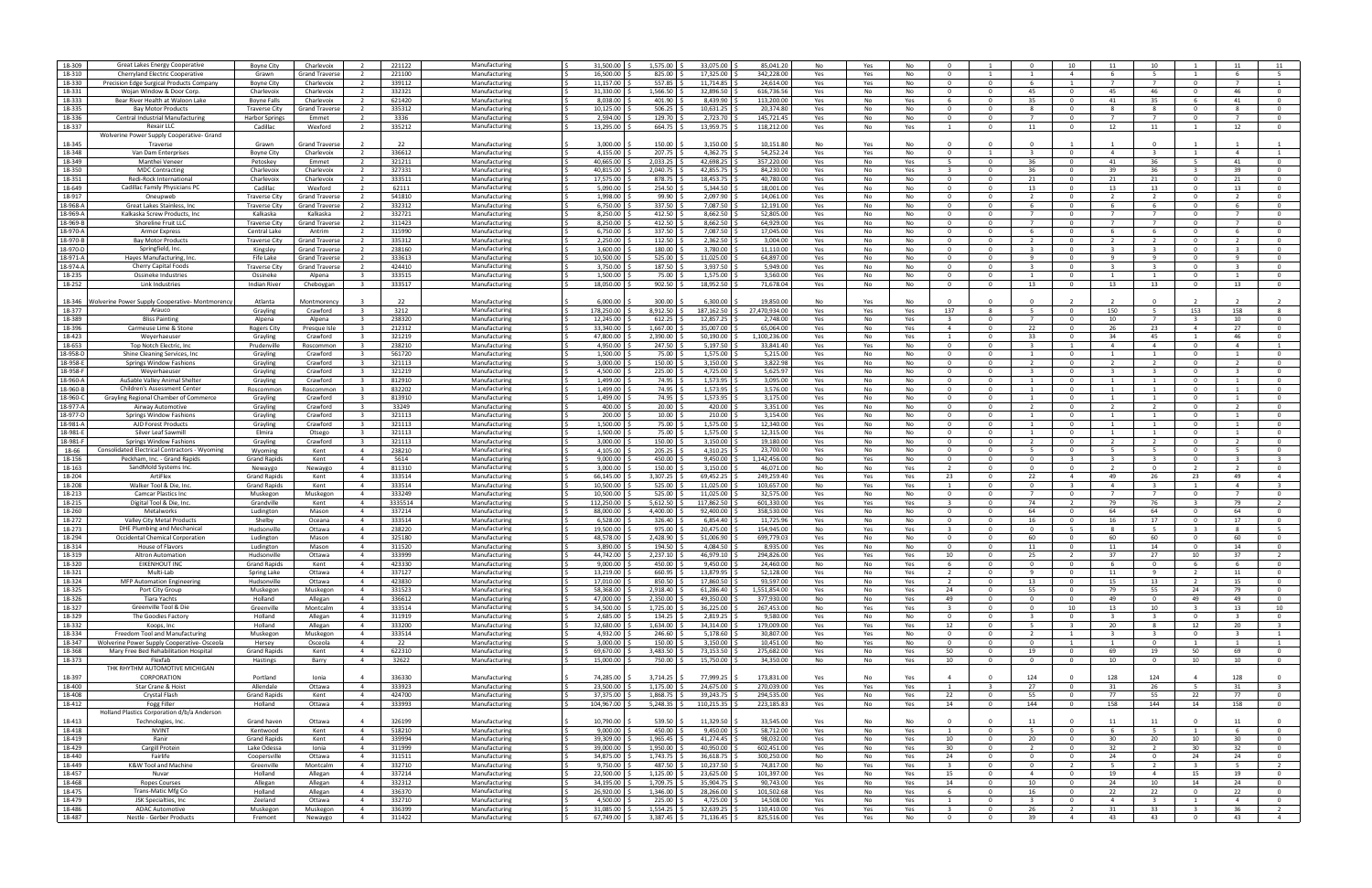| 18-309   | Great Lakes Energy Cooperative                 | <b>Boyne City</b>     | Charlevoix            | $\overline{2}$          | 221122  | Manufacturing | 31,500.00           | 1,575.00 | 33,075.00  | 85,041.2      | No  | Yes | No  | - 0             |                         | $\Omega$                 | 10             | 11                       | 10                      |                         |                         |                         |
|----------|------------------------------------------------|-----------------------|-----------------------|-------------------------|---------|---------------|---------------------|----------|------------|---------------|-----|-----|-----|-----------------|-------------------------|--------------------------|----------------|--------------------------|-------------------------|-------------------------|-------------------------|-------------------------|
| 18-310   | Cherryland Electric Cooperative                | Grawn                 | <b>Grand Travers</b>  | $\overline{2}$          | 221100  | Manufacturing | 16,500.00           | 825.00   | 17,325.00  | 342,228.00    | Yes | Yes | No  | $\Omega$        |                         |                          | $\overline{4}$ | -6                       | -5                      |                         | -6                      |                         |
| 18-330   | Precision Edge Surgical Products Company       | <b>Boyne City</b>     | Charlevoix            | $\overline{2}$          | 339112  | Manufacturing | 11,157.00           | 557.85   | 11,714.85  | 24,614.00     | Yes | Yes | No  | $\Omega$        | $\Omega$                | -6                       | $\overline{1}$ | $\overline{7}$           | $\overline{7}$          | $\Omega$                | $\overline{7}$          |                         |
| 18-331   | Wojan Window & Door Corp.                      | Charlevoix            | Charlevoix            |                         | 332321  | Manufacturing | 31,330.00           | 1,566.50 | 32,896.50  | 616,736.5     | Yes | No  | No  | $\cap$          | $\Omega$                | 45                       | - 0            | 45                       | 46                      | $\Omega$                | 46                      | $\Omega$                |
| 18-333   | Bear River Health at Waloon Lake               | <b>Boyne Falls</b>    | Charlevoix            |                         | 621420  | Manufacturing | 8,038.00            | 401.90   | 8,439.90   | 113,200.00    | Yes | No  | Yes |                 | $\Omega$                | -35                      | $\Omega$       | 41                       | 35                      | -6                      | 41                      |                         |
|          |                                                |                       |                       |                         |         |               |                     |          |            |               |     |     |     |                 |                         |                          |                |                          |                         |                         |                         |                         |
| 18-335   | <b>Bay Motor Products</b>                      | <b>Traverse City</b>  | <b>Grand Travers</b>  | $\overline{2}$          | 335312  | Manufacturing | 10,125.00           | 506.25   | 10,631.25  | 20,374.8      | Yes | No  | No  | $\Omega$        | $\Omega$                | -8                       | $\Omega$       | -8                       | 8                       | $\Omega$                | -8                      | $\mathbf 0$             |
| 18-336   | Central Industrial Manufacturing               | <b>Harbor Springs</b> | Emmet                 | $\overline{2}$          | 3336    | Manufacturing | 2,594.00            | 129.70   | 2,723.70   | 145,721.45    | Yes | No  | No  | $\Omega$        | $\Omega$                |                          | $\Omega$       |                          | $\overline{7}$          | $\Omega$                |                         | $\mathbf{0}$            |
| 18-337   | Rexair LLC                                     | Cadillac              | Wexford               | $\overline{2}$          | 335212  | Manufacturing | 13,295.00           | 664.75   | 13,959.75  | 118,212.00    | Yes | No  | Yes |                 | $\Omega$                | 11                       | $\Omega$       | 12                       | 11                      | $\overline{1}$          | 12                      | $\mathbf{0}$            |
|          | Wolverine Power Supply Cooperative- Grand      |                       |                       |                         |         |               |                     |          |            |               |     |     |     |                 |                         |                          |                |                          |                         |                         |                         |                         |
| 18-345   | Traverse                                       | Grawn                 | <b>Grand Travers</b>  |                         | 22      | Manufacturing | 3,000.00            | 150.00   | 3,150.00   | 10,151.80     | No  | Yes | No  |                 |                         |                          |                |                          |                         |                         |                         |                         |
|          |                                                |                       |                       |                         |         |               |                     |          |            |               |     |     |     |                 |                         |                          |                |                          |                         |                         |                         |                         |
| 18-348   | Van Dam Enterprises                            | <b>Bovne City</b>     | Charlevoix            | $\overline{2}$          | 336612  | Manufacturing | 4.155.00            | 207.75   | 4.362.75   | 54.252.24     | Yes | Yes | No  | $\Omega$        |                         |                          | $\Omega$       | $\overline{4}$           |                         |                         | $\overline{a}$          |                         |
| 18-349   | Manthei Venee                                  | Petoskey              | Emmet                 | $\overline{2}$          | 321211  | Manufacturing | 40,665.00           | 2,033.25 | 42,698.25  | 357,220.00    | Yes | No  | Yes |                 | $\Omega$                | 36                       | $\Omega$       | 41                       | 36                      | -5                      | 41                      | $\Omega$                |
| 18-350   | <b>MDC Contracting</b>                         | Charlevoix            | Charlevoix            | $\overline{2}$          | 327331  | Manufacturing | 40,815.00           | 2,040.75 | 42,855.75  | 84,230.0      | Yes | No  | Yes |                 | $\Omega$                | 36                       | $\Omega$       | 39                       | 36                      | $\overline{\mathbf{3}}$ | 39                      | $\mathbf 0$             |
| 18-351   | Redi-Rock Internationa                         | Charlevoix            | Charlevoix            | - 2                     | 333511  | Manufacturing | 17,575.00           | 878.75   | 18,453.75  | 40,780.0      | Yes | No  | No  | - 0             | $\Omega$                | 21                       | - 0            | 21                       | 21                      | $\mathbf{0}$            | 21                      | $^{\circ}$              |
| 18-649   | Cadillac Family Physicians PO                  | Cadillac              | Wexford               | $\overline{2}$          | 62111   | Manufacturing | 5,090.00            | 254.50   | 5,344.50   | 18,001.00     | Yes | No  | No  | $\Omega$        | $\Omega$                | 13                       | $\Omega$       | 13                       | 13                      | $\Omega$                | 13                      | $\mathbf 0$             |
| 18-917   | Oneupweb                                       |                       | <b>Grand Travers</b>  | $\overline{2}$          | 541810  | Manufacturing | 1.998.00            | 99.90    | 2,097.90   | 14.061.00     | Yes | No  | No  | $\Omega$        | $\Omega$                | $\overline{2}$           | $\Omega$       | $\overline{\phantom{a}}$ | 2                       | $\Omega$                | $\overline{z}$          | $\mathbf{0}$            |
|          |                                                | <b>Traverse City</b>  |                       |                         |         |               |                     |          |            |               |     |     |     |                 |                         |                          |                |                          |                         |                         |                         |                         |
| 18-968-A | Great Lakes Stainless, Inc.                    | <b>Traverse City</b>  | <b>Grand Travers</b>  | $\overline{2}$          | 332312  | Manufacturing | 6,750.00            | 337.50   | 7,087.50   | 12,191.00     | Yes | No  | No  | $\Omega$        | $\Omega$                | -6                       | $\Omega$       | -6                       | -6                      | $\Omega$                | -6                      | $\mathbf{0}$            |
| 18-969-A | Kalkaska Screw Products, Inc                   | Kalkaska              | Kalkaska              | $\overline{2}$          | 332721  | Manufacturing | 8,250.00            | 412.50   | 8,662.50   | 52,805.0      | Yes | No  | No  | $\Omega$        | $\Omega$                |                          | $\Omega$       | $\overline{7}$           | $\overline{7}$          | $\Omega$                | $\overline{7}$          | $\mathbf{0}$            |
| 18-969-B | Shoreline Fruit LLC                            | <b>Traverse City</b>  | <b>Grand Travers</b>  | - 2                     | 311423  | Manufacturing | 8,250.00            | 412.50   | 8,662.50   | 64,929.0      | Yes | No  | No  | 0               | $\Omega$                |                          | - 0            |                          | 7                       | $\Omega$                |                         | $\mathbf{0}$            |
| 18-970-A | <b>Armor Express</b>                           | Central Lake          | Antrim                | 2                       | 315990  | Manufacturing | 6,750.00            | 337.50   | 7,087.50   | 17,045.00     | Yes | No  | No  | $\Omega$        | $\Omega$                |                          | $\Omega$       | -6                       | 6                       | $\Omega$                | -6                      | $\mathbf 0$             |
| 18-970-B | <b>Bay Motor Products</b>                      | <b>Traverse City</b>  | <b>Grand Travers</b>  | $\overline{2}$          | 335312  | Manufacturing | 2.250.00            | 112.50   | 2.362.50   | 3.004.00      | Yes | No  | No  | $\Omega$        | $\Omega$                | $\overline{\phantom{a}}$ | $\Omega$       | $\overline{\phantom{a}}$ | $\overline{2}$          | $\Omega$                |                         | $\mathbf{0}$            |
|          |                                                |                       |                       |                         |         |               |                     |          |            |               |     |     |     | $\Omega$        | $\Omega$                |                          |                |                          | ્વ                      |                         |                         | $\Omega$                |
| 18-970-D | Springfield, Inc.                              | Kingsley              | <b>Grand Traverse</b> | $\overline{2}$          | 238160  | Manufacturing | 3,600.00            | 180.00   | 3,780.00   | 11,110.00     | Yes | No  | No  |                 |                         |                          | - 0            |                          |                         | $\Omega$                |                         |                         |
| 18-971-A | Hayes Manufacturing, Inc                       | Fife Lake             | <b>Grand Traverse</b> | $\overline{2}$          | 333613  | Manufacturing | 10,500.00           | 525.00   | 11,025.00  | 64,897.0      | Yes | No  | No  | $\Omega$        | $\Omega$                | $\mathbf{q}$             | $\Omega$       | $\mathbf{q}$             | 9                       | $\Omega$                | $\mathbf{q}$            | $\mathbf 0$             |
| 18-974-A | Cherry Capital Foods                           | <b>Traverse City</b>  | Grand Travers         |                         | 424410  | Manufacturing | 3,750.00            | 187.50   | 3,937.50   | 5,949.00      | Yes | No  | No  | $\Omega$        | $\Omega$                |                          | - 0            |                          | -3                      | $\Omega$                |                         | $\mathbf{0}$            |
| 18-235   | Ossineke Industries                            | Ossineke              | Alpena                | -3                      | 333515  | Manufacturing | 1,500.00            | 75.00    | 1,575.00   | 3,560.00      | Yes | No  | No  | $\Omega$        | $\Omega$                |                          | $\Omega$       |                          | 1                       | $\Omega$                |                         | $\mathbf 0$             |
| 18-252   | Link Industries                                | <b>Indian River</b>   | Cheboygan             | $\overline{\mathbf{3}}$ | 333517  | Manufacturing | 18.050.00           | 902.50   | 18,952.50  | 71.678.04     | Yes | No  | No  | $\Omega$        | $\Omega$                | 13                       | $\Omega$       | 13                       | 13                      | $\Omega$                | 13                      | $\Omega$                |
|          |                                                |                       |                       |                         |         |               |                     |          |            |               |     |     |     |                 |                         |                          |                |                          |                         |                         |                         |                         |
|          |                                                |                       |                       |                         |         |               |                     |          |            |               |     |     |     |                 |                         |                          |                |                          |                         |                         |                         |                         |
| 18-346   | Wolverine Power Supply Cooperative- Montmorenc | Atlanta               | Montmorenc            |                         | - 22    | Manufacturing | 6,000.00            | 300.00   | 6,300.00   | 19.850.00     | No  | Yes | No  |                 |                         |                          |                |                          |                         |                         |                         |                         |
| 18-377   | Arauco                                         | Grayling              | Crawford              | $\overline{\mathbf{3}}$ | 3212    | Manufacturing | 178,250.00          | 8,912.50 | 187,162.50 | 27,470,934.00 | Yes | Yes | Yes | 137             | -8                      | -5                       | $\Omega$       | 150                      | -5                      | 153                     | 158                     | -8                      |
| 18-389   | <b>Bliss Painting</b>                          | Alpena                | Alpena                | $\overline{\mathbf{3}}$ | 238320  | Manufacturing | 12,245.00           | 612.25   | 12,857.25  | 2,748.0       | Yes | No  | Yes |                 | $\Omega$                |                          | $\Omega$       | 10                       |                         | -3                      | 10                      | $\mathbf 0$             |
| 18-396   | Carmeuse Lime & Stone                          | <b>Rogers City</b>    | Presque Isle          | - 3                     | 212312  | Manufacturing | 33.340.00           | 1,667.00 | 35,007.00  | 65,064.0      | Yes | No  | Yes | $\overline{4}$  | $\Omega$                | 22                       | $\Omega$       | 26                       | 23                      | $\overline{4}$          | 27                      | $\Omega$                |
| 18-423   | Weyerhaeuser                                   | Grayling              | Crawford              | $\overline{\mathbf{3}}$ | 321219  | Manufacturing | 47,800.00           | 2,390.00 | 50,190.00  | 1,100,236.00  | Yes | No  | Yes |                 | $\Omega$                | 33                       | $\Omega$       | 34                       | 45                      |                         | 46                      | $\Omega$                |
| 18-653   | Top Notch Electric, Ind                        | Prudenville           | Roscommon             |                         | 238210  | Manufacturing | 4,950.00            | 247.50   | 5,197.50   | 33,841.40     | Yes | Yes | No  | - 0             | $\Omega$                |                          |                | $\overline{4}$           | $\overline{4}$          | $\Omega$                | 4                       |                         |
|          |                                                |                       |                       |                         |         |               |                     |          |            |               |     |     |     |                 |                         |                          |                |                          |                         |                         |                         |                         |
| 18-958-D | Shine Cleaning Services, Inc.                  | Grayling              | Crawford              | - 3                     | 561720  | Manufacturing | 1,500.00            | 75.00    | 1,575.00   | 5,215.0       | Yes | No  | No  | $\Omega$        | $\Omega$                |                          | $\Omega$       |                          | 1                       | $\mathbf{0}$            |                         | $\mathbf{O}$            |
| 18-958-E | Springs Window Fashions                        | Grayling              | Crawford              | $\overline{\mathbf{3}}$ | 321113  | Manufacturing | 3,000.00            | 150.00   | 3,150.00   | 3,822.98      | Yes | No  | No  | $\Omega$        | $\Omega$                |                          | $\Omega$       | $\overline{2}$           | $\overline{2}$          | $\Omega$                |                         | $\mathbf 0$             |
| 18-958-F | Weyerhaeuser                                   | Grayling              | Crawford              | $\overline{\mathbf{3}}$ | 321219  | Manufacturing | 4.500.00            | 225.00   | 4,725.00   | 5,625.97      | Yes | No  | No  | $\Omega$        | $\Omega$                |                          | $\Omega$       | - 3                      | $\overline{\mathbf{3}}$ | $\Omega$                |                         | $\mathbf{0}$            |
| 18-960-A | AuSable Valley Animal Shelter                  | Grayling              | Crawford              | $_{\rm 3}$              | 812910  | Manufacturing | 1,499.00 \$         | 74.95    | 1,573.95   | 3,095.00      | Yes | No  | No  | $\Omega$        | $\Omega$                |                          | റ              |                          | -1                      | $\Omega$                |                         | $\mathbf{0}$            |
| 18-960-B | Children's Assessment Cente                    | Roscommon             | Roscommon             |                         | 832202  | Manufacturing | 1,499.00            | 74.95    | 1,573.95   | 3,576.0       | Yes | No  | No  | - 0             | $\Omega$                |                          |                |                          |                         | $\Omega$                |                         | $\Omega$                |
| 18-960-0 |                                                |                       | Crawford              | $\overline{\mathbf{3}}$ | 813910  | Manufacturing | 1,499.00            | 74.95    | 1,573.95   | 3,175.00      | Yes | No  | No  | $\Omega$        | $\Omega$                |                          | $\Omega$       |                          | 1                       | $\Omega$                |                         | $\mathbf 0$             |
|          | Grayling Regional Chamber of Commerce          | Grayling              |                       |                         |         |               |                     |          |            |               |     |     |     |                 |                         |                          |                |                          |                         |                         |                         |                         |
| 18-977-A | Airway Automotive                              | Grayling              | Crawford              | $\overline{\mathbf{3}}$ | 33249   | Manufacturing | 400.00              | 20.00    | 420.00     | 3,351.00      | Yes | No  | No  | $\Omega$        | $\Omega$                | $\overline{2}$           | - 0            | $\overline{2}$           | <sup>2</sup>            | $\Omega$                |                         | $\mathbf 0$             |
| 18-977-D | Springs Window Fashion                         | Grayling              | Crawford              | $\overline{\mathbf{3}}$ | 321113  | Manufacturing | 200.00              | 10.00    | 210.00     | 3,154.00      | Yes | No  | No  | $\Omega$        | $\Omega$                | $\overline{1}$           | $\Omega$       | $\overline{1}$           | 1                       | $\Omega$                |                         | $\mathbf{0}$            |
| 18-981-A | AJD Forest Products                            | Grayling              | Crawford              | - 3                     | 321113  | Manufacturing | 1,500.00            | 75.00    | 1,575.00   | 12,340.00     | Yes | No  | No  | $\Omega$        | $\Omega$                |                          |                |                          | -1                      | $\Omega$                |                         | $\Omega$                |
| 18-981-  | Silver Leaf Sawmill                            | Elmira                | Otsego                |                         | 321113  | Manufacturing | 1,500.00            | 75.00    | 1,575.00   | 12,315.0      | Yes | No  | No  | - 0             | $\Omega$                |                          |                |                          |                         | - 0                     |                         | $\Omega$                |
| 18-981-F | Springs Window Fashion                         | Grayling              | Crawford              | $\overline{\mathbf{3}}$ | 321113  | Manufacturing | 3,000.00            | 150.00   | 3,150.00   | 19,180.0      | Yes | No  | No  | $^{\circ}$      | $\Omega$                | $\overline{2}$           | $\Omega$       | $\overline{2}$           | <sup>2</sup>            | $\mathbf{0}$            | -2                      | $\mathbf 0$             |
| 18-66    | Consolidated Electrical Contractors - Wyoming  | Wyoming               | Kent                  | $\overline{4}$          | 238210  | Manufacturing | 4,105.00            | 205.25   | 4,310.25   | 23,700.0      | Yes | No  | No  | $\Omega$        | $\Omega$                |                          | $\Omega$       | -5                       | 5                       | $\Omega$                | -5                      | $\Omega$                |
| 18-156   | Peckham, Inc. - Grand Rapids                   | <b>Grand Rapids</b>   | Kent                  | $\overline{4}$          | 5614    | Manufacturing | 9.000.00            | 450.00   | 9,450.00   | 1,142,456.0   | No  | Yes | No  | $\Omega$        | $\Omega$                | $\Omega$                 | $\overline{3}$ | $_{\rm 3}$               | $\overline{\mathbf{3}}$ | $\Omega$                | $\mathbf{3}$            | $\overline{\mathbf{3}}$ |
|          |                                                |                       |                       |                         |         |               |                     |          |            |               |     |     |     |                 |                         |                          |                |                          |                         |                         |                         |                         |
| 18-163   | SandMold Systems Inc.                          | Newaygo               | Newaygo               | $\overline{4}$          | 811310  | Manufacturing | 3,000.00            | 150.00   | 3,150.00   | 46,071.0      | No  | No  | Yes |                 | <sup>n</sup>            | $\Omega$                 | - 0            |                          | $\mathbf 0$             |                         |                         | $\mathbf{0}$            |
| 18-204   | <b>ArtiFlex</b>                                | <b>Grand Rapids</b>   | Kent                  | $\overline{4}$          | 333514  | Manufacturing | 66,145.00           | 3,307.25 | 69,452.25  | 249,259.40    | Yes | Yes | Yes | 23              | $\Omega$                | 22                       | $\overline{4}$ | 49                       | 26                      | 23                      | 49                      |                         |
| 18-208   | Walker Tool & Die, Inc                         | <b>Grand Rapids</b>   | Kent                  | $\overline{4}$          | 333514  | Manufacturing | 10,500.00           | 525.00   | 11,025.00  | 103,657.0     | No  | Yes | Yes |                 | $\Omega$                | $\Omega$                 | $\mathbf{3}$   | $\overline{4}$           | $\overline{3}$          | -1                      | 4                       | -3                      |
| 18-213   | Camcar Plastics Inc                            | Muskegon              | Muskegon              | $\overline{4}$          | 333249  | Manufacturing | 10,500.00           | 525.00   | 11,025.00  | 32,575.0      | Yes | No  | No  | $\Omega$        | $\Omega$                |                          | $\Omega$       |                          | 7                       | $\overline{0}$          |                         | $\mathbf 0$             |
| 18-215   | Digital Tool & Die, Inc                        | Grandville            | Kent                  | $\overline{4}$          | 3335514 | Manufacturing | 112,250.00          | 5,612.50 | 117,862.50 | 601,330.0     | Yes | Yes | Yes | - 3             | $\Omega$                | 74                       | $\overline{2}$ | 79                       | 76                      | $\overline{\mathbf{3}}$ | 79                      | $\overline{2}$          |
| 18-260   | Metalworks                                     |                       | Mason                 | $\overline{4}$          | 337214  | Manufacturing | 88,000.00           | 4,400.00 | 92,400.00  | 358,530.00    |     |     | No  | $\Omega$        | $\Omega$                | 64                       | $\Omega$       | 64                       | 64                      | $\Omega$                | 64                      | $\Omega$                |
|          |                                                | Ludington             |                       |                         |         |               |                     |          |            |               | Yes | No  |     |                 |                         |                          |                |                          |                         |                         |                         |                         |
| 18-272   | Valley City Metal Products                     | Shelby                | Oceana                | $\overline{4}$          | 333514  | Manufacturing | 6,528.00            | 326.40   | 6,854.40   | 11,725.9      | Yes | No  | No  |                 |                         | 16                       |                | 16                       | 17                      | $\Omega$                | 17                      | $\Omega$                |
| 18-273   | DHE Plumbing and Mechanical                    | Hudsonville           | Ottawa                | 4                       | 238220  | Manufacturing | 19,500.00           | 975.00   | 20,475.00  | 154,945.0     | No  | Yes | Yes |                 | $\Omega$                | $\Omega$                 | - 5            | -8                       | - 5                     | -3                      | -8                      |                         |
| 18-294   | Occidental Chemical Corporation                | Ludington             | Mason                 | $\overline{4}$          | 325180  | Manufacturing | 48,578.00           | 2,428.90 | 51,006.90  | 699,779.0     | Yes | No  | No  | - 0             | $\Omega$                | 60                       | $\Omega$       | 60                       | 60                      | $\Omega$                | 60                      | $\Omega$                |
| 18-314   | House of Flavors                               | Ludington             | Mason                 | $\overline{4}$          | 311520  | Manufacturing | 3.890.00            | 194.50   | 4.084.50   | 8,935.0       | Yes | No  | No  | $\Omega$        | $\Omega$                | 11                       | $\Omega$       | 11                       | 14                      | $\Omega$                | 14                      | $\mathbf 0$             |
| 18-319   | Altron Automation                              | Hudsonville           | Ottawa                | $\overline{4}$          | 333999  | Manufacturing | 44,742.00           | 2,237.10 | 46,979.10  | 294,826.00    | Yes | Yes | Yes | 10 <sup>1</sup> |                         | 25                       |                | 37                       | 27                      | 10                      | 37                      |                         |
| 18-320   | EIKENHOUT INC                                  | <b>Grand Rapids</b>   | Kent                  | $\overline{a}$          | 423330  | Manufacturing | 9,000.00            | 450.00   | 9,450.00   | 24,460.00     | No  | No  | Yes |                 |                         |                          |                |                          | $\Omega$                |                         |                         |                         |
| 18-321   |                                                |                       |                       |                         |         |               |                     |          |            |               |     |     |     |                 |                         |                          |                |                          |                         |                         |                         |                         |
|          | Multi-Lab                                      | Spring Lake           | Ottawa                | $\overline{4}$          | 337127  | Manufacturing | 13,219.00           | 660.95   | 13,879.95  | 52,128.00     | Yes | No  | Yes | $\overline{z}$  | $\Omega$                | -9                       | $\mathbf{0}$   | 11                       | 9                       | <sup>2</sup>            | 11                      | $\mathbf 0$             |
| 18-324   | <b>MFP Automation Engineering</b>              | Hudsonville           | Ottawa                | $\overline{4}$          | 423830  | Manufacturing | 17,010.00           | 850.50   | 17,860.50  | 93,597.00     | Yes | No  | Yes | $\overline{2}$  | $\overline{\mathbf{0}}$ | 13                       | $\mathbf{O}$   | 15                       | 13                      | $\overline{2}$          | 15                      | $\overline{0}$          |
| 18-325   | Port City Group                                | Muskegon              | Muskegon              | $\overline{4}$          | 331523  | Manufacturing | 58.368.00<br>I S    | 2,918.40 | 61,286.40  | 1,551,854.00  | Yes | No  | Yes | 24              | $\overline{0}$          | 55                       | $\overline{0}$ | 79                       | 55                      | 24                      | 79                      | $\mathbf{0}$            |
| 18-326   | Tiara Yachts                                   | Holland               | Allegan               | $\overline{4}$          | 336612  | Manufacturing | 47,000.00           | 2,350.00 | 49,350.00  | 377,930.00    | No  | No  | Yes | 49              | $\Omega$                | $\Omega$                 | $\Omega$       | 49                       | $\mathbf{0}$            | 49                      | 49                      | $\overline{0}$          |
| 18-327   | Greenville Tool & Die                          | Greenville            | Montcalm              | $\overline{4}$          | 333514  | Manufacturing | 34,500.00           | 1,725.00 | 36,225.00  | 267,453.00    | No  | Yes | Yes |                 | $\Omega$                | $\Omega$                 | 10             | 13                       | 10                      |                         | 13                      | 10                      |
| 18-329   | The Goodies Factory                            | Holland               | Allegan               | $\overline{4}$          | 311919  | Manufacturing | 2,685.00            | 134.25   | 2,819.25   | 9,580.00      | Yes | No  | No  | $\mathbf{0}$    | $^{\circ}$              | $\overline{\mathbf{3}}$  | $\mathbf{O}$   | - 3                      | $\overline{\mathbf{3}}$ | $\mathbf{0}$            | -3                      | $\overline{0}$          |
| 18-332   | Koops, Inc.                                    | Holland               | Allegan               | $\overline{4}$          | 333200  | Manufacturing | 32,680.00           | 1,634.00 | 34,314.00  | 179,009.00    | Yes | Yes | Yes | 12              | $\mathbf 0$             | -5                       | $\mathbf{3}$   | 20                       | 8                       | 12                      | 20                      | $\overline{\mathbf{3}}$ |
|          |                                                |                       |                       |                         |         |               |                     |          |            |               |     |     |     |                 |                         |                          |                |                          |                         |                         |                         |                         |
| 18-334   | Freedom Tool and Manufacturing                 | Muskegon              | Muskegon              | $\overline{4}$          | 333514  | Manufacturing | $4.932.00$ \$<br>ΙŚ | 246.60   | 5,178.60   | 30,807.00     | Yes | Yes | No  | $\overline{0}$  | $\overline{0}$          | $\overline{2}$           | 1              | $\overline{\mathbf{3}}$  | $\overline{\mathbf{3}}$ | $\overline{0}$          | $\overline{\mathbf{3}}$ | $\mathbf{1}$            |
| 18-347   | Wolverine Power Supply Cooperative-Osceola     | Hersey                | Osceola               | $\overline{4}$          | 22      | Manufacturing | $3,000.00$ $\mid$ 3 | 150.00   | 3,150.00   | 10,451.00     | No  | Yes | No  | $\Omega$        | $\Omega$                | $\Omega$                 | $\overline{1}$ | -1                       | $\mathbf{0}$            | - 1                     | -1                      | $\mathbf{1}$            |
| 18-368   | Mary Free Bed Rehabilitation Hospital          | <b>Grand Rapids</b>   | Kent                  | $\overline{4}$          | 622310  | Manufacturing | 69,670.00           | 3,483.50 | 73,153.50  | 275,682.0     | Yes | No  | Yes | 50              | $\Omega$                | 19                       | $\Omega$       | 69                       | 19                      | 50                      | 69                      | $\mathbf{0}$            |
| 18-373   | Flexfab                                        | Hastings              | Barry                 | $\overline{4}$          | 32622   | Manufacturing | 15,000.00           | 750.00   | 15,750.00  | 34,350.00     | No  | No  | Yes | 10              | $\overline{0}$          | $\overline{\mathbf{0}}$  | $\mathbf{0}$   | 10                       | $\mathbf 0$             | 10                      | 10                      | $\overline{0}$          |
|          | THK RHYTHM AUTOMOTIVE MICHIGAN                 |                       |                       |                         |         |               |                     |          |            |               |     |     |     |                 |                         |                          |                |                          |                         |                         |                         |                         |
| 18-397   | CORPORATION                                    | Portland              | Ionia                 | $\overline{4}$          | 336330  | Manufacturing | 74.285.00           | 3,714.25 | 77,999.25  | 173,831.00    | Yes | No  | Yes | $\mathbf{A}$    | $\Omega$                | 124                      | $\Omega$       | 128                      | 124                     | $\overline{a}$          | 128                     | $\mathbf{0}$            |
|          |                                                |                       |                       |                         |         |               |                     |          |            |               |     |     |     |                 |                         |                          |                |                          |                         |                         |                         |                         |
| 18-400   | Star Crane & Hoist                             | Allendale             | Ottawa                | $\overline{4}$          | 333923  | Manufacturing | 23,500.00           | 1,175.00 | 24,675.00  | 270,039.00    | Yes | Yes | Yes | $\mathbf{1}$    | $\mathbf{R}$            | 27                       | $\Omega$       | 31                       | 26                      | 5                       | 31                      | $\overline{\mathbf{3}}$ |
| 18-408   | Crystal Flash                                  | <b>Grand Rapids</b>   | Kent                  | $\overline{4}$          | 424700  | Manufacturing | 37,375.00           | 1,868.75 | 39,243.75  | 294,535.00    | Yes | No  | Yes | 22              | $\Omega$                | 55                       | $\mathbf{0}$   | 77                       | 55                      | 22                      | 77                      | $\overline{0}$          |
| 18-412   | Fogg Filler                                    | Holland               | Ottawa                | $\overline{4}$          | 333993  | Manufacturing | 104,967.00          | 5,248.35 | 110,215.35 | 223,185.83    | Yes | No  | Yes | 14              | $\Omega$                | 144                      | $\Omega$       | 158                      | 144                     | 14                      | 158                     | $\overline{0}$          |
|          | Holland Plastics Corporation d/b/a Anderson    |                       |                       |                         |         |               |                     |          |            |               |     |     |     |                 |                         |                          |                |                          |                         |                         |                         |                         |
| 18-413   | Technologies, Inc.                             | Grand haven           | Ottawa                | $\overline{a}$          | 326199  | Manufacturing | 10,790.00           | 539.50   | 11,329.50  | 33,545.00     | Yes | No  | No  | - 0             | $\Omega$                | 11                       | $\Omega$       | 11                       | 11                      | $\Omega$                | 11                      | $\Omega$                |
| 18-418   | <b>NVINT</b>                                   | Kentwood              | Kent                  | $\overline{4}$          | 518210  | Manufacturing | 9,000.00            | 450.00   | 9,450.00   | 58,712.00     | Yes | No  | Yes | $\overline{1}$  | $\Omega$                | - 5                      | $\Omega$       | -6                       | - 5                     | $\overline{1}$          | -6                      | $\mathbf{0}$            |
|          |                                                |                       |                       |                         |         |               |                     |          |            |               |     |     |     |                 |                         |                          |                |                          |                         |                         |                         |                         |
| 18-419   | Ranir                                          | <b>Grand Rapids</b>   | Kent                  | $\overline{4}$          | 339994  | Manufacturing | 39,309.00           | 1,965.45 | 41,274.45  | 98,032.00     | Yes | No  | Yes | 10              | $\Omega$                | 20                       | $\mathbf{0}$   | 30                       | 20                      | 10                      | 30                      | $\mathbf 0$             |
| 18-429   | Cargill Protein                                | Lake Odessa           | Ionia                 | $\overline{4}$          | 311999  | Manufacturing | 39,000.00           | 1,950.00 | 40,950.00  | 602,451.00    | Yes | No  | Yes | 30              | $\overline{0}$          | $\overline{2}$           | $\overline{0}$ | 32                       | $\overline{2}$          | 30                      | 32                      | $\overline{0}$          |
| 18-440   | Fairlife                                       | Coopersville          | Ottawa                | $\overline{4}$          | 311511  | Manufacturing | 34,875.00 \$        | 1,743.75 | 36,618.75  | 300,250.00    | No  | No  | Yes | 24              | $\overline{0}$          | $\overline{0}$           | $\overline{0}$ | 24                       | $\mathbf{0}$            | 24                      | 24                      | $\mathbf{0}$            |
| 18-449   | K&W Tool and Machine                           | Greenville            | Montcalm              | $\overline{4}$          | 332710  | Manufacturing | 9,750.00            | 487.50   | 10,237.50  | 74,817.00     | No  | Yes | Yes | $\mathbf{R}$    | $\Omega$                | $\overline{0}$           | $\overline{2}$ | $-5$                     | $\overline{2}$          | $\overline{3}$          | 5                       | $\overline{2}$          |
| 18-457   | Nuvar                                          | Holland               | Allegan               | $\overline{4}$          | 337214  | Manufacturing | 22,500.00           | 1,125.00 | 23,625.00  | 101,397.00    | Yes | No  | Yes | 15              | $\overline{0}$          | $\overline{4}$           | $\overline{0}$ | 19                       | $\overline{4}$          | 15                      | 19                      | $\mathbf{O}$            |
| 18-468   | <b>Ropes Courses</b>                           | Allegan               | Allegan               | $\overline{4}$          | 332312  | Manufacturing | 34,195.00           | 1,709.75 | 35,904.75  | 90,743.00     | Yes | No  | Yes | 14              | $\Omega$                | 10                       | $\mathbf 0$    | 24                       | 10                      | 14                      | 24                      | $\mathbf 0$             |
|          |                                                |                       |                       |                         |         |               |                     |          |            |               |     |     |     |                 |                         |                          |                |                          |                         |                         |                         |                         |
| 18-475   | Trans-Matic Mfg Co                             | Holland               | Allegan               | $\overline{4}$          | 336370  | Manufacturing | 26,920.00           | 1,346.00 | 28,266.00  | 101,502.68    | Yes | No  | Yes | 6               | $\overline{0}$          | 16                       | $\mathbf{0}$   | 22                       | 22                      | $\overline{0}$          | 22                      | $\overline{0}$          |
| 18-479   | JSK Specialties, Inc.                          | Zeeland               | Ottawa                | $\overline{4}$          | 332710  | Manufacturing | 4,500.00            | 225.00   | 4,725.00   | 14,508.00     | Yes | No  | Yes | 1               | $\Omega$                | $\mathbf{B}$             | $\mathbf{0}$   | $\overline{4}$           | $\overline{\mathbf{3}}$ | -1                      | $\overline{4}$          | $\mathbf{0}$            |
| 18-486   | <b>ADAC Automotive</b>                         | Muskegon              | Muskegon              | $\overline{4}$          | 336399  | Manufacturing | 31,085.00           | 1,554.25 | 32,639.25  | 110,410.00    | Yes | Yes | Yes | $\mathbf{R}$    | $\Omega$                | 26                       | $\overline{2}$ | 31                       | 33                      | $\overline{\mathbf{3}}$ | 36                      | $\overline{2}$          |
| 18-487   | Nestle - Gerber Products                       | Fremont               | Newaygo               | $\overline{4}$          | 311422  | Manufacturing | 67,749.00 \$        | 3,387.45 | 71,136.45  | 825,516.00    | Yes | Yes | No  | $\overline{0}$  | $\Omega$                | 39                       | $\overline{4}$ | 43                       | 43                      | $\overline{0}$          | 43                      | $\overline{4}$          |
|          |                                                |                       |                       |                         |         |               |                     |          |            |               |     |     |     |                 |                         |                          |                |                          |                         |                         |                         |                         |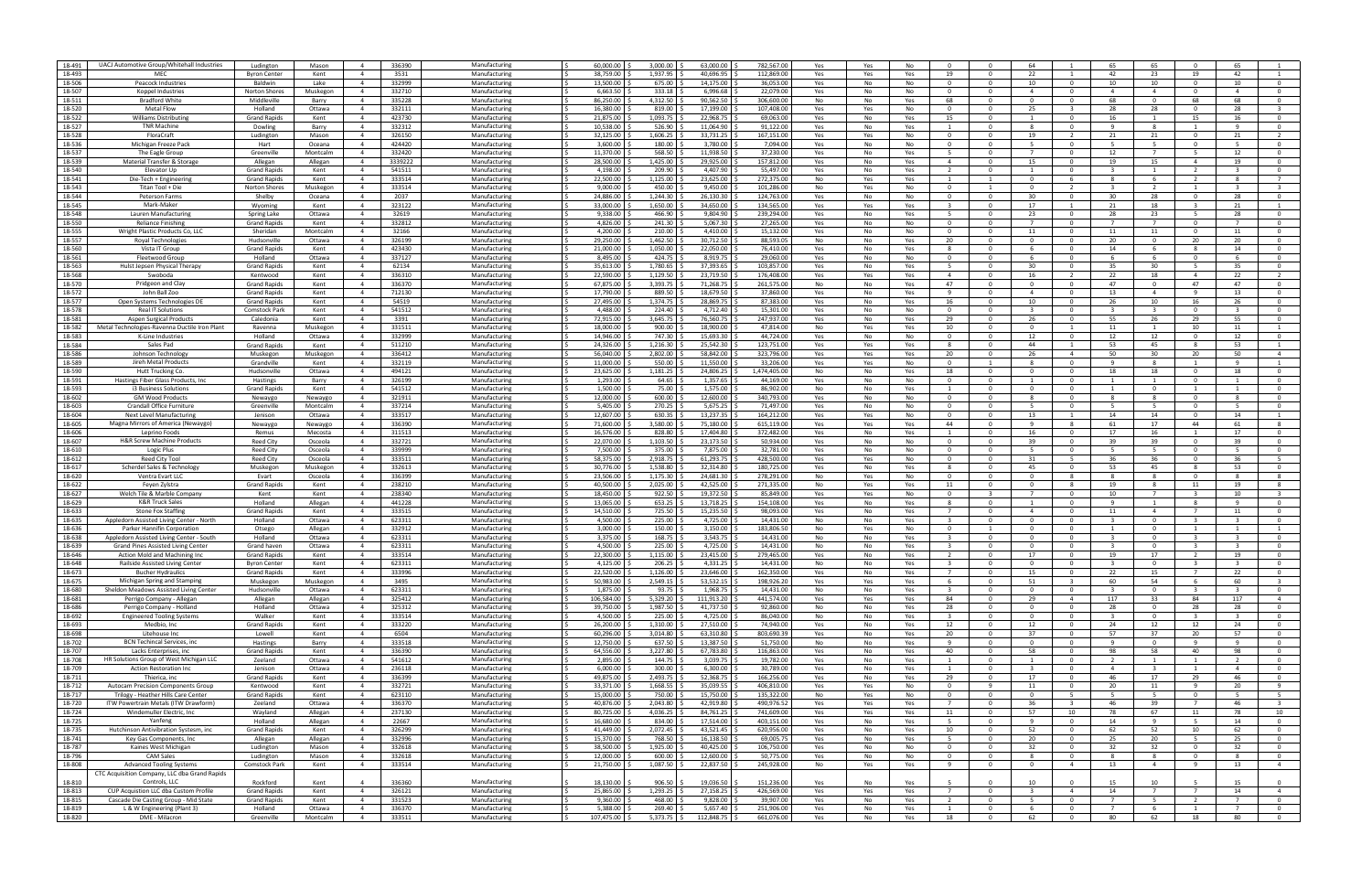| 18-491           | UACJ Automotive Group/Whitehall Industries    | Ludington             | Mason              | 336390<br>$\overline{4}$                             | Manufacturing                  | 60,000.00              | 3,000.00                | 63,000.00              | 782,567.00               | Yes        | Yes<br>No              |                |                                | 64                      |                              | 65                      | 65                      | $\Omega$                | 65.                     |                                  |
|------------------|-----------------------------------------------|-----------------------|--------------------|------------------------------------------------------|--------------------------------|------------------------|-------------------------|------------------------|--------------------------|------------|------------------------|----------------|--------------------------------|-------------------------|------------------------------|-------------------------|-------------------------|-------------------------|-------------------------|----------------------------------|
|                  |                                               |                       |                    |                                                      |                                |                        |                         |                        |                          |            |                        |                |                                |                         |                              |                         |                         |                         |                         |                                  |
| 18-493           | MEC                                           | <b>Byron Center</b>   | Kent               | 3531<br>$\overline{a}$                               | Manufacturing                  | 38,759.00              | 1,937.95                | 40,696.95              | 112,869.0                | Yes        | Yes<br>Yes             | 19             | $\Omega$                       | 22                      |                              | 42                      | 23                      | 19                      | 42                      |                                  |
| 18-506           | Peacock Industries                            | Baldwin               | Lake               | 332999<br>$\overline{4}$                             | Manufacturing                  | 13,500.00              | 675.00                  | 14,175.00              | 36,053.0                 | Yes        | No<br>No               | $\Omega$       | $\Omega$                       | 10                      | $\Omega$                     | 10                      | 10                      | $\mathbf{0}$            | 10                      |                                  |
| 18-507           | Koppel Industries                             | Norton Shores         | Muskegon           | $\overline{4}$<br>332710                             | Manufacturing                  | 6,663.50               | 333.18                  | 6,996.68               | 22,079.00                | Yes        | No<br>No               | - 0            | $\Omega$                       | $\overline{a}$          | $\Omega$                     | $\overline{a}$          | $\overline{a}$          | $\Omega$                | $\overline{a}$          | $\Omega$                         |
| 18-511           |                                               | Middleville           |                    | 335228<br>$\overline{4}$                             | Manufacturing                  | 86,250.00              | 4,312.50                | 90,562.50              | 306.600.00               |            | No<br>Yes              | 68             | $\Omega$                       | $\Omega$                | $\mathbf{0}$                 | 68                      | $\overline{0}$          | 68                      | 68                      | $\Omega$                         |
|                  | <b>Bradford White</b>                         |                       | Barry              |                                                      |                                |                        |                         |                        |                          | No         |                        |                |                                |                         |                              |                         |                         |                         |                         |                                  |
| 18-520           | <b>Metal Flow</b>                             | Holland               | Ottawa             | 332111<br>$\overline{4}$                             | Manufacturing                  | 16,380.00              | 819.00                  | 17,199.00              | 107,408.00               | Yes        | No<br>Yes              | $\Omega$       | $\Omega$                       | 25                      |                              | 28                      | 28                      | $\Omega$                | 28                      |                                  |
| 18-522           | <b>Williams Distributin</b>                   | <b>Grand Rapids</b>   | Kent               | 423730<br>$\overline{4}$                             | Manufacturing                  | 21,875.00              | 1,093.75                | 22,968.75              | 69,063.0                 | Yes        | No<br>Yes              | 15             | $\Omega$                       |                         |                              | 16                      |                         | 15                      | 16                      | $^{\circ}$                       |
| 18-527           | <b>TNR Machine</b>                            |                       |                    | 332312                                               | Manufacturing                  | 10,538.00              | 526.90                  | 11,064.90              | 91,122.0                 |            |                        |                | $\Omega$                       | -8                      | $\Omega$                     | - 9                     | 8                       | -1                      | -9                      | $\Omega$                         |
|                  |                                               | Dowling               | Barry              | $\overline{4}$                                       |                                |                        |                         |                        |                          | Yes        | No<br>Yes              |                |                                |                         |                              |                         |                         |                         |                         |                                  |
| 18-528           | FloraCraft                                    | Ludington             | Mason              | $\overline{4}$<br>326150                             | Manufacturing                  | 32,125.00              | 1,606.25                | 33,731.25              | 167,151.00               | Yes        | Yes<br>No              | $\Omega$       | $\Omega$                       | 19                      |                              | 21                      | 21                      | $\Omega$                | 21                      |                                  |
| 18-536           | Michigan Freeze Pack                          | Hart                  | Oceana             | 424420<br>$\overline{4}$                             | Manufacturing                  | 3.600.00               | 180.00                  | 3,780.00               | 7,094.00                 | Yes        | No<br>No               | $\Omega$       | $\Omega$                       | - 5                     | $\Omega$                     | - 5                     | - 5                     | $\overline{0}$          | -5                      | $\Omega$                         |
|                  |                                               |                       |                    | 332420<br>$\overline{4}$                             |                                | 11,370.00              |                         | 11,938.50              | 37,230.0                 |            |                        |                | $\Omega$                       |                         | . റ                          |                         | 7                       |                         |                         |                                  |
| 18-537           | The Eagle Group                               | Greenville            | Montcalm           |                                                      | Manufacturing                  |                        | 568.50                  |                        |                          | Yes        | No<br>Yes              |                |                                |                         |                              | 12                      |                         | - 5                     | 12                      |                                  |
| 18-539           | Material Transfer & Storag                    | Allegan               | Allegan            | 3339222<br>$\overline{4}$                            | Manufacturing                  | 28,500.00              | 1,425.00                | 29,925.00              | 157,812.0                | Yes        | No<br>Yes              | $\overline{a}$ | $\Omega$                       | 15                      |                              | 19                      | 15                      | $\overline{4}$          | 19                      |                                  |
| 18-540           | Elevator Up                                   | <b>Grand Rapids</b>   | Kent               | 541511<br>$\overline{4}$                             | Manufacturin                   | 4,198.00               | 209.90                  | 4,407.90               | 55,497.0                 | Yes        | No<br>Yes              |                | $\Omega$                       |                         | $\Omega$                     | -3                      | -1                      | <sup>2</sup>            | $\overline{3}$          |                                  |
|                  |                                               |                       |                    |                                                      |                                |                        |                         |                        |                          |            |                        |                |                                |                         |                              |                         |                         |                         |                         |                                  |
| 18-541           | Die-Tech + Engineerin                         | <b>Grand Rapids</b>   | Kent               | $\overline{4}$<br>333514                             | Manufacturing                  | 22,500.00              | 1,125.00                | 23,625.00              | 272.375.00               | No         | Yes<br>Yes             |                |                                | $\Omega$                |                              | -8                      | -6                      | - 2                     | 8                       |                                  |
| 18-543           | Titan Tool + Die                              | Norton Shores         | Muskegon           | 333514<br>$\overline{4}$                             | Manufacturing                  | 9.000.00               | 450.00                  | 9,450.00               | 101,286.00               | No         | Yes<br>No              | $\Omega$       | 1                              | $\Omega$                | $\overline{2}$               | $\overline{\mathbf{3}}$ | $\overline{2}$          | 1                       | $\overline{3}$          |                                  |
| 18-544           | Peterson Farms                                | Shelby                | Oceana             | 2037<br>$\overline{4}$                               | Manufacturing                  | 24.886.00              | 1,244.30                | 26,130.30              | 124,763.00               | Yes        | No<br>No               | $\Omega$       | $\Omega$                       | 30                      | $\Omega$                     | 30                      | 28                      | $\Omega$                | 28                      |                                  |
|                  |                                               |                       |                    |                                                      |                                |                        |                         |                        |                          |            |                        |                |                                |                         |                              |                         |                         |                         |                         |                                  |
| 18-545           | Mark-Maker                                    | Wyoming               | Kent               | 323122<br>4                                          | Manufacturing                  | 33,000.00              | 1,650.00                | 34,650.00              | 134,565.0                | Yes        | Yes<br>Yes             |                | $\Omega$                       | 17                      |                              | 21                      | 18                      | - 3                     | 21                      |                                  |
| 18-548           | Lauren Manufacturing                          | Spring Lake           | Ottawa             | 32619<br>$\overline{4}$                              | Manufacturing                  | 9,338.00               | 466.90                  | 9,804.90               | 239,294.0                | Yes        | No<br>Yes              | -5             | $\Omega$                       | 23                      | $\Omega$                     | 28                      | 23                      | 5                       | 28                      | $\Omega$                         |
| 18-550           | Reliance Finishi                              | <b>Grand Rapids</b>   | Kent               | 332812<br>$\overline{4}$                             | Manufacturing                  | 4.826.00               | 241.30                  | 5.067.30               | 27.265.00                | Yes        | No<br>No               | - 0            | $\Omega$                       |                         | $\Omega$                     |                         | $\overline{7}$          | $\Omega$                |                         |                                  |
| 18-555           |                                               |                       | Montcalm           | $\overline{4}$                                       | Manufacturing                  | 4,200.00               | 210.00                  | 4,410.00               | 15,132.00                |            | No<br>No               | $\Omega$       | $\Omega$                       |                         | $\mathbf{0}$                 | 11                      |                         | $\overline{0}$          |                         | $\overline{0}$                   |
|                  | Wright Plastic Products Co, LLC               | Sheridan              |                    | 32166                                                |                                |                        |                         |                        |                          | Yes        |                        |                |                                | 11                      |                              |                         | 11                      |                         | 11                      |                                  |
| 18-557           | Royal Technologies                            | Hudsonville           | Ottawa             | 326199<br>$\overline{4}$                             | Manufacturing                  | 29,250.00              | 1,462.50                | 30,712.50              | 88,593.0                 | No         | No<br>Yes              | 20             | $\Omega$                       |                         |                              | 20                      | $\Omega$                | 20                      | 20                      |                                  |
| 18-560           | Vista IT Group                                | <b>Grand Rapids</b>   | Kent               | 423430<br>$\overline{4}$                             | Manufacturing                  | 21,000.00              | 1,050.00                | 22,050.00              | 76,410.0                 | Yes        | No<br>Yes              |                | $\Omega$                       |                         |                              | 14                      |                         | -8                      | 14                      |                                  |
| 18-561           | Fleetwood Group                               | Holland               | Ottawa             | 337127<br>$\overline{4}$                             | Manufacturing                  | 8,495.00               | 424.75                  | 8,919.75               | 29,060.0                 | Yes        | No<br>No               | $\Omega$       | $\Omega$                       | -6                      | $\Omega$                     | - 6                     | -6                      | $\mathbf{0}$            | -6                      | $\Omega$                         |
|                  |                                               |                       |                    |                                                      |                                |                        |                         |                        |                          |            |                        |                |                                |                         |                              |                         |                         |                         |                         |                                  |
| 18-563           | Hulst Jepsen Physical Therapy                 | <b>Grand Rapids</b>   | Kent               | $\overline{4}$<br>62134                              | Manufacturing                  | 35.613.00              | 1.780.65                | 37.393.65              | 103.857.00               | Yes        | No<br>Yes              |                | $\Omega$                       | 30                      | $\Omega$                     | 35                      | 30                      | - 5                     | 35                      | $\Omega$                         |
| 18-568           | Swoboda                                       | Kentwood              | Kent               | 336310<br>$\overline{4}$                             | Manufacturing                  | 22.590.00              | 1,129.50                | 23.719.50              | 176.408.00               | Yes        | Yes<br>Yes             | $\overline{4}$ | $\Omega$                       | 16                      | 2                            | 22                      | 18                      | $\overline{4}$          | 22                      | $\overline{2}$                   |
| 18-570           | Pridgeon and Clay                             | <b>Grand Rapids</b>   | Kent               | 336370<br>$\overline{4}$                             | Manufacturing                  | 67,875.00              | 3,393.75                | 71,268.75              | 261,575.00               | No         | No<br>Yes              | 47             | $\Omega$                       |                         | $\Omega$                     | 47                      | $\Omega$                | 47                      | 47                      |                                  |
|                  |                                               |                       |                    |                                                      |                                |                        |                         |                        |                          |            |                        |                |                                |                         |                              |                         |                         |                         |                         |                                  |
| 18-572           | John Ball Zoo                                 | <b>Grand Rapids</b>   | Kent               | 712130<br>$\overline{4}$                             | Manufacturing                  | 17,790.00              | 889.50                  | 18,679.50              | 37,860.0                 | Yes        | No<br>Yes              | ٩              | $\Omega$                       |                         |                              | 13                      | $\overline{a}$          | - 9                     | 13                      | $\Omega$                         |
| 18-577           | Open Systems Technologies DE                  | <b>Grand Rapids</b>   | Kent               | 54519<br>$\overline{4}$                              | Manufacturing                  | 27,495.00              | 1,374.75                | 28,869.75              | 87,383.0                 | Yes        | No<br>Yes              | 16             | $\Omega$                       | 10                      | $\Omega$                     | 26                      | 10                      | 16                      | 26                      | $\Omega$                         |
| 18-578           | Real IT Solution:                             | Comstock Park         | Kent               | 541512<br>$\overline{4}$                             | Manufacturing                  | 4.488.00               | 224.40                  | 4.712.40               | 15.301.00                | Yes        | No<br>No               | - 0            | $\Omega$                       |                         | $\Omega$                     |                         | $\mathbf{R}$            | $\Omega$                | -3                      | $\Omega$                         |
| 18-581           | <b>Aspen Surgical Products</b>                | Caledonia             | Kent               | $\overline{4}$<br>3391                               | Manufacturing                  | 72,915.00              | 3,645.75                | 76,560.75              | 247.937.00               | Yes        | No<br>Yes              | 29             | $\Omega$                       | - 26                    | $\overline{0}$               | 55                      | 26                      | 29                      | 55                      | $\overline{0}$                   |
|                  |                                               |                       |                    |                                                      |                                |                        |                         |                        |                          |            |                        |                |                                |                         |                              |                         |                         |                         |                         |                                  |
| 18-582           | Metal Technologies-Ravenna Ductile Iron Plant | Ravenna               | Muskegon           | 331511<br>$\overline{4}$                             | Manufacturing                  | 18,000.00              | 900.00                  | 18,900.00              | 47,814.0                 | No         | Yes<br>Yes             | 10             | $\Omega$                       |                         |                              | 11                      |                         | 10                      | 11                      |                                  |
| 18-583           | K-Line Industries                             | Holland               | Ottawa             | 332999<br>$\overline{4}$                             | Manufacturing                  | 14,946.00              | 747.30                  | 15,693.30              | 44,724.0                 | Yes        | No<br>No               | $\Omega$       | $\Omega$                       | 12                      | $\Omega$                     | 12                      | 12                      | $\Omega$                | 12                      |                                  |
| 18-584           | Sales Pad                                     | <b>Grand Rapids</b>   | Kent               | 511210<br>$\overline{4}$                             | Manufacturing                  | 24,326.00              | 1,216.30                | 25,542.30              | 123,751.0                | Yes        | Yes<br>Yes             | -8             | $\Omega$                       | 44                      | $\mathbf{1}$                 | 53                      | 45                      | - 8                     | 53                      |                                  |
|                  |                                               |                       |                    |                                                      |                                |                        |                         |                        |                          |            |                        |                |                                |                         |                              |                         |                         |                         |                         |                                  |
| 18-586           | Johnson Technology                            | Muskegon              | Muskegon           | 336412<br>$\overline{4}$                             | Manufacturing                  | 56.040.00              | 2,802.00                | 58.842.00              | 323.796.00               | Yes        | Yes<br>Yes             | 20             | $\Omega$                       | 26                      | $\overline{a}$               | 50                      | 30                      | 20                      | 50                      | $\overline{4}$                   |
| 18-589           | Jireh Metal Products                          | Grandville            | Kent               | 332119<br>$\overline{4}$                             | Manufacturing                  | 11.000.00              | 550.00                  | 11.550.00              | 33,206.00                | Yes        | Yes<br>No              | $\Omega$       | 1                              | - 8                     | $\overline{0}$               | -9                      | 8                       | 1                       | -9                      |                                  |
| 18-590           | Hutt Trucking Co                              | Hudsonville           | Ottawa             | 494121<br>$\overline{4}$                             | Manufacturing                  | 23,625.00              | 1,181.25                | 24,806.25              | 1,474,405.00             | No         | No<br>Yes              | 18             | $\Omega$                       |                         |                              | 18                      | 18                      | $\Omega$                | 18                      |                                  |
|                  |                                               |                       |                    |                                                      |                                |                        |                         |                        |                          |            |                        |                |                                |                         |                              |                         |                         |                         |                         |                                  |
| 18-591           | Hastings Fiber Glass Products, Inc.           | Hastings              | Barry              | 326199<br>$\overline{4}$                             | Manufacturing                  | 1,293.00               | 64.65                   | 1,357.65               | 44,169.0                 | Yes        | No<br>No               | - 0            | $\Omega$                       |                         | $\Omega$                     |                         |                         | $\Omega$                |                         | $^{\circ}$                       |
| 18-593           | i3 Business Solutions                         | <b>Grand Rapids</b>   | Kent               | 541512<br>$\overline{4}$                             | Manufacturing                  | 1,500.00               | 75.00                   | 1,575.00               | 86,902.0                 | No         | No<br>Yes              |                | $\Omega$                       | - 0                     | $\Omega$                     | $\overline{1}$          | $^{\circ}$              | -1                      | -1                      | $\Omega$                         |
| 18-602           | <b>GM Wood Products</b>                       | Newaygo               | Newaygo            | $\overline{4}$<br>321911                             | Manufacturing                  | 12.000.00              | 600.00                  | 12.600.00              | 340.793.00               | Yes        | No<br>No               | $\Omega$       | $\Omega$                       | R                       | $\Omega$                     | -8                      | -8                      | $\Omega$                | -8                      | $\Omega$                         |
| 18-603           | Crandall Office Furniture                     | Greenville            | Montcalm           | $\overline{4}$<br>337214                             | Manufacturing                  | 5,405.00               | 270.25                  | 5,675.25               | 71,497.00                | Yes        | No<br>No               | $\Omega$       | $\Omega$                       | - 5                     | $\overline{0}$               | - 5                     | - 5                     | $\overline{0}$          | - 5                     | $\overline{0}$                   |
|                  |                                               |                       |                    |                                                      |                                |                        |                         |                        |                          |            |                        | $\Omega$       | $\Omega$                       |                         |                              |                         |                         | $\Omega$                |                         |                                  |
| 18-604           | Next Level Manufacturing                      | Jenison               | Ottawa             | 333517<br>$\overline{4}$                             | Manufacturing                  | 12,607.00              | 630.35                  | 13,237.35              | 164,212.0                | Yes        | No<br>Yes              |                |                                | 13                      |                              | 14                      | 14                      |                         | 14                      |                                  |
| 18-605           | Magna Mirrors of America (Newaygo             | Newaygo               | Newaygo            | 336390<br>$\overline{4}$                             | Manufacturin                   | 71,600.00              | 3,580.00                | 75,180.00              | 615,119.0                | Yes        | Yes<br>Yes             | 44             | $\Omega$                       |                         | $\mathbf{R}$                 | 61                      | 17                      | 44                      | 61                      |                                  |
| 18-606           | Leprino Foods                                 | Remus                 | Mecosta            | 311513<br>$\overline{4}$                             | Manufacturing                  | 16,576.00              | 828.80                  | 17,404.80              | 372,482.0                | Yes        | No<br>Yes              |                | $\Omega$                       | 16                      | $\Omega$                     | 17                      | 16                      | 1                       | 17                      |                                  |
| 18-607           | <b>H&amp;R Screw Machine Products</b>         | <b>Reed City</b>      | Osceola            | 332721<br>$\overline{4}$                             | Manufacturing                  | 22.070.00              | 1.103.50                | 23.173.50              | 50.934.00                | Yes        | No<br>No               | $\Omega$       | $\Omega$                       | 39                      | $\Omega$                     | 39                      | 39                      | $\Omega$                | 39                      | $\overline{0}$                   |
|                  |                                               |                       |                    |                                                      |                                |                        |                         |                        |                          |            |                        |                |                                |                         |                              |                         |                         |                         |                         |                                  |
| 18-610           | Logic Plus                                    | <b>Reed City</b>      | Osceola            | $\overline{4}$<br>339999                             | Manufacturing                  | 7,500.00               | 375.00                  | 7,875.00               | 32.781.0                 | Yes        | No<br>No               | $\Omega$       | $\Omega$                       | -5                      | $\overline{0}$               | - 5                     | -5                      | $\Omega$                | -5                      | $\Omega$                         |
| 18-612           | Reed City Tool                                | <b>Reed City</b>      | Osceola            | 333511<br>$\overline{4}$                             | Manufacturing                  | 58,375.00              | 2,918.75                | 61,293.75              | 428,500.00               | Yes        | No<br>Yes              | $\Omega$       | $\Omega$                       | 31                      | - 5                          | 36                      | 36                      | $\Omega$                | 36                      |                                  |
| 18-617           | Scherdel Sales & Technology                   | Muskegon              | Muskegon           | 332613<br>$\overline{4}$                             | Manufacturin                   | 30,776.00              | 1,538.80                | 32,314.80              | 180,725.0                | Yes        | No<br>Yes              |                | $\Omega$                       | 45                      | $\Omega$                     | 53                      | 45                      | -8                      | 53                      | $\Omega$                         |
|                  |                                               |                       |                    |                                                      |                                |                        |                         |                        |                          |            |                        |                |                                |                         |                              |                         |                         |                         |                         |                                  |
| 18-620           | Ventra Evart LLC                              | Evart                 | Osceola            | 336399<br>$\overline{4}$                             | Manufacturing                  | 23,506.00              | 1,175.30                | 24,681.30              | 278,291.0                | No         | No<br>Yes              | $\Omega$       | $\Omega$                       | - 0                     | -8                           | -8                      | 8                       | $\mathbf{0}$            | -8                      |                                  |
| 18-622           | Feyen Zylstra                                 | <b>Grand Rapids</b>   | Kent               | 238210<br>$\overline{4}$                             | Manufacturing                  | 40.500.00              | 2,025.00                | 42.525.00              | 271.335.00               | No         | Yes<br>Yes             | 11             | $\Omega$                       | $\Omega$                | $\mathbf{R}$                 | 19                      | 8                       | 11                      | 19                      |                                  |
| 18-627           | Welch Tile & Marble Company                   | Kent                  | Kent               | 238340<br>$\overline{4}$                             | Manufacturing                  | 18,450.00              | 922.50                  | 19,372.50              | 85.849.00                | Yes        | Yes<br>No              | $\Omega$       | $\mathbf{R}$                   | $\overline{7}$          | $\overline{0}$               | 10                      | $\overline{7}$          | - 3                     | 10                      |                                  |
| 18-629           | <b>K&amp;R Truck Sales</b>                    | Holland               | Allegan            | 441228<br>$\overline{4}$                             | Manufacturing                  | 13,065.00              | 653.25                  | 13,718.25              | 154,108.00               | Yes        | No<br>Yes              | -8             | $\Omega$                       |                         | $\Omega$                     | - q                     |                         | -8                      | q                       |                                  |
|                  |                                               |                       |                    |                                                      |                                |                        |                         |                        |                          |            |                        |                |                                |                         |                              |                         |                         |                         |                         |                                  |
| 18-633           | Stone Fox Staffing                            | <b>Grand Rapids</b>   | Kent               | 333515<br>$\overline{4}$                             | Manufacturin                   | 14,510.00              | 725.50                  | 15,235.50              | 98,093.0                 | Yes        | Yes<br>No              |                | $\Omega$                       |                         | $\Omega$                     | 11                      | $\overline{a}$          | - 7                     | 11                      |                                  |
| 18-635           | Appledorn Assisted Living Center - North      | Holland               | Ottawa             | 623311<br>$\overline{4}$                             | Manufacturing                  | 4,500.00               | 225.00                  | 4,725.00               | 14,431.0                 | No         | No<br>Yes              |                | $\Omega$                       | $\Omega$                | $\Omega$                     | -3                      | $\mathbf 0$             | - 3                     | $\overline{3}$          | $\Omega$                         |
| 18-636           | Parker Hannifin Corporation                   | Otsego                | Allegan            | 332912<br>$\overline{4}$                             | Manufacturing                  | 3.000.00               | 150.00                  | 3.150.00               | 183.806.50               | No         | Yes<br>No              | $\Omega$       |                                | $\Omega$                | $\Omega$                     | $\overline{1}$          | $\overline{0}$          | $\overline{1}$          | $\mathbf{1}$            | $\overline{1}$                   |
|                  |                                               |                       |                    |                                                      |                                |                        |                         |                        |                          |            |                        |                |                                |                         |                              |                         |                         |                         |                         |                                  |
| 18-638           | Appledorn Assisted Living Center - South      | Holland               | Ottawa             | $\overline{4}$<br>623311                             | Manufacturing                  | 3,375.00               | 168.75                  | 3,543.75               | 14.431.0                 | No         | No<br>Yes              |                | $\Omega$                       | $\Omega$                | $\Omega$                     | -3                      | $\overline{0}$          | - 3                     |                         |                                  |
| 18-639           | <b>Grand Pines Assisted Living Center</b>     | Grand haven           | Ottawa             | 623311<br>$\overline{4}$                             | Manufacturing                  | 4,500.00               | 225.00                  | 4,725.00               | 14,431.00                | No         | Yes<br>No              |                | $\Omega$                       |                         |                              |                         | $\Omega$                |                         | -3                      |                                  |
| 18-646           | Action Mold and Machining Ind                 | <b>Grand Rapids</b>   | Kent               | 333514<br>$\overline{a}$                             | Manufacturing                  | 22,300.00              | 1,115.00                | 23,415.00              | 279,465.0                | Yes        | No<br>Yes              |                |                                | 17                      |                              | 19                      | 17                      |                         | 19                      |                                  |
|                  |                                               |                       |                    | $\overline{4}$                                       |                                |                        |                         | 4,331.25               |                          |            |                        |                |                                |                         |                              |                         | $\Omega$                | $\mathbf{3}$            |                         |                                  |
| 18-648           | Railside Assisted Living Center               | <b>Byron Center</b>   | Kent               | 623311                                               | Manufacturing                  | 4,125.00               | 206.25                  |                        |                          |            |                        |                |                                |                         |                              |                         |                         |                         |                         |                                  |
| 18-673           | <b>Bucher Hydraulics</b>                      | <b>Grand Rapids</b>   | Kent               | $\overline{4}$<br>333996                             | Manufacturing                  | 22.520.00              |                         |                        | 14,431.00                | No         | No<br>Yes              | $\mathbf{3}$   |                                |                         |                              |                         |                         | $\overline{7}$          | 22                      | $\overline{0}$                   |
| 18-675           | Michigan Spring and Stamping                  | Muskegon              | Muskegon           |                                                      |                                |                        | 1,126.00                | 23.646.00              | 162.350.00               | Yes        | No<br>Yes              | $\overline{7}$ | $\Omega$                       | 15                      | $\overline{0}$               | 22                      | 15                      |                         |                         |                                  |
| 18-680           | Sheldon Meadows Assisted Living Center        |                       |                    | 3495<br>$\overline{4}$                               | Manufacturing                  | 50,983.00              | 2,549.15                | 53,532.15              | 198,926.20               | Yes        | Yes<br>Yes             | -6             | $\overline{0}$                 | 51                      | $\overline{\mathbf{3}}$      | 60                      | 54                      | - 6                     | 60                      | $\overline{\mathbf{3}}$          |
|                  |                                               |                       |                    |                                                      |                                |                        |                         |                        |                          |            |                        | $\mathbf{R}$   | $\Omega$                       | $\Omega$                |                              | $\mathbf{R}$            |                         | $\overline{\mathbf{3}}$ | $\overline{3}$          | $\overline{0}$                   |
|                  |                                               | Hudsonville           | Ottawa             | 623311<br>$\overline{4}$                             | Manufacturing                  | 1,875.00               | 93.75                   | 1,968.75               | 14,431.00                | No         | No<br>Yes              |                |                                |                         | $\mathbf 0$                  |                         | $\mathbf{0}$            |                         |                         |                                  |
| 18-681           | Perrigo Company - Allegan                     | Allegan               | Allegan            | 325412<br>$\overline{4}$                             | Manufacturing                  | 106,584.00             | 5,329.20                | 111,913.20             | 441,574.00               | Yes        | Yes<br>Yes             | 84             | $\mathbf{0}$                   | 29                      | $\overline{4}$               | 117                     | 33                      | 84                      | 117                     | $\overline{4}$                   |
| 18-686           | Perrigo Company - Holland                     | Holland               | Ottawa             | 325312<br>$\overline{4}$                             | Manufacturing                  | 39,750.00              | 1,987.50                | 41,737.50              | 92,860.00                | No         | No<br>Yes              | 28             | $\overline{0}$                 | $\mathbf{0}$            | $\overline{0}$               | 28                      | $\overline{0}$          | 28                      | 28                      | $\overline{0}$                   |
| 18-692           | <b>Engineered Tooling Systems</b>             | Walker                | Kent               | 333514<br>$\overline{4}$                             | Manufacturing                  | 4.500.00               | 225.00                  | 4,725.00               | 86.040.00                | No         | No<br>Yes              | $\mathbf{R}$   | $\overline{0}$                 | $\overline{0}$          | $\overline{0}$               | $\overline{\mathbf{3}}$ | $\overline{0}$          | $\overline{\mathbf{3}}$ | $\overline{\mathbf{3}}$ | $\mathbf{O}$                     |
|                  |                                               |                       |                    |                                                      |                                |                        |                         |                        |                          |            |                        |                |                                |                         |                              |                         |                         |                         |                         |                                  |
| 18-693           | Medbio, Inc                                   | <b>Grand Rapids</b>   | Kent               | 333220<br>$\overline{4}$                             | Manufacturing                  | 26,200.00              | 1,310.00                | 27,510.00              | 74,940.00                | Yes        | No<br>Yes              | 12             | $\overline{0}$                 | 12                      | $\mathbf{0}$                 | 24                      | 12                      | 12                      | 24                      | $\overline{0}$                   |
| 18-698           | Litehouse Inc                                 | Lowell                | Kent               | $\overline{4}$<br>6504                               | Manufacturing                  | 60,296.00              | 3,014.80                | 63,310.80              | 803,690.39               | Yes        | No<br>Yes              | 20             | $\Omega$                       | 37                      | $\mathbf{0}$                 | 57                      | 37                      | 20                      | 57                      | $\overline{0}$                   |
| 18-702           | <b>BCN Techincal Services, inc</b>            | Hastings              | Barry              | 333518<br>$\overline{4}$                             | Manufacturing                  | 12,750.00              | 637.50                  | 13,387.50              | 51,750.00                | No         | No<br>Yes              | q              | $\overline{\mathbf{0}}$        | $^{\circ}$              | $\mathbf 0$                  | - 9                     | $\mathbf 0$             | - 9                     | -9                      | $\mathbf 0$                      |
|                  |                                               |                       |                    |                                                      |                                |                        |                         |                        |                          |            |                        |                |                                |                         |                              |                         |                         |                         |                         |                                  |
| 18-707           | Lacks Enterprises, inc.                       | <b>Grand Rapids</b>   | Kent               | 336390<br>$\overline{4}$                             | Manufacturing                  | 64,556.00              | 3,227.80                | 67,783.80              | 116,863.00               | Yes        | No<br>Yes              | 40             | $\overline{0}$                 | 58                      | $\overline{0}$               | 98                      | 58                      | 40                      | 98                      | $\overline{0}$                   |
| 18-708           | HR Solutions Group of West Michigan LLC       | Zeeland               | Ottawa             | $\overline{4}$<br>541612                             | Manufacturing                  | 2.895.00               | 144.75                  | 3.039.75               | 19.782.00                | Yes        | No<br>Yes              | $\mathbf{1}$   | $\overline{0}$                 |                         | $\mathbf{0}$                 | $\overline{2}$          | 1                       | 1                       | $\overline{2}$          | $\overline{0}$                   |
| 18-709           | <b>Action Restoration Inc</b>                 | Jenison               | Ottawa             | 236118<br>$\overline{4}$                             | Manufacturing                  | 6,000.00               | 300.00                  | 6,300.00               | 30,789.00                | Yes        | No<br>Yes              | -1             | $\overline{0}$                 | $\overline{\mathbf{3}}$ | $\mathbf{0}$                 | $\overline{4}$          | $\overline{\mathbf{3}}$ | $\mathbf{1}$            | $\overline{4}$          | $\mathbf 0$                      |
|                  | Thierica, inc                                 | <b>Grand Rapids</b>   | Kent               | 336399<br>$\overline{4}$                             | Manufacturing                  | 49,875.00              | 2,493.75                | 52,368.75              | 166,256.00               |            | Yes                    | 29             | $\Omega$                       | 17                      | $\mathbf 0$                  | 46                      | 17                      | 29                      | 46                      | $\mathbf 0$                      |
| 18-711           |                                               |                       |                    |                                                      |                                |                        |                         |                        |                          | Yes        | No                     |                |                                |                         |                              |                         |                         |                         |                         |                                  |
| 18-712           | Autocam Precision Components Group            | Kentwood              | Kent               | 332721<br>$\overline{4}$                             | Manufacturing                  | 33,371.00              | 1,668.55                | 35,039.55              | 406,810.00               | Yes        | No<br>Yes              | $\Omega$       | -9                             | 11                      | $\mathbf 0$                  | 20                      | 11                      | - 9                     | 20                      | 9                                |
| 18-717           | Trilogy - Heather Hills Care Center           | <b>Grand Rapids</b>   | Kent               | 623110<br>$\overline{4}$                             | Manufacturing                  | 15,000.00              | 750.00                  | 15,750.00              | 135,322.00               | No         | Yes<br>No              | $\overline{0}$ | $\overline{0}$                 | $\mathbf{0}$            | 5                            | 5                       | 5                       | $\mathbf 0$             | 5                       | 5                                |
| 18-720           | ITW Powertrain Metals (ITW Drawform)          | Zeeland               | Ottawa             | $\overline{4}$<br>336370                             | Manufacturing                  |                        |                         |                        | 490.976.52               |            | Yes<br>Yes             | $\overline{7}$ | $\overline{0}$                 | 36                      | $\overline{\mathbf{3}}$      | 46                      | 39                      | $\overline{7}$          | 46                      | $\overline{\mathbf{3}}$          |
|                  |                                               |                       |                    |                                                      |                                | 40,876.00              | 2,043.80                | 42,919.80              |                          | Yes        |                        |                |                                |                         |                              |                         |                         |                         |                         |                                  |
| 18-724           | Windemuller Electric, Inc.                    | Wayland               | Allegan            | 237130<br>$\overline{4}$                             | Manufacturing                  | 80,725.00              | 4,036.25                | 84,761.25              | 741,609.00               | Yes        | Yes<br>Yes             | 11             | $\overline{0}$                 | 57                      | 10                           | 78                      | 67                      | 11                      | 78                      | 10                               |
| 18-725           | Yanfeng                                       | Holland               | Allegan            | $\overline{4}$<br>22667                              | Manufacturing                  | 16,680.00              | 834.00                  | 17,514.00              | 403,151.00               | Yes        | No<br>Yes              | -5             | $\Omega$                       |                         | $\mathbf{0}$                 | 14                      | 9                       | 5                       | 14                      | $\overline{0}$                   |
| 18-735           | Hutchinson Antivibration Systesm, inc         | <b>Grand Rapids</b>   | Kent               | 326299<br>$\overline{4}$                             | Manufacturing                  | 41,449.00              | 2,072.45                | 43,521.45              | 620,956.00               | Yes        | No<br>Yes              | 10             | $\overline{\mathbf{0}}$        | 52                      | $\mathbf 0$                  | 62                      | 52                      | 10                      | 62                      | $\mathbf 0$                      |
|                  |                                               |                       |                    |                                                      |                                |                        |                         |                        |                          |            |                        |                |                                |                         |                              |                         |                         |                         |                         |                                  |
| 18-741           | Key Gas Components, Inc.                      | Allegan               | Allegan            | 332996<br>$\overline{4}$                             | Manufacturing                  | 15,370.00              | 768.50                  | 16,138.50              | 69,005.75                | Yes        | No<br>Yes              | - 5            | $\overline{0}$                 | 20                      | $\mathbf{0}$                 | 25                      | 20                      | 5                       | 25                      | $\overline{0}$                   |
| 18-787           | Kaines West Michigan                          | Ludington             | Mason              | $\overline{4}$<br>332618                             | Manufacturing                  | 38.500.00              | 1,925.00                | 40.425.00              | 106.750.00               | Yes        | No<br>No               | $\overline{0}$ | $\mathbf{0}$                   | 32                      | $\overline{0}$               | 32                      | 32                      | $\overline{0}$          | 32                      | $\mathbf{O}$                     |
| 18-796           | <b>CAM Sales</b>                              | Ludington             | Mason              | 332618<br>$\overline{4}$                             | Manufacturing                  | 12,000.00              | 600.00                  | 12,600.00              | 50,775.00                | Yes        | No<br>No               | $\Omega$       | $\overline{0}$                 | - 8                     | $\mathbf{0}$                 | -8                      | 8                       | $\overline{0}$          | 8                       | $\overline{0}$                   |
| 18-808           | <b>Advanced Tooling Systems</b>               | Comstock Park         | Kent               | 333514<br>$\overline{4}$                             | Manufacturing                  | 21,750.00              | 1,087.50                | 22,837.50              | 245,928.00               | No         | Yes<br>Yes             | -9             | $\mathbf 0$                    | $\Omega$                | $\overline{4}$               | 13                      | $\overline{4}$          | 9                       | 13                      | $\overline{4}$                   |
|                  |                                               |                       |                    |                                                      |                                |                        |                         |                        |                          |            |                        |                |                                |                         |                              |                         |                         |                         |                         |                                  |
|                  | CTC Acquisition Company, LLC dba Grand Rapids |                       |                    |                                                      |                                |                        |                         |                        |                          |            |                        |                |                                |                         |                              |                         |                         |                         |                         |                                  |
| 18-810           | Controls, LLC                                 | Rockford              | Kent               | 336360<br>$\overline{a}$                             | Manufacturing                  | 18,130.00              | 906.50                  | 19,036.50              | 151,236.00               | Yes        | No<br>Yes              |                | $\Omega$                       | 10                      | $\Omega$                     | 15                      | 10                      |                         | 15                      | $\overline{0}$                   |
| 18-813           | CUP Acquistion LLC dba Custom Profile         | <b>Grand Rapids</b>   | Kent               | 326121<br>$\overline{4}$                             | Manufacturing                  | 25,865.00              | 1,293.25                | 27,158.25              | 426,569.00               | Yes        | Yes<br>Yes             | $\overline{7}$ | $\Omega$                       |                         | $\overline{4}$               | 14                      | $\overline{7}$          | $\overline{7}$          | 14                      | $\overline{4}$                   |
| 18-815           | Cascade Die Casting Group - Mid State         | <b>Grand Rapids</b>   | Kent               | $\overline{4}$<br>331523                             | Manufacturing                  | 9,360.00               | 468.00                  | 9,828.00               | 39,907.00                | Yes        | No<br>Yes              | $\overline{2}$ | $\Omega$                       | - 5                     | $\mathbf{0}$                 | $\overline{7}$          | 5                       | $\overline{2}$          | $7^{\circ}$             | $\mathbf{0}$                     |
|                  |                                               |                       |                    |                                                      |                                |                        |                         |                        |                          |            |                        |                |                                |                         |                              |                         |                         |                         |                         |                                  |
| 18-819<br>18-820 | L & W Engineering (Plant 3)<br>DME - Milacron | Holland<br>Greenville | Ottawa<br>Montcalm | 336370<br>$\overline{4}$<br>333511<br>$\overline{4}$ | Manufacturing<br>Manufacturing | 5,388.00<br>107,475.00 | 269.40<br>$5,373.75$ \$ | 5,657.40<br>112,848.75 | 251,906.00<br>661,076.00 | Yes<br>Yes | No<br>Yes<br>No<br>Yes | 18             | $\mathbf{0}$<br>$\overline{0}$ | 6<br>62                 | $\mathbf{0}$<br>$\mathbf{0}$ | $\overline{7}$<br>80    | 6<br>62                 | -1<br>18                | $\overline{7}$<br>80    | $\overline{0}$<br>$\overline{0}$ |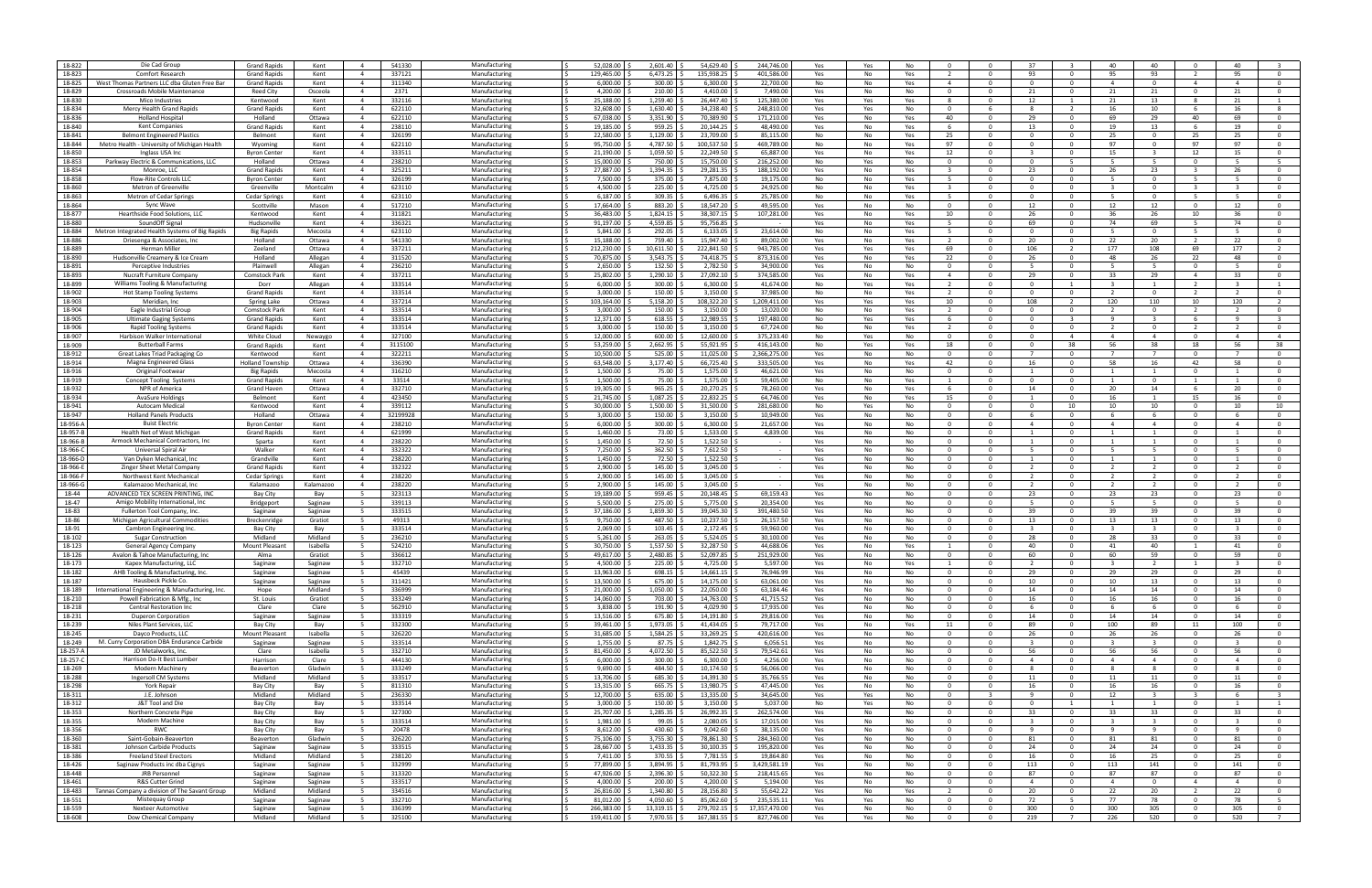| 18-822   | Die Cad Group                                   | <b>Grand Rapids</b>     | Kent      | 541330<br>$\overline{4}$   | Manufacturing | 52,028.00     | 2,601.40       | 54,629.40     | 244,746.00    |     | No         |                         |                         | -37                     |                | 40                      | 40                      | $\Omega$                | 40                      |                         |
|----------|-------------------------------------------------|-------------------------|-----------|----------------------------|---------------|---------------|----------------|---------------|---------------|-----|------------|-------------------------|-------------------------|-------------------------|----------------|-------------------------|-------------------------|-------------------------|-------------------------|-------------------------|
|          |                                                 |                         |           |                            |               |               |                |               |               | Yes | Yes        |                         |                         |                         |                |                         |                         |                         |                         |                         |
| 18-823   | <b>Comfort Research</b>                         | <b>Grand Rapids</b>     | Kent      | $\overline{4}$<br>337121   | Manufacturing | 129.465.00    | 6,473.25       | 135,938.25    | 401.586.00    | Yes | No<br>Yes  |                         | $\Omega$                | 93                      | $\Omega$       | 95                      | 93                      | $\overline{2}$          | 95                      |                         |
| 18-825   | West Thomas Partners LLC dba Gluten Free Bar    | <b>Grand Rapids</b>     | Kent      | 311340<br>$\overline{a}$   | Manufacturing | 6,000.00      | 300.00         | 6,300.00      | 22,700.00     | No  | No<br>Yes  | $\overline{a}$          | $\Omega$                | $\Omega$                | $\Omega$       | $\overline{a}$          | $\overline{0}$          | $\overline{a}$          | $\overline{4}$          | $\Omega$                |
| 18-829   | Crossroads Mobile Maintenance                   | Reed City               | Osceola   | 2371<br>$\overline{4}$     | Manufacturing | 4,200.00      | 210.00         | 4,410.00      | 7,490.00      | Yes | No<br>No   | $\Omega$                | $\Omega$                | - 21                    | $\Omega$       | 21                      | 21                      | $\Omega$                | 21                      |                         |
| 18-830   |                                                 |                         |           | 332116<br>$\overline{4}$   |               | 25,188.00     | 1,259.40       | 26,447.40     | 125,380.0     |     |            |                         | $\Omega$                |                         |                |                         |                         |                         | 21                      |                         |
|          | Mico Industries                                 | Kentwood                | Kent      |                            | Manufacturin  |               |                |               |               | Yes | Yes<br>Yes |                         |                         | 12                      |                | 21                      | 13                      | - 8                     |                         |                         |
| 18-834   | Mercy Health Grand Rapids                       | <b>Grand Rapids</b>     | Kent      | $\overline{4}$<br>622110   | Manufacturing | 32,608.00     | 1,630.40       | 34,238.40     | 248,810.0     | Yes | No<br>Yes  | $\Omega$                | -6                      | -8                      | $\overline{2}$ | 16                      | 10                      | - 6                     | 16                      |                         |
| 18-836   | <b>Holland Hospital</b>                         | Holland                 | Ottawa    | $\overline{4}$<br>622110   | Manufacturing | 67,038.00     | 3,351.90       | 70,389.90     | 171,210.00    | Yes | No<br>Yes  | 40                      | $\Omega$                | 29                      | $\mathbf{0}$   | 69                      | 29                      | 40                      | 69                      | $\Omega$                |
| 18-840   |                                                 | <b>Grand Rapids</b>     | Kent      | $\overline{4}$<br>238110   | Manufacturing | 19,185.00     | 959.25         | 20,144.25     | 48.490.00     |     | No<br>Yes  | - 6                     | $\Omega$                | 13                      | $\Omega$       | 19                      | 13                      | -6                      | 19                      | $\Omega$                |
|          | <b>Kent Companies</b>                           |                         |           |                            |               |               |                |               |               | Yes |            |                         |                         |                         |                |                         |                         |                         |                         |                         |
| 18-841   | <b>Belmont Engineered Plastics</b>              | Belmont                 | Kent      | 326199<br>$\overline{4}$   | Manufacturing | 22,580.00     | 1,129.00       | 23,709.00     | 85,115.0      | No  | No<br>Yes  | 25                      | $\Omega$                |                         | $\Omega$       | 25                      | $\Omega$                | 25                      | 25                      |                         |
| 18-844   | Metro Health - University of Michigan Health    | Wyoming                 | Kent      | 622110<br>4                | Manufacturin  | 95,750.00     | 4,787.50       | 100,537.50    | 469,789.0     | No  | No<br>Yes  | 97                      | $\Omega$                |                         |                | 97                      | $^{\circ}$              | 97                      | 97                      | $\Omega$                |
| 18-850   |                                                 |                         |           |                            |               | 21,190.00     | 1,059.50       | 22,249.50     |               |     |            |                         | $\Omega$                | -3                      | $\Omega$       |                         | $\mathbf{3}$            |                         |                         | $\Omega$                |
|          | Inglass USA Ing                                 | <b>Byron Center</b>     | Kent      | $\overline{4}$<br>333511   | Manufacturing |               |                |               | 65,887.0      | Yes | No<br>Yes  | 12                      |                         |                         |                | 15                      |                         | 12                      | 15                      |                         |
| 18-853   | Parkway Electric & Communications, LLC          | Holland                 | Ottawa    | $\overline{4}$<br>238210   | Manufacturing | 15,000.00     | 750.00         | 15,750.00     | 216,252.00    | No  | Yes<br>No  | $\Omega$                | $\Omega$                | $\Omega$                | -5             | -5                      | 5                       | $\Omega$                | - 5                     |                         |
| 18-854   | Monroe, LLC                                     | <b>Grand Rapids</b>     | Kent      | 325211<br>$\overline{a}$   | Manufacturing | 27,887.00     | 1,394.35       | 29,281.35     | 188,192.0     | Yes | No<br>Yes  |                         | $\Omega$                | 23                      | $\Omega$       | 26                      | 23                      | $\overline{\mathbf{3}}$ | 26                      | $\overline{0}$          |
|          |                                                 |                         |           |                            |               |               |                |               |               |     |            |                         |                         |                         |                |                         |                         |                         |                         |                         |
| 18-858   | Flow-Rite Controls LLO                          | <b>Byron Center</b>     | Kent      | 326199<br>$\overline{4}$   | Manufacturing | 7,500.00      | 375.00         | 7,875.00      | 19,175.0      | No  | No<br>Yes  |                         | $\Omega$                |                         | - 0            |                         | $\Omega$                | -5                      |                         |                         |
| 18-860   | Metron of Greenvill                             | Greenville              | Montcalm  | 623110<br>$\overline{4}$   | Manufacturin  | 4,500.00      | 225.00         | 4,725.00      | 24,925.0      | No  | No<br>Yes  |                         | $\Omega$                |                         |                |                         | $^{\circ}$              | - 3                     |                         |                         |
| 18-863   | Metron of Cedar Springs                         | <b>Cedar Springs</b>    | Kent      | 623110<br>$\overline{4}$   | Manufacturing | 6,187.00      | 309.35         | 6,496.35      | 25,785.0      | No  | No<br>Yes  |                         | $\Omega$                | $\Omega$                | $\Omega$       | - 5                     | $\mathbf{O}$            | - 5                     | -5                      | $\Omega$                |
|          |                                                 |                         |           |                            |               |               |                |               |               |     |            |                         |                         |                         |                |                         |                         |                         |                         |                         |
| 18-864   | Sync Wave                                       | Scottville              | Mason     | $\overline{4}$<br>517210   | Manufacturing | 17,664.00     | 883.20         | 18,547.20     | 49,595.00     | Yes | No<br>No   | $\Omega$                | $\Omega$                | 12                      | $\mathbf{0}$   | 12                      | 12                      | $\overline{0}$          | 12                      | $\overline{0}$          |
| 18-877   | Hearthside Food Solutions, LLC                  | Kentwood                | Kent      | $\overline{4}$<br>311821   | Manufacturing | 36,483.00     | 1,824.15       | 38,307.15     | 107,281.0     | Yes | No<br>Yes  | 10                      | $\Omega$                | 26                      | $\Omega$       | 36                      | 26                      | 10                      | 36                      | $\Omega$                |
| 18-880   | SoundOff Signal                                 | Hudsonville             | Kent      | 336321<br>$\overline{4}$   | Manufacturing | 91,197.00     | 4,559.85       | 95,756.85     |               | Yes | No<br>Yes  |                         | $\Omega$                | -69                     |                | 74                      | 69                      |                         | 74                      |                         |
|          |                                                 |                         |           |                            |               |               |                |               |               |     |            |                         |                         |                         |                |                         |                         |                         |                         |                         |
| 18-884   | Metron Integrated Health Systems of Big Rapids  | <b>Big Rapids</b>       | Mecosta   | 623110<br>4                | Manufacturing | 5,841.00      | 292.05         | 6,133.05      | 23,614.0      | No  | No<br>Yes  |                         | $\Omega$                |                         |                |                         | $^{\circ}$              | - 5                     |                         |                         |
| 18-886   | Driesenga & Associates, In                      | Holland                 | Ottawa    | 541330<br>$\overline{4}$   | Manufacturing | 15,188.00     | 759.40         | 15,947.40     | 89,002.0      | Yes | No<br>Yes  |                         | $\Omega$                | 20                      | $\Omega$       | 22                      | 20                      | $\overline{2}$          | 22                      | $\Omega$                |
| 18-889   | <b>Herman Miller</b>                            | Zeeland                 | Ottawa    | $\overline{4}$<br>337211   | Manufacturing | 212,230.00    | 10,611.50      | 222,841.50    | 943.785.00    | Yes | Yes<br>Yes | 69                      | $\Omega$                | 106                     | $\overline{2}$ | 177                     | 108                     | 69                      | 177                     |                         |
|          |                                                 |                         |           |                            |               |               |                |               |               |     |            |                         |                         |                         |                |                         |                         |                         |                         |                         |
| 18-890   | Hudsonville Creamery & Ice Cream                | Holland                 | Allegan   | 311520<br>$\overline{4}$   | Manufacturing | 70,875.00     | 3,543.75       | 74,418.75     | 873,316.0     | Yes | No<br>Yes  | 22                      | $\Omega$                | - 26                    | $\Omega$       | 48                      | 26                      | 22                      | 48                      | $\Omega$                |
| 18-891   | Perceptive Industries                           | Plainwell               | Allegan   | 236210<br>$\overline{4}$   | Manufacturing | 2,650.00      | 132.50         | 2,782.50      | 34,900.0      | Yes | No<br>No   | - 0                     | $\Omega$                |                         |                |                         |                         | $\Omega$                |                         |                         |
| 18-893   | Nucraft Furniture Compan                        | Comstock Park           | Kent      | 337211<br>$\overline{4}$   | Manufacturing | 25,802.00     | 1,290.10       | 27,092.10     | 374,585.0     | Yes | No<br>Yes  | $\overline{a}$          | $\Omega$                | 29                      |                | 33                      | 29                      | $\overline{4}$          | 33                      |                         |
|          |                                                 |                         |           |                            |               |               |                |               |               |     |            |                         |                         |                         |                |                         |                         |                         |                         |                         |
| 18-899   | Williams Tooling & Manufacturing                | Dorr                    | Allegan   | 333514<br>$\overline{4}$   | Manufacturing | 6,000.00      | 300.00         | 6,300.00      | 41,674.0      | No  | Yes<br>Yes |                         | $\Omega$                | $\Omega$                | $\mathbf{1}$   | -3                      | 1                       | $\overline{2}$          | $\overline{3}$          |                         |
| 18-902   | <b>Hot Stamp Tooling Systems</b>                | <b>Grand Rapids</b>     | Kent      | 333514<br>$\overline{4}$   | Manufacturing | 3,000.00      | 150.00         | 3,150.00      | 37.985.00     | No  | No<br>Yes  |                         | $\Omega$                | $\Omega$                | $\mathbf{0}$   | $\overline{2}$          | $\overline{0}$          | $\overline{2}$          | $\overline{2}$          | $\overline{0}$          |
| 18-903   | Meridian, Inc                                   | Spring Lake             | Ottawa    | 337214<br>$\overline{4}$   | Manufacturing | 103,164.00    | 5,158.20       | 108,322.20    | 1,209,411.0   | Yes | Yes<br>Yes | 10                      | $\Omega$                | 108                     | $\overline{2}$ | 120                     | 110                     | 10                      | 120                     |                         |
|          |                                                 |                         |           |                            |               |               |                |               |               |     |            |                         |                         |                         |                |                         |                         |                         |                         |                         |
| 18-904   | Eagle Industrial Group                          | <b>Comstock Park</b>    | Kent      | 333514<br>$\overline{4}$   | Manufacturing | 3,000.00      | 150.00         | 3,150.00      | 13,020.0      | No  | No<br>Yes  |                         | $\Omega$                |                         | - 0            |                         | $\Omega$                |                         |                         |                         |
| 18-905   | <b>Ultimate Gaging Systems</b>                  | <b>Grand Rapids</b>     | Kent      | 333514<br>$\overline{4}$   | Manufacturing | 12,371.00     | 618.55         | 12,989.55     | 197,480.0     | No  | Yes<br>Yes |                         | $\Omega$                |                         |                | -9                      |                         | - 6                     | -9                      |                         |
| 18-906   | <b>Rapid Tooling Systems</b>                    | <b>Grand Rapids</b>     | Kent      | $\overline{4}$<br>333514   | Manufacturing | 3,000.00      | 150.00         | 3,150.00      | 67,724.0      | No  | No<br>Yes  |                         | $\Omega$                | - 0                     | $\Omega$       | $\overline{2}$          | $\mathbf{0}$            | 2                       | $\overline{2}$          | $\Omega$                |
|          |                                                 |                         |           |                            |               |               |                |               |               |     |            |                         |                         |                         |                |                         |                         |                         |                         |                         |
| 18-907   | Harbison Walker International                   | White Cloud             | Newaygo   | 327100<br>$\overline{4}$   | Manufacturing | 12,000.00     | 600.00         | 12,600.00     | 375,233.40    | No  | Yes<br>No  | $\Omega$                | $\Omega$                | $\Omega$                | $\overline{4}$ | $\overline{4}$          | $\overline{4}$          | $\Omega$                | $\overline{4}$          | $\overline{a}$          |
| 18-909   | <b>Butterball Farms</b>                         | <b>Grand Rapids</b>     | Kent      | 3115100<br>$\overline{4}$  | Manufacturing | 53,259.00     | 2,662.95       | 55,921.95     | 416,143.0     | No  | Yes<br>Yes | 18                      | $\Omega$                | $\Omega$                | 38             | 56                      | 38                      | 18                      | 56                      | 38                      |
| 18-912   | Great Lakes Triad Packaging Co                  | Kentwood                | Kent      | 322211<br>$\overline{4}$   | Manufacturing | 10,500.00     | 525.00         | 11,025.00     | 2,366,275.0   | Yes | No<br>No   | 0                       | $\Omega$                |                         |                |                         |                         | $\Omega$                |                         |                         |
| 18-914   |                                                 |                         |           | $\overline{4}$             |               | 63,548.00     | 3,177.40       | 66,725.40     |               |     |            |                         | $\Omega$                |                         | $\Omega$       | 58                      |                         |                         |                         |                         |
|          | Magna Engineered Glass                          | <b>Holland Township</b> | Ottawa    | 336390                     | Manufacturing |               |                |               | 333,505.0     | Yes | No<br>Yes  | 42                      |                         | 16                      |                |                         | 16                      | 42                      | 58                      |                         |
| 18-916   | Original Footwear                               | <b>Big Rapids</b>       | Mecosta   | 316210<br>$\overline{4}$   | Manufacturing | 1,500.00      | 75.00          | 1,575.00      | 46,621.0      | Yes | No<br>No   | $\Omega$                | $\Omega$                |                         | $\Omega$       | 1                       | 1                       | $\mathbf{0}$            | -1                      | $\Omega$                |
| 18-919   | Concept Tooling Systems                         | <b>Grand Rapids</b>     | Kent      | 33514<br>$\overline{4}$    | Manufacturing | 1,500.00      | 75.00          | 1,575.00      | 59.405.00     | No  | No<br>Yes  | $\mathbf{1}$            | $\Omega$                | $\Omega$                | $\mathbf{0}$   | 1                       | $\overline{0}$          | $\mathbf{1}$            | 1                       | $\overline{0}$          |
|          |                                                 |                         |           |                            |               |               |                |               |               |     |            |                         |                         |                         | $\Omega$       |                         |                         |                         |                         | $\Omega$                |
| 18-932   | NPR of America                                  | Grand Haven             | Ottawa    | 332710<br>$\overline{4}$   | Manufacturing | 19,305.00     | 965.25         | 20,270.25     | 78,260.00     | Yes | No<br>Yes  | - 6                     | $\Omega$                | 14                      |                | 20                      | 14                      | - 6                     | 20                      |                         |
| 18-934   | AvaSure Holdings                                | Belmont                 | Kent      | 423450<br>$\overline{4}$   | Manufacturing | 21,745.00     | 1,087.25       | 22,832.25     | 64,746.00     | Yes | No<br>Yes  | 15                      | $\Omega$                |                         | - 0            | 16                      |                         | 15                      | 16                      |                         |
| 18-941   | Autocam Medical                                 | Kentwood                | Kent      | 339112<br>4                | Manufacturing | 30,000.00     | 1,500.00       | 31,500.00     | 281,680.0     | No  | Yes<br>No  | - 0                     | $\Omega$                | $\Omega$                | 10             | 10                      | 10                      | $\overline{0}$          | 10                      | 10                      |
| 18-947   | <b>Holland Panels Products</b>                  | Holland                 | Ottawa    | 32199928<br>$\overline{4}$ | Manufacturing | 3,000.00      | 150.00         | 3,150.00      | 10,949.0      | Yes | No<br>No   | $\Omega$                | $\Omega$                | - 6                     | $\Omega$       | - 6                     | -6                      | $\mathbf{0}$            | -6                      | $\Omega$                |
| 18-956-A | <b>Buist Electric</b>                           | <b>Byron Center</b>     | Kent      | $\overline{4}$<br>238210   | Manufacturing | 6.000.00      | 300.00         | 6.300.00      | 21.657.00     | Yes | No<br>No   | $\Omega$                | $\Omega$                | $\overline{4}$          | $\mathbf{0}$   | $\overline{4}$          | $\overline{4}$          | $\Omega$                | $\overline{4}$          | $\Omega$                |
|          |                                                 |                         |           |                            |               |               |                |               |               |     |            |                         |                         |                         |                |                         |                         |                         |                         |                         |
| 18-957-B | Health Net of West Michigan                     | <b>Grand Rapids</b>     | Kent      | 621999<br>$\overline{4}$   | Manufacturing | 1,460.00      | 73.00          | 1,533.00      | 4,839.0       | Yes | No<br>No   | $\Omega$                | $\Omega$                |                         | $\Omega$       |                         | $\overline{1}$          | $\Omega$                |                         | $\Omega$                |
| 18-966-E | Armock Mechanical Contractors, Inc.             | Sparta                  | Kent      | 238220<br>$\overline{4}$   | Manufacturing | 1,450.00      | 72.50          | 1,522.50      |               | Yes | No<br>No   | $\Omega$                | $\Omega$                |                         |                |                         |                         | - 0                     |                         |                         |
| 18-966-  | Universal Spiral Air                            | Walker                  | Kent      | 332322<br>$\overline{4}$   | Manufacturing | 7,250.00      | 362.50         | 7,612.50      |               | Yes | No<br>No   | - 0                     | $\Omega$                |                         |                |                         |                         | $\Omega$                |                         |                         |
|          |                                                 |                         |           |                            |               |               |                |               |               |     |            |                         |                         |                         |                |                         |                         |                         |                         |                         |
| 18-966-D | Van Dyken Mechanical, Inc                       | Grandville              | Kent      | 238220<br>$\overline{4}$   | Manufacturing | 1,450.00      | 72.50          | 1,522.50      | $\sim$        | Yes | No<br>No   | $\Omega$                | $\Omega$                |                         | $\Omega$       | 1                       | 1                       | $\mathbf{0}$            | 1                       | $\Omega$                |
| 18-966-E | Zinger Sheet Metal Company                      | <b>Grand Rapids</b>     | Kent      | 332322<br>$\overline{4}$   | Manufacturing | 2,900.00      | 145.00         | 3,045.00      | $\sim$        | Yes | No<br>No   | $\Omega$                | $\Omega$                | $\overline{2}$          | $\mathbf{0}$   | $\overline{2}$          | 2                       | $\overline{0}$          | $\overline{2}$          | $\overline{0}$          |
| 18-966-F | Northwest Kent Mechanica                        | <b>Cedar Springs</b>    | Kent      | 238220<br>$\overline{4}$   | Manufacturing | 2,900.00      | 145.00         | 3,045.00      | . .           | Yes | No<br>No   | $\Omega$                | $\Omega$                | $\overline{2}$          | $\Omega$       | $\overline{2}$          | $\overline{2}$          | $\Omega$                | $\overline{2}$          | $\Omega$                |
|          |                                                 |                         |           |                            |               |               |                |               |               |     |            |                         |                         |                         |                |                         |                         |                         |                         |                         |
| 18-966-0 | Kalamazoo Mechanical, Inc                       | Kalamazoo               | Kalamazoo | 238220<br>$\overline{4}$   | Manufacturing | 2,900.00      | 145.00         | 3,045.00      |               | Yes | No<br>No   |                         | $\Omega$                |                         | - 0            |                         | -2                      | $\Omega$                |                         |                         |
| 18-44    | ADVANCED TEX SCREEN PRINTING, IN                | Bay City                | Bay       | 323113                     | Manufacturing | 19,189.00     | 959.45         | 20,148.45     | 69,159.4      | Yes | No<br>No   | - 0                     | $\Omega$                | 23                      | $\Omega$       | 23                      | 23                      | $\Omega$                | 23                      | $^{\circ}$              |
| 18-47    | Amigo Mobility International, Ind               | Bridgeport              | Saginaw   | 339113<br>5                | Manufacturing | 5,500.00      | 275.00         | 5,775.00      | 20,354.0      | Yes | No<br>No   | $\Omega$                | $\Omega$                | - 5                     | $\Omega$       | -5                      | -5.                     | $\mathbf{0}$            | -5                      | $\Omega$                |
| 18-83    |                                                 |                         |           | 333515                     |               | 37.186.00     | 1.859.30       | 39.045.30     | 391.480.50    |     |            | $\Omega$                | $\Omega$                |                         |                | 39                      | 39                      |                         | 39                      | $\Omega$                |
|          | Fullerton Tool Company, Inc.                    | Saginaw                 | Saginaw   | 5                          | Manufacturing |               |                |               |               | Yes | No<br>No   |                         |                         | 39                      | $\mathbf{0}$   |                         |                         | $\Omega$                |                         |                         |
| 18-86    | Michigan Agricultural Commodities               | Breckenridge            | Gratiot   | 49313<br>- 5               | Manufacturing | 9,750.00      | 487.50         | 10,237.50     | 26,157.5      | Yes | No<br>No   | $\Omega$                | $\Omega$                | 13                      | $\Omega$       | 13                      | 13                      | $\Omega$                | 13                      | $\Omega$                |
| 18-91    | Cambron Engineering Inc                         | Bay City                | Bav       | 333514<br>- 5              | Manufacturing | 2,069.00      | 103.45         | 2,172.45      | 59,960.0      | Yes | No<br>No   | $\Omega$                | $\Omega$                |                         | - 0            |                         |                         | - 0                     |                         |                         |
| 18-102   |                                                 | Midland                 | Midland   | 236210<br>- 5              | Manufacturin  | 5,261.00      | 263.05         | 5,524.05      | 30,100.0      |     | No<br>No   |                         | $\Omega$                | 28                      |                | 28                      | 33                      | $\Omega$                | 33                      |                         |
|          | <b>Sugar Construction</b>                       |                         |           |                            |               |               |                |               |               | Yes |            |                         |                         |                         |                |                         |                         |                         |                         |                         |
| 18-123   | General Agency Company                          | <b>Mount Pleasant</b>   | Isabella  | 524210<br>- 5              | Manufacturin  | 30,750.00     | 1,537.50       | 32,287.50     | 44.688.0      | Yes | No<br>Yes  |                         | $\Omega$                | 40                      | $\Omega$       | 41                      | 40                      | -1                      | 41                      |                         |
| 18-126   | Avalon & Tahoe Manufacturing, Inc.              | Alma                    | Gratiot   | 336612<br>5                | Manufacturing | 49,617.00     | 2,480.85       | 52,097.85     | 251,929.00    | Yes | No<br>No   | $\Omega$                | $\Omega$                | 60                      | $\Omega$       | 60                      | 59                      | $\Omega$                | 59                      | $\overline{0}$          |
| 18-173   | Kapex Manufacturing, LLC                        | Saginaw                 | Saginaw   | 332710                     | Manufacturing | 4,500.00      | 225.00         | 4,725.00      | 5,597.00      | Yes | No<br>Yes  |                         |                         |                         |                |                         |                         |                         |                         |                         |
|          |                                                 |                         |           |                            |               |               |                |               |               |     |            |                         |                         |                         |                |                         |                         |                         |                         |                         |
| 18-182   | AHB Tooling & Manufacturing, Inc                | Saginaw                 | Saginaw   | 45439<br>- 5               | Manufacturing | 13,963.00     | 698.15         | 14,661.15     | 76,946.99     | Yes | No<br>No   | $\Omega$                | $\Omega$                | 29                      | $\mathbf{O}$   | 29                      | 29                      | $\Omega$                | 29                      | $\Omega$                |
| 18-187   | Hausbeck Pickle Co.                             | Saginaw                 | Saginaw   | 311421<br>- 5              | Manufacturing | 13,500.00     | 675.00         | 14,175.00     | 63,061.00     | Yes | No<br>No   | $\overline{0}$          | $\overline{\mathbf{0}}$ | 10                      | $\mathbf{0}$   | 10                      | 13                      | $\mathbf{0}$            | 13                      | $\mathbf 0$             |
| 18-189   | International Engineering & Manufacturing, Inc. | Hope                    | Midland   | 336999<br>5                | Manufacturing | 21,000.00     | 1,050.00       | 22,050.00     | 63,184.46     | Yes | No<br>No   | $\overline{\mathbf{0}}$ | $\overline{0}$          | 14                      | $\mathbf{O}$   | 14                      | 14                      | $\mathbf 0$             | 14                      | $\mathbf 0$             |
| 18-210   | Powell Fabrication & Mfg., Inc.                 | St. Louis               | Gratiot   | 333249<br>5                | Manufacturing | 14,060.00     | 703.00         | 14,763.00     | 41,715.52     | Yes | No<br>No   | $\overline{0}$          | $\overline{0}$          | 16                      | $\overline{0}$ | 16                      | 16                      | $\overline{0}$          | 16                      | $\overline{0}$          |
|          |                                                 |                         |           |                            |               |               |                |               |               |     |            |                         |                         |                         |                |                         |                         |                         |                         |                         |
| 18-218   | <b>Central Restoration Inc</b>                  | Clare                   | Clare     | $5^{\circ}$<br>562910      | Manufacturing | 3,838.00      | 191.90         | 4,029.90      | 17,935.00     | Yes | No<br>No   | $\Omega$                | $\Omega$                | - 6                     | $\mathbf{0}$   | - 6                     | 6                       | $\overline{0}$          | 6                       | $\mathbf 0$             |
| 18-231   | <b>Duperon Corporation</b>                      | Saginaw                 | Saginaw   | 333319<br>- 5              | Manufacturing | 13,516.00     | 675.80         | 14,191.80     | 29,816.00     | Yes | No<br>No   | $\Omega$                | $\Omega$                | 14                      | $\mathbf{O}$   | 14                      | 14                      | $\mathbf{0}$            | 14                      | $\mathbf{O}$            |
| 18-239   | Niles Plant Services, LLC                       | Bay City                | Bay       | 5<br>332300                | Manufacturing | 39,461.00     | 1,973.05       | 41,434.05     | 79,717.00     | Yes | No<br>Yes  | 11                      | $\overline{0}$          | 89                      | $\mathbf{0}$   | 100                     | 89                      | 11                      | 100                     | $^{\circ}$              |
|          |                                                 |                         |           |                            |               |               |                |               |               |     |            |                         |                         |                         |                |                         |                         |                         |                         |                         |
| 18-245   | Davco Products, LLC                             | <b>Mount Pleasant</b>   | Isabella  | 5<br>326220                | Manufacturing | 31,685.00     | 1,584.25       | 33,269.25     | 420,616.00    | Yes | No<br>No   | $\mathbf{0}$            | $\overline{0}$          | 26                      | $\mathbf 0$    | 26                      | 26                      | $\mathbf 0$             | 26                      | $\overline{0}$          |
| 18-249   | M. Curry Corporation DBA Endurance Carbide      | Saginaw                 | Saginaw   | 333514<br>5                | Manufacturing | 1,755.00      | 87.75          | 1,842.75      | 6.056.51      | Yes | No<br>No   | $\overline{0}$          | $\overline{0}$          | $\overline{3}$          | $\overline{0}$ | $\overline{\mathbf{3}}$ | $\overline{\mathbf{3}}$ | $\overline{0}$          | $\overline{\mathbf{3}}$ | $\overline{0}$          |
| 18-257-A | JD Metalworks, Inc.                             | Clare                   | Isabella  | $5^{\circ}$<br>332710      | Manufacturing | 81,450.00     | 4,072.50       | 85,522.50     | 79,542.61     | Yes | No<br>No   | $\overline{\mathbf{0}}$ | $\Omega$                | 56                      | $\mathbf 0$    | 56                      | 56                      | $\Omega$                | 56                      | $\mathbf 0$             |
|          |                                                 |                         |           |                            |               |               |                |               |               |     |            |                         |                         |                         |                |                         |                         |                         |                         |                         |
| 18-257-C | Harrison Do-It Best Lumber                      | Harrison                | Clare     | 444130<br>5                | Manufacturing | 6,000.00      | 300.00         | 6,300.00      | 4,256.00      | Yes | No<br>No   | $\Omega$                | $\mathbf{0}$            | $\overline{4}$          | $\mathbf{O}$   | $\overline{4}$          | $\overline{4}$          | $\mathbf{O}$            | $\overline{4}$          | $\mathbf 0$             |
| 18-269   | <b>Modern Machinery</b>                         | Beaverton               | Gladwin   | 333249<br>- 5              | Manufacturing | 9,690.00      | 484.50         | 10,174.50     | 56,066.00     | Yes | No<br>No   | $\overline{\mathbf{0}}$ | $\overline{\mathbf{0}}$ | -8                      | $\mathbf{0}$   | -8                      | 8                       | $\mathbf{0}$            | -8                      | $\mathbf 0$             |
| 18-288   | Ingersoll CM Systems                            | Midland                 | Midland   | 5<br>333517                | Manufacturing | 13,706.00     | 685.30 \$      | 14,391.30     | 35,766.55     | Yes | No<br>No   | $\overline{\mathbf{0}}$ | $\overline{0}$          | 11                      | $\mathbf{O}$   | 11                      | 11                      | $\mathbf 0$             | 11                      | $\mathbf 0$             |
| 18-298   | York Repair                                     | Bay City                | Bay       | 811310<br>5                | Manufacturing | 13,315.00     | 665.75         | 13,980.75     | 47.445.00     | Yes | No<br>No   | $\Omega$                | $\overline{0}$          | 16                      | $\overline{0}$ | 16                      | 16                      | $\overline{0}$          | 16                      | $\overline{0}$          |
|          |                                                 |                         |           |                            |               |               |                |               |               |     |            |                         |                         |                         |                |                         |                         |                         |                         |                         |
| 18-311   | J.E. Johnson                                    | Midland                 | Midland   | $5^{\circ}$<br>236330      | Manufacturing | 12,700.00     | 635.00         | 13,335.00     | 34,645.00     | Yes | Yes<br>No  | $\Omega$                | $\overline{\mathbf{3}}$ | $\mathbf{q}$            | $\mathbf{0}$   | 12                      | $\overline{\mathbf{3}}$ | $\overline{\mathbf{3}}$ | 6                       | $\overline{\mathbf{3}}$ |
| 18-312   | J&T Tool and Die                                | Bay City                | Bay       | 333514<br>5                | Manufacturing | 3,000.00      | 150.00         | 3,150.00      | 5,037.00      | No  | Yes<br>No  | $\Omega$                | $\Omega$                | $\Omega$                | $\mathbf{1}$   | -1                      | $\mathbf{1}$            | $\mathbf{0}$            | 1                       | $\overline{1}$          |
| 18-353   |                                                 |                         |           | 327300<br>- 5              |               | 25,707.00     |                | 26,992.35     | 262,574.00    |     |            | $\overline{0}$          | $\overline{0}$          |                         | $\mathbf{0}$   |                         |                         | $\mathbf{0}$            |                         |                         |
|          | Northern Concrete Pipe                          | Bay City                | Bay       |                            | Manufacturing |               | 1,285.35       |               |               | Yes | No<br>No   |                         |                         | 33                      |                | 33                      | 33                      |                         | 33                      | $\mathbf 0$             |
| 18-355   | Modern Machine                                  | Bay City                | Bay       | 5<br>333514                | Manufacturing | 1,981.00      | $99.05$ \$     | 2,080.05      | 17,015.00     | Yes | No<br>No   | $\overline{\mathbf{0}}$ | $\overline{0}$          | $\overline{\mathbf{3}}$ | $\mathbf 0$    | $\overline{\mathbf{3}}$ | $\overline{\mathbf{3}}$ | $\mathbf 0$             | $\overline{\mathbf{3}}$ | $\overline{0}$          |
| 18-356   | RWC                                             | Bay City                | Bay       | 20478<br>5                 | Manufacturing | 8,612.00      | 430.60         | 9,042.60      | 38.135.00     | Yes | No<br>No   | $\overline{0}$          | $\overline{0}$          | -9                      | $\overline{0}$ | 9                       | 9                       | $\overline{0}$          | 9                       | $\overline{0}$          |
| 18-360   | Saint-Gobain-Beaverton                          | Beaverton               | Gladwin   | $5^{\circ}$<br>326220      | Manufacturing | 75,106.00     | 3,755.30       | 78,861.30     | 284,360.00    | Yes | No<br>No   | $\overline{\mathbf{0}}$ | $\Omega$                | 81                      | $\overline{0}$ | 81                      | 81                      | $\Omega$                | 81                      | $\mathbf 0$             |
|          |                                                 |                         |           |                            |               |               |                |               |               |     |            |                         |                         |                         |                |                         |                         |                         |                         |                         |
| 18-381   | Johnson Carbide Products                        | Saginaw                 | Saginaw   | 333515<br>5                | Manufacturing | 28,667.00     | 1,433.35       | 30,100.35     | 195,820.00    | Yes | No<br>No   | $\Omega$                | $\mathbf{0}$            | 24                      | $\mathbf{0}$   | 24                      | 24                      | $\mathbf{O}$            | 24                      | $\mathbf 0$             |
| 18-386   | <b>Freeland Steel Erectors</b>                  | Midland                 | Midland   | 238120<br>- 5              | Manufacturing | 7,411.00      | 370.55         | 7,781.55      | 19,864.80     | Yes | No<br>No   | $\overline{\mathbf{0}}$ | $\overline{\mathbf{0}}$ | 16                      | $\mathbf{0}$   | 16                      | 25                      | $\mathbf{0}$            | 25                      | $\mathbf 0$             |
| 18-426   | Saginaw Products inc dba Cignys                 | Saginaw                 | Saginaw   | 5<br>332999                | Manufacturing | 77,899.00     | 3,894.95       | 81,793.95     | 3,429,581.19  | Yes | No<br>No   | $\overline{\mathbf{0}}$ | $\overline{0}$          | 113                     | $\mathbf 0$    | 113                     | 141                     | $\mathbf 0$             | 141                     | $\mathbf 0$             |
| 18-448   | JRB Personnel                                   | Saginaw                 | Saginaw   | 313320<br>5                | Manufacturing | 47,926.00     | 2,396.30       | 50,322.30     | 218,415.65    | Yes | No<br>No   | $\Omega$                | $\overline{0}$          | 87                      | $\overline{0}$ | 87                      | 87                      | $\overline{0}$          | 87                      | $\overline{0}$          |
|          |                                                 |                         |           |                            |               |               |                |               |               |     |            |                         |                         |                         |                |                         |                         |                         |                         |                         |
| 18-461   | R&S Cutter Grind                                | Saginaw                 | Saginaw   | $5^{\circ}$<br>333517      | Manufacturing | 4,000.00      | 200.00         | 4,200.00      | 5,194.00      | Yes | No<br>No   | $\Omega$                | $\Omega$                | $\overline{4}$          | $\mathbf{0}$   | $\overline{4}$          | $\overline{0}$          | $\overline{4}$          | $\overline{4}$          | $\mathbf 0$             |
| 18-483   | Tannas Company a division of The Savant Group   | Midland                 | Midland   | 334516<br>- 5              | Manufacturing | 26,816.00     | 1,340.80       | 28,156.80     | 55,642.22     | Yes | No<br>Yes  | $\overline{2}$          | $\Omega$                | 20                      | $\mathbf{0}$   | 22                      | 20                      | $\overline{2}$          | 22                      | $\mathbf 0$             |
| 18-551   | Mistequay Group                                 | Saginaw                 | Saginaw   | 332710<br>- 5              | Manufacturing | 81,012.00     | 4,050.60       | 85,062.60     | 235,535.11    | Yes | No<br>Yes  | $\mathbf 0$             | $\mathbf{0}$            | 72                      | - 5            | 77                      | 78                      | $\mathbf{0}$            | 78                      |                         |
| 18-559   | <b>Nexteer Automotive</b>                       | Saginaw                 | Saginaw   | 336399<br>5                | Manufacturing | 266,383.00    | $13,319.15$ \$ | 279,702.15    | 17,357,470.00 | Yes | No<br>No   | $\overline{\mathbf{0}}$ | $\overline{0}$          | 300                     | $\overline{0}$ | 300                     | 305                     | $\mathbf 0$             | 305                     | $\overline{0}$          |
|          |                                                 |                         |           |                            |               |               |                |               |               |     |            |                         |                         |                         |                |                         |                         |                         |                         |                         |
| 18-608   | Dow Chemical Company                            | Midland                 | Midland   | 325100<br>5                | Manufacturing | 159,411.00 \$ | 7,970.55 \$    | 167,381.55 \$ | 827,746.00    | Yes | No<br>Yes  | $\overline{0}$          | $\overline{0}$          | 219                     | $\overline{7}$ | 226                     | 520                     | $\mathbf 0$             | 520                     | 7                       |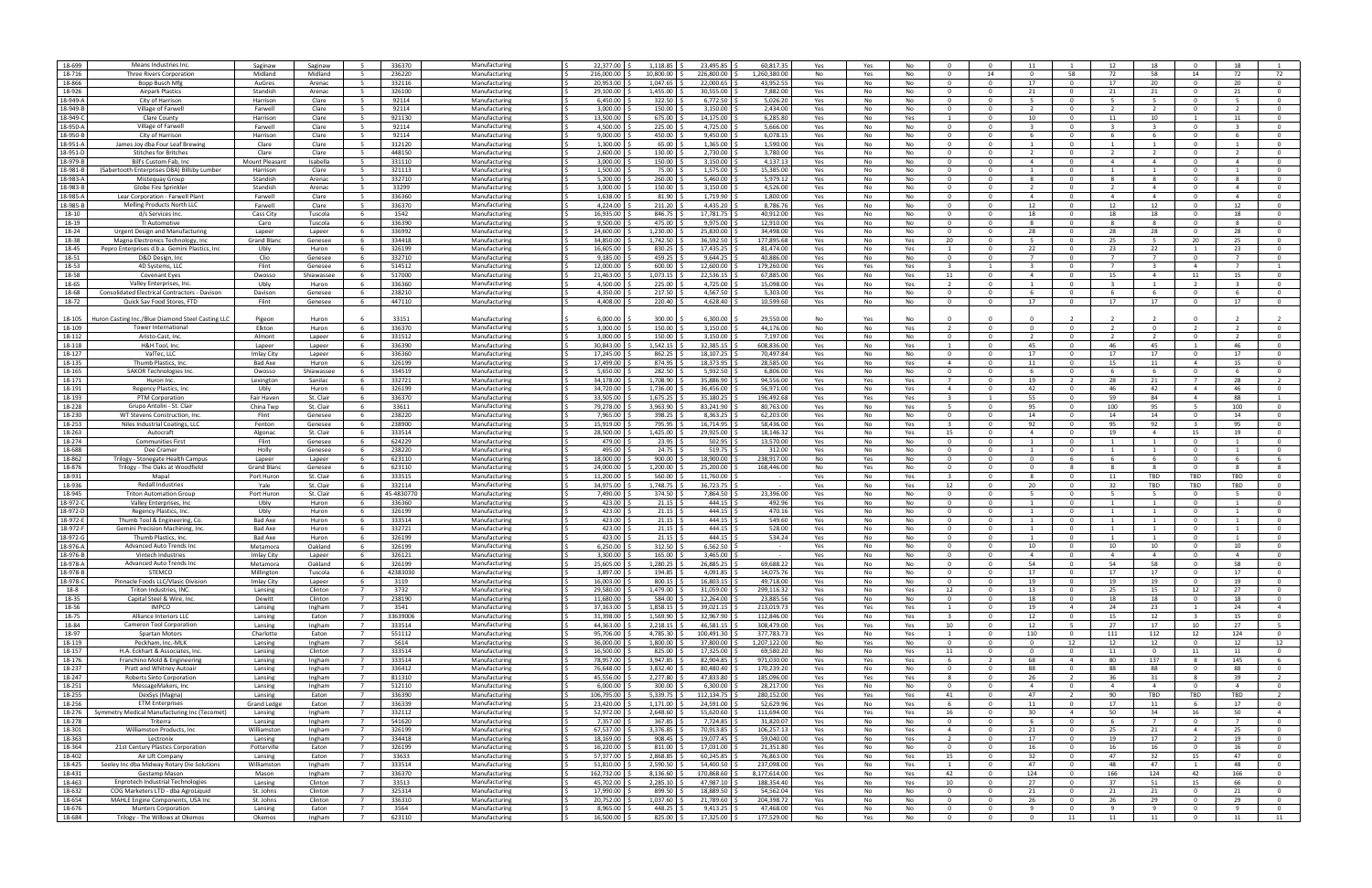| 18-699   | Means Industries Inc.                             | Saginaw            | Saginaw    | - 5            | 336370    | Manufacturing | 22.377.00                    | 1,118.85  | 23,495.85    | 60,817.35    | Yes | Yes | No                              | $\Omega$                |
|----------|---------------------------------------------------|--------------------|------------|----------------|-----------|---------------|------------------------------|-----------|--------------|--------------|-----|-----|---------------------------------|-------------------------|
| 18-716   | Three Rivers Corporation                          | Midland            | Midland    | - 5            | 236220    | Manufacturing | 216,000.00                   | 10,800.00 | 226,800.00   | 1,260,380.0  | No  | Yes | No<br>$\Omega$                  | 14                      |
|          |                                                   |                    |            |                |           |               |                              |           |              |              |     |     |                                 |                         |
| 18-866   | Bopp Busch Mfg                                    | AuGres             | Arenac     | 5              | 332116    | Manufacturing | 20,953.00                    | 1,047.65  | 22,000.65    | 43,952.5     | Yes | No  | No<br>- 0                       | $\mathbf{0}$            |
| 18-926   | <b>Airpark Plastics</b>                           | Standish           | Arenac     | - 5            | 326100    | Manufacturing | 29,100.00                    | 1,455.00  | 30,555.00    | 7,882.00     | Yes | No  | No<br>$\Omega$                  | $\Omega$                |
| 18-949-A | City of Harrison                                  | Harrison           | Clare      | 5              | 92114     | Manufacturing | 6,450.00                     | 322.50    | 6,772.50     | 5,026.20     |     | No  | No<br>$\Omega$                  | $\overline{0}$          |
|          |                                                   |                    |            |                |           |               |                              |           |              |              | Yes |     |                                 |                         |
| 18-949-B | Village of Farwell                                | Farwell            | Clare      | -5             | 92114     | Manufacturing | 3,000.00                     | 150.00    | 3,150.00     | 2.434.00     | Yes | No  | No<br>$\Omega$                  | $\Omega$                |
| 18-949-0 | Clare County                                      | Harrison           | Clare      | - 5            | 921130    | Manufacturing | 13,500.00                    | 675.00    | 14,175.00    | 6,285.8      | Yes | No  | Yes                             | $\Omega$                |
|          |                                                   |                    |            |                |           |               |                              |           |              |              |     |     |                                 |                         |
| 18-950-A | Village of Farwell                                | Farwell            | Clare      | 5              | 92114     | Manufacturing | 4,500.00                     | 225.00    | 4,725.00     | 5,666.00     | Yes | No  | No<br>- 0                       | $\mathbf{0}$            |
| 18-950-B | City of Harrison                                  | Harrison           | Clare      | -5             | 92114     | Manufacturing | 9,000.00                     | 450.00    | 9,450.00     | 6,078.15     | Yes | No  | No                              | $\Omega$                |
|          |                                                   |                    |            |                |           |               |                              |           |              |              |     |     |                                 |                         |
| 18-951-A | James Joy dba Four Leaf Brewin                    | Clare              | Clare      | 5              | 312120    | Manufacturing | 1.300.00                     | 65.00     | 1,365.00     | 1,590.00     | Yes | No  | No<br>$\Omega$                  | $\Omega$                |
| 18-951-D | <b>Stitches for Britches</b>                      | Clare              | Clare      | - 5            | 448150    | Manufacturing | 2,600.00                     | 130.00    | 2,730.00     | 3,780.00     | Yes | No  | No<br>$\Omega$                  | $\Omega$                |
|          |                                                   |                    |            |                |           |               |                              |           |              |              |     |     |                                 |                         |
| 18-979-B | Bill's Custom Fab, Ind                            | Mount Pleasant     | Isabella   | - 5            | 331110    | Manufacturin  | 3,000.00                     | 150.00    | 3,150.00     | 4,137.1      | Yes | No  | No<br>$\Omega$                  | $\Omega$                |
|          |                                                   |                    |            |                |           |               |                              |           |              |              |     |     |                                 |                         |
| 18-981-B | (Sabertooth Enterprises DBA) Billsby Lumber       | Harrison           | Clare      | 5              | 321113    | Manufacturing | 1,500.00                     | 75.00     | 1,575.00     | 15,385.00    | Yes | No  | No<br>- 0                       | $^{\circ}$              |
| 18-983-A | Mistequay Group                                   | Standish           | Arenac     | - 5            | 332710    | Manufacturing | 5,200.00                     | 260.00    | 5,460.00     | 5,979.12     | Yes | No  | No                              | $\Omega$                |
| 18-983-B | Globe Fire Sprinkle                               | Standish           | Arenac     | 5              | 33299     | Manufacturing | 3.000.00 9                   | 150.00    | 3,150.00     | 4,526.00     |     | No  | No<br>$\Omega$                  | $\Omega$                |
|          |                                                   |                    |            |                |           |               |                              |           |              |              | Yes |     |                                 |                         |
| 18-985-A | Lear Corporation - Farwell Plant                  | Farwell            | Clare      | -5             | 336360    | Manufacturing | 1,638.00                     | 81.90     | 1,719.90     | 1.800.00     | Yes | No  | No<br>$\Omega$                  | $\Omega$                |
| 18-985-B |                                                   |                    |            |                |           |               |                              |           |              |              |     |     |                                 |                         |
|          | Melling Products North LLC                        | Farwell            | Clare      | - 5            | 336370    | Manufacturing | 4,224.00                     | 211.20    | 4,435.20     | 8,786.7      | Yes | No  | No<br>- 0                       | $\Omega$                |
| 18-10    | d/s Services Inc                                  | Cass City          | Tuscola    | - 6            | 1542      | Manufacturing | 16,935.00                    | 846.75    | 17,781.75    | 40,912.00    | Yes | No  | No<br>- 0                       | $\mathbf{0}$            |
|          |                                                   |                    |            |                |           |               |                              |           |              |              |     |     |                                 |                         |
| 18-19    | TI Automotive                                     | Caro               | Tuscola    | -6             | 336390    | Manufacturing | 9.500.00                     | 475.00    | 9,975.00     | 12,910.00    | Yes | No  | No                              | $\Omega$                |
| 18-24    | Urgent Design and Manufacturing                   | Lapeer             | Lapeer     | -6             | 336992    | Manufacturing | 24.600.00                    | 1,230.00  | 25,830.00    | 34,498.0     | Yes | No  | No<br>$\Omega$                  | $\Omega$                |
|          |                                                   |                    |            |                |           |               |                              |           |              |              |     |     |                                 |                         |
| 18-38    | Magna Electronics Technology, Inc                 | <b>Grand Blanc</b> | Genesee    | - 6            | 334418    | Manufacturing | 34,850.00                    | 1,742.50  | 36,592.50    | 177,895.68   | Yes | No  | 20<br>Yes                       | $\Omega$                |
| 18-45    | Pepro Enterprises d.b.a. Gemini Plastics, Inc.    | Ubly               | Huron      | -6             | 326199    | Manufacturin  | 16,605.00                    | 830.25    | 17,435.25    | 81,474.0     | Yes | No  | Yes                             | $^{\circ}$              |
|          |                                                   |                    |            |                |           |               |                              |           |              |              |     |     |                                 |                         |
| 18-51    | D&D Design, Inc                                   | Clio               | Genesee    | - 6            | 332710    | Manufacturing | 9,185.00                     | 459.25    | 9,644.25     | 40,886.0     | Yes | No  | No<br>- 0                       | $\mathbf{0}$            |
| 18-53    | 4D Systems, LLC                                   | Flint              | Genesee    | - 6            | 514512    | Manufacturing | 12.000.00                    | 600.00    | 12.600.00    | 179,260.00   | Yes | Yes | Yes                             |                         |
|          |                                                   |                    |            |                |           |               |                              |           |              |              |     |     |                                 |                         |
| 18-58    | <b>Covenant Eyes</b>                              | Owosso             | Shiawassee | -6             | 517000    | Manufacturing | 21,463.00                    | 1,073.15  | 22,536.15    | 67,885.0     | Yes | No  | Yes<br>11                       | $\Omega$                |
| 18-65    | Valley Enterprises, Inc                           | Ubly               | Huron      | - 6            | 336360    | Manufacturing | 4,500.00                     | 225.00    | 4,725.00     | 15.098.00    | Yes | No  | Yes<br>$\overline{\phantom{a}}$ | $\Omega$                |
|          |                                                   |                    |            |                |           |               |                              |           |              |              |     |     |                                 |                         |
| 18-68    | Consolidated Electrical Contractors - Davison     | Davison            | Genesee    | -6             | 238210    | Manufacturin  | 4,350.00                     | 217.50    | 4,567.50     | 5,303.0      | Yes | No  | No<br>- 0                       | $^{\circ}$              |
| 18-72    | Quick Sav Food Stores, FTD                        | Flint              | Genesee    | - 6            | 447110    | Manufacturing | 4,408.00                     | 220.40    | 4,628.40     | 10,599.60    | Yes | No  | No<br>- 0                       | $\mathbf{0}$            |
|          |                                                   |                    |            |                |           |               |                              |           |              |              |     |     |                                 |                         |
|          |                                                   |                    |            |                |           |               |                              |           |              |              |     |     |                                 |                         |
| 18-105   | Huron Casting Inc./Blue Diamond Steel Casting LLC | Pigeon             | Huron      |                | 33151     | Manufacturing | 6.000.00                     | 300.00    | 6.300.00     | 29.550.00    | No  | Yes | No                              | $\Omega$                |
|          |                                                   |                    |            |                |           |               |                              |           |              |              |     |     |                                 |                         |
| 18-109   | <b>Tower International</b>                        | Elkton             | Huron      | -6             | 336370    | Manufacturing | 3,000.00                     | 150.00    | 3,150.00     | 44,176.00    | No  | No  | Yes                             | $\Omega$                |
| 18-112   | Aristo-Cast, Inc                                  | Almont             | Lapeer     |                | 331512    | Manufacturing | 3,000.00                     | 150.00    | 3,150.00     | 7,197.0      | Yes | No  | No<br>-0                        | $^{\circ}$              |
|          |                                                   |                    |            |                |           |               |                              |           |              |              |     |     |                                 |                         |
| 18-118   | H&H Tool, Inc.                                    | Lapeer             | Lapeer     | -6             | 336390    | Manufacturing | 30,843.00                    | 1,542.15  | 32,385.15    | 608.836.0    | Yes | No  | Yes                             | $^{\circ}$              |
| 18-127   | ValTec, LLC                                       | Imlay City         | Lapeer     | - 6            | 336360    | Manufacturing | 17,245.00                    | 862.25    | 18,107.25    | 70,497.84    | Yes | No  | <b>No</b><br>$\Omega$           | $\Omega$                |
|          |                                                   |                    |            |                |           |               |                              |           |              |              |     |     |                                 |                         |
| 18-135   | Thumb Plastics, Inc                               | <b>Bad Axe</b>     | Huron      | -6             | 326199    | Manufacturing | 17,499.00                    | 874.95    | 18,373.95    | 28,585.0     | Yes | No  | Yes<br>$\overline{a}$           | $\Omega$                |
| 18-165   | <b>SAKOR Technologies Inc</b>                     | Owosso             | Shiawassee | -6             | 334519    | Manufacturing | 5,650.00                     | 282.50    | 5,932.50     | 6.806.00     | Yes | No  | No<br>$\Omega$                  | $\Omega$                |
|          |                                                   |                    |            |                |           |               |                              |           |              |              |     |     |                                 |                         |
| 18-171   | Huron Inc                                         | Lexington          | Sanilac    | -6             | 332721    | Manufacturing | 34,178.00                    | 1,708.90  | 35,886.90    | 94,556.0     | Yes | Yes | Yes                             | $^{\circ}$              |
| 18-191   | Regency Plastics, Inc                             | Ubly               | Huron      | -6             | 326199    | Manufacturing | 34,720.00                    | 1,736.00  | 36,456.00    | 56,971.00    | Yes | No  | Yes<br>$\overline{4}$           | $\mathbf{0}$            |
|          |                                                   |                    |            |                |           |               |                              |           |              |              |     |     |                                 |                         |
| 18-193   | PTM Corporation                                   | Fair Haven         | St. Clair  | -6             | 336370    | Manufacturing | 33,505.00                    | 1,675.25  | 35,180.25    | 196.492.68   | Yes | Yes | Yes                             |                         |
| 18-228   | Grupo Antolin - St. Clair                         | China Twp          | St. Clair  | - 6            | 33611     | Manufacturing | 79,278.00                    | 3,963.90  | 83,241.90    | 80,763.0     | Yes | No  | Yes<br>-5                       | $\Omega$                |
|          |                                                   |                    |            |                |           |               |                              |           |              |              |     |     |                                 |                         |
| 18-230   | WT Stevens Construction, Inc.                     | Flint              | Genesee    | - 6            | 238220    | Manufacturing | 7,965.00                     | 398.25    | 8,363.25     | 62,203.00    | Yes | No  | No<br>- 0                       | $\Omega$                |
| 18-253   | Niles Industrial Coatings, LLC                    | Fenton             | Genesee    |                | 238900    | Manufacturing | 15,919.00                    | 795.95    | 16,714.95    | 58,436.0     | Yes | No  | Yes                             | $^{\circ}$              |
|          |                                                   |                    |            |                |           |               |                              |           |              |              |     |     |                                 |                         |
| 18-263   | Autocraft                                         | Algonac            | St. Clair  | - 6            | 333514    | Manufacturing | 28,500.00<br>ΙS              | 1,425.00  | 29,925.00    | 18,146.32    | Yes | No  | Yes<br>15                       | $^{\circ}$              |
| 18-274   | <b>Communities First</b>                          | Flint              | Genesee    | - 6            |           | Manufacturing | 479.00                       | 23.95     | 502.95       | 13.570.00    |     | No  | No<br>$\Omega$                  | $\Omega$                |
|          |                                                   |                    |            |                | 624229    |               |                              |           |              |              | Yes |     |                                 |                         |
| 18-688   | Dee Cramer                                        | Holly              | Genesee    | - 6            | 238220    | Manufacturing | 495.00                       | 24.75     | 519.75       | 312.00       | Yes | No  | <b>No</b><br>$\Omega$           | $\Omega$                |
|          |                                                   |                    |            |                |           |               |                              |           |              |              |     |     |                                 |                         |
| 18-862   | Trilogy - Stonegate Health Campus                 | Lapeer             | Lapeer     | - 6            | 623110    | Manufacturing | 18.000.00                    | 900.00    | 18,900.00    | 238.917.00   | No  | Yes | No<br>$\Omega$                  | $\Omega$                |
| 18-876   | Trilogy - The Oaks at Woodfield                   | Grand Blanc        | Genesee    | -6             | 623110    | Manufacturing | 24,000.00                    | 1,200.00  | 25,200.00    | 168,446.0    | No  | Yes | No<br>- 0                       | $\Omega$                |
|          |                                                   |                    |            |                |           |               |                              |           |              |              |     |     |                                 |                         |
| 18-931   | Mapal                                             | Port Huron         | St. Clair  | - 6            | 333515    | Manufacturing | 11,200.00                    | 560.00    | 11,760.00    |              | Yes | No  | Yes                             | $\mathbf{0}$            |
| 18-936   | <b>Redall Industries</b>                          | Yale               | St. Clair  | - 6            | 332114    | Manufacturing | 34,975.00                    | 1,748.75  | 36,723.75    |              | Yes | No  | Yes<br>12                       | $\Omega$                |
|          |                                                   |                    |            |                |           |               |                              |           |              |              |     |     |                                 |                         |
| 18-945   | <b>Triton Automation Group</b>                    | Port Huron         | St. Clair  | - 6            | 45-483077 | Manufacturing | 7,490.00                     | 374.50    | 7,864.50     | 23,396.00    | Yes | No  | No<br>$\Omega$                  | $\Omega$                |
| 18-972-C | Valley Enterprises, Inc.                          | Ubly               | Huron      | - 6            | 336360    | Manufacturing | 423.00 \$                    | 21.15     | 444.15       | 492.96       | Yes | No  | No<br>- 0                       | $\Omega$                |
|          |                                                   |                    |            |                |           |               |                              |           |              |              |     |     |                                 |                         |
| 18-972-D | Regency Plastics, Inc.                            | Ubly               | Huron      | -6             | 326199    | Manufacturing | 423.00                       | 21.15     | 444.15       | 470.1        | Yes | No  | No<br>$\Omega$                  | $\Omega$                |
| 18-972-E | Thumb Tool & Engineering, Co.                     | Bad Axe            | Huron      | - 6            | 333514    | Manufacturing | 423.00 \$<br>ΙŚ              | 21.15     | 444.15       | 549.60       | Yes | No  | No<br>- 0                       | $\Omega$                |
|          |                                                   |                    |            |                |           |               |                              |           |              |              |     |     | $\Omega$                        |                         |
| 18-972-F | Gemini Precision Machining, Inc.                  | Bad Axe            | Huron      | - 6            | 332721    | Manufacturing | 423.00 \$                    | 21.15     | 444.15       | 528.00       | Yes | No  | No                              | $\Omega$                |
| 18-972-0 | Thumb Plastics, Ind                               | <b>Bad Axe</b>     | Huron      | -6             | 326199    | Manufacturing | 423.00                       | 21.15     | 444.15       | 534.2        | Yes | No  | No<br>$\Omega$                  | $\Omega$                |
|          | <b>Advanced Auto Trends Inc.</b>                  |                    |            |                |           |               |                              |           |              |              |     |     |                                 |                         |
| 18-976-A |                                                   | Metamora           | Oakland    | -6             | 326199    | Manufacturing | 6,250.00                     | 312.50    | 6.562.50     |              | Yes | No  | No<br>$\Omega$                  | $\Omega$                |
| 18-976-B | Vintech Industries                                | Imlay City         | Lapeer     |                | 326121    | Manufacturing | 3,300.00                     | 165.00    | 3,465.00     |              | Yes | No  | No                              | $\Omega$                |
|          |                                                   |                    |            | - 6            |           |               |                              |           |              |              |     |     | - 0                             | $\Omega$                |
| 18-978-A | Advanced Auto Trends Inc                          | Metamora           | Oakland    |                | 326199    | Manufacturing | 25,605.00 \$<br>1 S          | 1,280.25  | 26,885.25 \$ | 69,688.22    | Yes | No  | No                              |                         |
| 18-978-B | <b>STEMCO</b>                                     | Millington         | Tuscola    | 6              | 42383030  | Manufacturing | 3.897.00 \$                  | 194.85    | 4,091.85     | 14.075.76    | Yes | No  | No<br>$\Omega$                  | $\mathbf{0}$            |
|          |                                                   |                    |            | -6             |           | Manufacturing | $\overline{\phantom{a}}$     |           |              |              |     |     | $\Omega$                        | $\overline{0}$          |
| 18-978-C | Pinnacle Foods LLC/Vlasic Division                | Imlay City         | Lapeer     |                | 3119      |               | 16,003.00                    | 800.15    | 16,803.15    | 49,718.00    | Yes | No  | No                              |                         |
| 18-8     | Triton Industries, INC                            | Lansing            | Clinton    | $\overline{7}$ | 3732      | Manufacturing | 29,580.00                    | 1,479.00  | 31,059.00    | 299,116.32   | Yes | No  | 12<br>Yes                       | $\mathbf{O}$            |
| 18-35    | Capital Steel & Wire, Inc.                        | Dewitt             | Clinton    | $\overline{7}$ | 238190    | Manufacturing | 11,680.00                    | 584.00    | 12,264.00    | 23,885.56    | Yes | No  | No<br>- 0                       | $\mathbf{0}$            |
|          |                                                   |                    |            |                |           |               |                              |           |              |              |     |     |                                 |                         |
| 18-56    | <b>IMPCO</b>                                      | Lansing            | Ingham     | $\overline{7}$ | 3541      | Manufacturing | 37,163.00 \$<br>$\vert$ \$   | 1,858.15  | 39,021.15    | 213,019.73   | Yes | Yes | Yes<br>1                        | $\overline{0}$          |
| 18-75    | Alliance Interiors LLC                            | Lansing            | Eaton      | $\overline{7}$ | 33639006  | Manufacturing | 31,398.00 S                  | 1.569.90  | 32,967.90    | 112.846.00   | Yes | No  | Yes<br>$\overline{\mathbf{3}}$  | $\overline{0}$          |
|          |                                                   |                    |            |                |           |               |                              |           |              |              |     |     |                                 |                         |
| 18-84    | Cameron Tool Corporation                          | Lansing            | Ingham     | $\overline{7}$ | 333514    | Manufacturing | 44,363.00 \$                 | 2,218.15  | 46,581.15    | 308,479.00   | Yes | Yes | 10<br>Yes                       | $\overline{0}$          |
| 18-97    | Spartan Motors                                    | Charlotte          | Eaton      | $\overline{7}$ | 551112    | Manufacturing | 95,706.00                    | 4,785.30  | 100,491.30   | 377,783.73   | Yes | No  | Yes<br>-1                       | $\mathbf 0$             |
|          |                                                   |                    |            |                |           |               |                              |           |              |              |     |     |                                 |                         |
| 18-119   | Peckham, Inc.-MLK                                 | Lansing            | Ingham     | $\overline{7}$ | 5614      | Manufacturing | 36,000.00                    | 1,800.00  | 37,800.00    | 1,207,122.00 | No  | Yes | No<br>$\Omega$                  | $\overline{\mathbf{0}}$ |
| 18-157   | H.A. Eckhart & Associates, Inc.                   | Lansing            | Clinton    | $\overline{7}$ | 333514    | Manufacturing | 16,500.00 \$<br>ΙŚ           | 825.00    | 17,325.00    | 69,580.20    | No  | No  | Yes<br>11                       | $\overline{0}$          |
|          |                                                   |                    |            |                |           |               |                              |           |              |              |     |     |                                 |                         |
| 18-176   | Franchino Mold & Engineering                      | Lansing            | Ingham     | $\overline{7}$ | 333514    | Manufacturing | 78,957.00 \$                 | 3.947.85  | 82.904.85    | 971.030.00   | Yes | Yes | Yes<br>-6                       | $\overline{2}$          |
| 18-237   | Pratt and Whitney Autoair                         | Lansing            | Ingham     | $\overline{7}$ | 336412    | Manufacturing | ΙŚ<br>76,648.00 \$           | 3,832.40  | 80,480.40    | 170,239.2    | Yes | No  | No<br>$\Omega$                  | $\overline{0}$          |
|          |                                                   |                    |            |                |           |               |                              |           |              |              |     |     |                                 |                         |
| 18-247   | Roberts Sinto Corporation                         | Lansing            | Ingham     | $\overline{7}$ | 811310    | Manufacturing | 45,556.00                    | 2,277.80  | 47,833.80    | 185,096.00   | Yes |     |                                 |                         |
| 18-251   |                                                   |                    |            |                |           |               |                              |           |              |              |     | Yes | Yes<br>-8                       | $\mathbf{O}$            |
|          |                                                   |                    |            |                |           |               |                              |           |              |              |     |     |                                 |                         |
| 18-255   | MessageMakers, Inc                                | Lansing            | Ingham     | $\overline{7}$ | 512110    | Manufacturing | 6,000.00                     | 300.00    | 6,300.00     | 28,217.00    | Yes | No  | No<br>$\Omega$                  | $\mathbf{0}$            |
|          | DexSys (Magna)                                    | Lansing            | Eaton      | $\overline{7}$ | 336390    | Manufacturing | 106,795.00 \$<br>$\sqrt{5}$  | 5,339.75  | 112,134.75   | 280,152.00   | Yes | Yes | 41<br>Yes                       | $\overline{0}$          |
|          |                                                   |                    |            |                |           |               |                              |           |              |              |     |     |                                 |                         |
| 18-256   | <b>ETM Enterprises</b>                            | Grand Ledge        | Eaton      | $\overline{7}$ | 336339    | Manufacturing | 23,420.00 \$                 | 1,171.00  | 24,591.00    | 52.629.96    | Yes | No  | Yes<br>6                        | $\overline{0}$          |
| 18-276   | Symmetry Medical Manufacturing Inc (Tecomet)      | Lansing            | Ingham     | $\overline{7}$ | 332112    | Manufacturing | 52,972.00                    | 2,648.60  | 55,620.60    | 111,694.00   | Yes | Yes | Yes<br>16                       | $\overline{0}$          |
|          |                                                   |                    |            |                |           |               |                              |           |              |              |     |     |                                 |                         |
| 18-278   | Triterra                                          | Lansing            | Ingham     | 7              | 541620    | Manufacturing | 7,357.00                     | 367.85    | 7,724.85     | 31,820.07    | Yes | No  | No<br>$\Omega$                  | $\mathbf{O}$            |
| 18-301   | Williamston Products, Inc.                        | Williamston        | Ingham     | $\overline{7}$ | 326199    | Manufacturing | 67,537.00                    | 3,376.85  | 70,913.85    | 106,257.13   | Yes | No  | $\overline{4}$<br>Yes           | $\overline{\mathbf{0}}$ |
|          |                                                   |                    |            |                |           |               |                              |           |              |              |     |     |                                 |                         |
| 18-363   | Lectronix                                         | Lansing            | Ingham     | $\overline{7}$ | 334418    | Manufacturing | 18,169.00 \$<br>ΙS           | 908.45    | 19,077.45    | 59,040.00    | Yes | No  | Yes<br>$\overline{2}$           | $\overline{0}$          |
| 18-364   | 21st Century Plastics Corporation                 | Potterville        | Eaton      | $\overline{7}$ | 326199    | Manufacturing | 16,220.00 \$<br>ΙŚ           | 811.00    | 17,031.00    | 21,351.80    | Yes | No  | No<br>$\overline{0}$            | $\overline{0}$          |
|          |                                                   |                    |            |                |           |               |                              |           |              |              |     |     |                                 |                         |
| 18-402   | Air Lift Company                                  | Lansing            | Eaton      | $\overline{7}$ | 33633     | Manufacturing | 1 s<br>57,377.00             | 2,868.85  | 60,245.85    | 76,863.00    | Yes | No  | 15<br>Yes                       | $\overline{0}$          |
| 18-425   | Seeley Inc dba Midway Rotary Die Solutions        | Williamston        | Ingham     | 7              | 333514    | Manufacturing | 51,810.00                    | 2,590.50  | 54,400.50    | 237,098.00   | Yes | No  | Yes                             | $\mathbf{O}$            |
|          |                                                   |                    |            |                |           |               |                              |           |              |              |     |     |                                 |                         |
| 18-431   | Gestamp Mason                                     | Mason              | Ingham     | $\overline{7}$ | 336370    | Manufacturing | 162,732.00                   | 8,136.60  | 170,868.60   | 8,177,614.00 | Yes | No  | Yes<br>42                       | $\mathbf{0}$            |
| 18-463   | Enprotech Industrial Technologies                 | Lansing            | Clinton    | $\overline{7}$ | 33513     | Manufacturing | 45,702.00 \$<br>IS.          | 2,285.10  | 47,987.10    | 188,354.40   | Yes | No  | 10<br>Yes                       | $\overline{0}$          |
|          |                                                   |                    |            |                |           |               |                              |           |              |              |     |     |                                 |                         |
| 18-632   | COG Marketers LTD - dba AgroLiquid                | St. Johns          | Clinton    | $\overline{7}$ | 325314    | Manufacturing | 17,990.00 \$                 | 899.50    | 18,889.50    | 54.562.04    | Yes | No  | No<br>$\overline{0}$            | $\overline{0}$          |
| 18-654   | MAHLE Engine Components, USA Inc                  | St. Johns          | Clinton    | $\overline{7}$ | 336310    | Manufacturing | 20,752.00 \$<br>1 S          | 1,037.60  | 21,789.60    | 204,398.72   | Yes | No  | No<br>$\Omega$                  | $\overline{0}$          |
|          |                                                   |                    |            |                |           |               |                              |           |              |              |     |     |                                 |                         |
| 18-676   | <b>Munters Corporation</b>                        | Lansing            | Eaton      | - 7            | 3564      | Manufacturing | 8,965.00                     | 448.25    | 9,413.25     | 47,468.00    | Yes | No  | No<br>$\mathbf{0}$              | $\mathbf{0}$            |
| 18-684   | Trilogy - The Willows at Okemos                   | Okemos             | Ingham     | $\overline{7}$ | 623110    | Manufacturing | 16,500.00 \$<br>$\mathsf{I}$ | 825.00 \$ | 17,325.00 \$ | 177,529.00   | No  | Yes | $\overline{0}$<br>No            | $\overline{0}$          |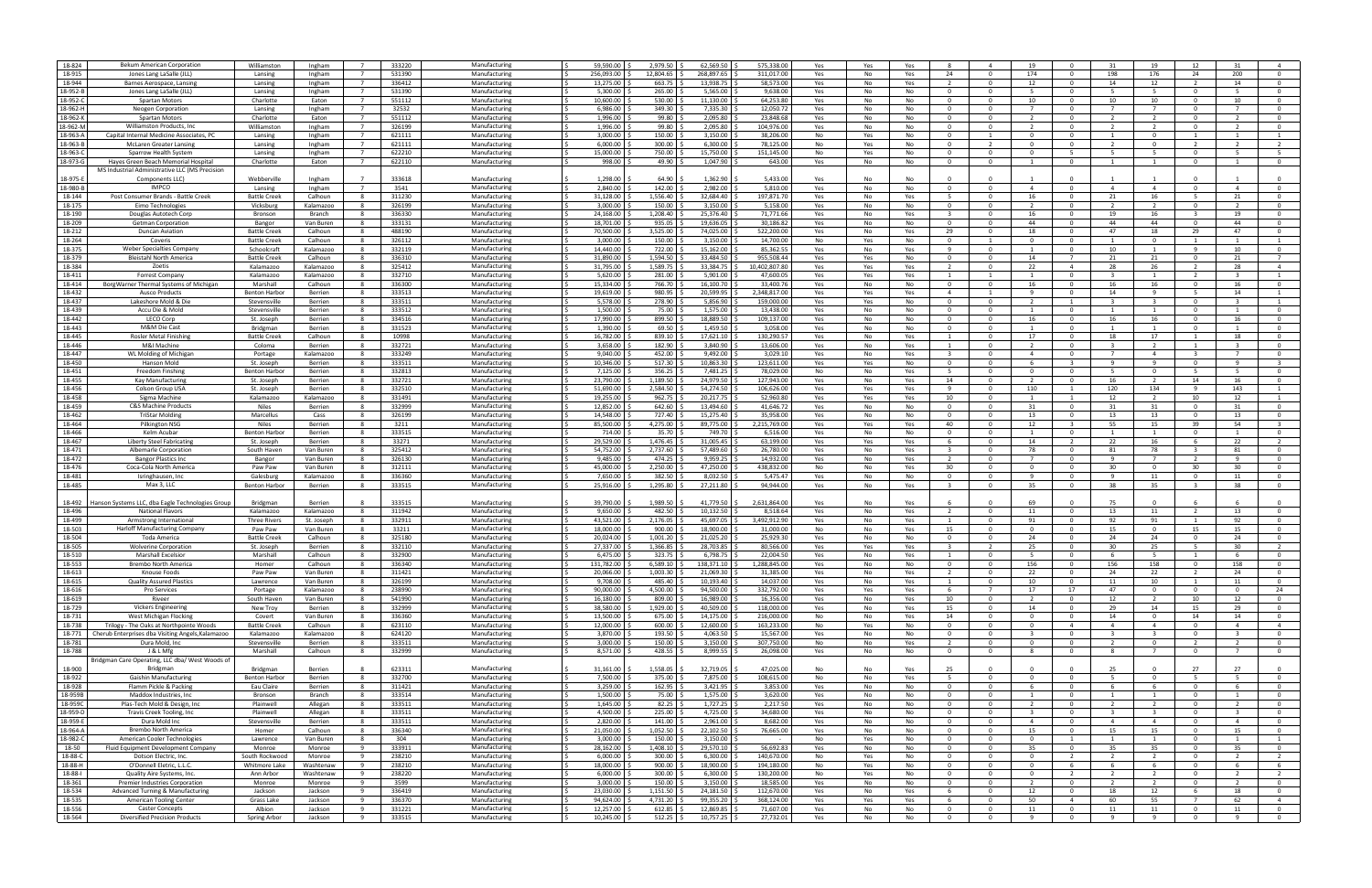| 18-824           | Bekum American Corporation                               | Williamston          | Ingham     | 333220<br>$\overline{7}$ | Manufacturing | 59,590.00      | 2,979.50    | 62,569.50      | 575,338.0     | Yes | Yes<br>Yes       |                         |                          | -19                     |                |                         | 19                      | 12                       |                          |                |
|------------------|----------------------------------------------------------|----------------------|------------|--------------------------|---------------|----------------|-------------|----------------|---------------|-----|------------------|-------------------------|--------------------------|-------------------------|----------------|-------------------------|-------------------------|--------------------------|--------------------------|----------------|
| 18-915           | Jones Lang LaSalle (JLL                                  |                      |            |                          |               |                |             |                |               |     |                  |                         |                          |                         |                |                         |                         |                          |                          |                |
|                  |                                                          | Lansing              | Ingham     | 531390                   | Manufacturin  | 256.093.00     | 12,804.65   | 268.897.65     | 311,017.00    | Yes | No<br>Yes        | 24                      | $\Omega$                 | 174                     |                | 198                     | 176                     | 24                       | 200                      |                |
| 18-944           | Barnes Aerospace, Lansing                                | Lansing              | Ingham     | 336412<br>$\overline{7}$ | Manufacturing | 13,275.00      | 663.75      | 13,938.75      | 58,573.0      | Yes | No<br>Yes        |                         | $\Omega$                 | 12                      | $\overline{0}$ | 14                      | 12                      | $\overline{2}$           | 14                       | $\Omega$       |
| 18-952-B         | Jones Lang LaSalle (JLL)                                 | Lansing              | Ingham     | 531390<br>$\overline{7}$ | Manufacturing | 5,300.00       | 265.00      | 5,565.00       | 9.638.00      | Yes | No<br>No         | $\Omega$                | $\Omega$                 | -5                      | $\Omega$       | -5                      | -5                      | $\Omega$                 | -5.                      | $\Omega$       |
| 18-952-          | Spartan Motors                                           | Charlotte            | Eaton      | 551112<br>$\overline{7}$ | Manufacturing | 10,600.00      | 530.00      | 11,130.00      | 64,253.8      | Yes | No<br>No         | $\Omega$                | $\Omega$                 | 10                      | $\Omega$       | 10                      | 10                      | $\Omega$                 | 10                       | $\Omega$       |
| 18-962-          | <b>Neogen Corporation</b>                                | Lansing              | Ingham     | 32532<br>7               | Manufacturing | 6,986.00       | 349.30      | 7,335.30       | 12,050.7      | Yes | No<br>No         | 0                       | $^{\circ}$               |                         | $\overline{0}$ |                         | 7                       | $\mathbf{0}$             |                          | $\Omega$       |
| 18-962-k         | Spartan Motors                                           | Charlotte            | Eaton      | 551112                   | Manufacturing | 1,996.00       | 99.80       | 2,095.80       | 23,848.68     | Yes | No<br>No         | - 0                     | $\Omega$                 | 2                       |                |                         | $\overline{2}$          | $\Omega$                 |                          | $\overline{0}$ |
| 18-962-M         | Williamston Products, Inc                                | Williamston          | Ingham     | 326199<br>$\overline{7}$ | Manufacturing | 1.996.00       | 99.80       | 2,095.80       | 104,976.0     | Yes | No<br>No         | $\Omega$                | $\Omega$                 | $\overline{2}$          | $\Omega$       | $\overline{2}$          | $\overline{2}$          | $\Omega$                 | $\overline{2}$           | $\Omega$       |
| 18-963-A         | Capital Internal Medicine Associates, PC                 |                      |            | $\overline{7}$           | Manufacturing | 3.000.00       |             |                | 38.206.00     |     | No.              | $\Omega$                | $\mathbf{1}$             | $\Omega$                | $\Omega$       |                         | $\Omega$                | $\overline{1}$           | $\mathbf{1}$             |                |
|                  |                                                          | Lansing              | Ingham     | 621111                   |               |                | 150.00      | 3,150.00       |               | No  | Yes              |                         |                          |                         |                |                         |                         |                          |                          |                |
| 18-963-B         | McLaren Greater Lansin                                   | Lansing              | Ingham     | 621111<br>$\overline{7}$ | Manufacturing | 6,000.00       | 300.00      | 6,300.00       | 78,125.0      | No  | No<br>Yes        | - 0                     | $\overline{\phantom{a}}$ | $\Omega$                | $\Omega$       |                         | $\Omega$                | $\overline{2}$           | $\overline{\phantom{a}}$ | $\overline{2}$ |
| 18-963-          | Sparrow Health System                                    | Lansing              | Ingham     | 622210<br>- 7            | Manufacturing | 15,000.00      | 750.00      | 15,750.00      | 151,145.0     | No  | Yes<br>No        | $\Omega$                | $\Omega$                 | 0                       | - 5            | -5                      |                         | $\mathbf{0}$             | -5                       |                |
| 18-973-G         | Hayes Green Beach Memorial Hospital                      | Charlotte            | Eaton      | 622110<br>7              | Manufacturing | 998.00         | 49.90       | 1,047.90       | 643.00        | Yes | No<br>No         | $\Omega$                | $\Omega$                 |                         | $\Omega$       |                         | 1                       | $\mathbf{0}$             |                          |                |
|                  | MS Industrial Administrative LLC (MS Precision           |                      |            |                          |               |                |             |                |               |     |                  |                         |                          |                         |                |                         |                         |                          |                          |                |
| 18-975-          | Components LLC)                                          | Webberville          | Ingham     | 333618                   | Manufacturing | 1,298.00       | 64.90       | 1,362.90       | 5.433.00      | Yes | No<br>No         |                         |                          |                         |                |                         |                         | n                        |                          |                |
| 18-980-E         | <b>IMPCO</b>                                             | Lansing              | Ingham     | 3541                     | Manufacturing | 2,840.00       | 142.00      | 2,982.00       | 5,810.0       | Yes | No<br>No         | - 0                     | $\Omega$                 | $\overline{a}$          |                | $\overline{a}$          | $\overline{a}$          | $\overline{\mathbf{0}}$  | $\overline{4}$           |                |
| 18-144           | Post Consumer Brands - Battle Creek                      |                      | Calhoun    | -8                       | Manufacturing | 31.128.00      | 1,556.40    | 32.684.40      | 197.871.7     | Yes | No<br>Yes        |                         | $\Omega$                 | 16                      | $\Omega$       | 21                      | 16                      | - 5                      |                          |                |
|                  |                                                          | <b>Battle Creek</b>  |            | 311230                   |               |                |             |                |               |     |                  |                         |                          |                         |                |                         |                         |                          | 21                       |                |
| 18-175           | Eimo Technologies                                        | Vicksburg            | Kalamazoo  | 326199<br>- 8            | Manufacturing | 3,000.00       | 150.00      | 3,150.00       | 5,158.0       | Yes | No<br>No         | $\Omega$                | $\Omega$                 |                         | $\Omega$       |                         | $\overline{2}$          | $\Omega$                 |                          | $\Omega$       |
| 18-190           | Douglas Autotech Cor                                     | Bronson              | Branch     | 336330<br>8              | Manufacturing | 24.168.00      | 1,208.40    | 25,376.40      | 71,771.6      | Yes | No<br>Yes        |                         | $\Omega$                 | 16                      | $\overline{0}$ | 19                      | 16                      | $\overline{\mathbf{3}}$  | 19                       | $\Omega$       |
| 18-209           | <b>Getman Corporation</b>                                | Bangor               | Van Buren  | 333131<br>- 8            | Manufacturing | 18,701.00      | 935.05      | 19,636.05      | 30,186.82     | Yes | No<br>No         | - 0                     | $\Omega$                 | 44                      | $\Omega$       | 44                      | 44                      | $\Omega$                 | 44                       |                |
| 18-212           | Duncan Aviation                                          | <b>Battle Creek</b>  | Calhoun    | 488190<br>- 8            | Manufacturing | 70,500.00      | 3,525.00    | 74,025.00      | 522,200.00    | Yes | No<br>Yes        | 29                      | $\Omega$                 | 18                      |                | 47                      | 18                      | 29                       | 47                       |                |
| 18-264           | Coveris                                                  | <b>Battle Creek</b>  | Calhoun    | 326112<br>- 8            | Manufacturing | 3,000.00       | 150.00      | 3,150.00       | 14.700.00     | No  | No<br>Yes        | $\Omega$                | $\mathbf{1}$             | $\Omega$                | $\Omega$       |                         | $\Omega$                | -1                       | $\mathbf{1}$             |                |
| 18-375           | Weber Specialties Company                                | Schoolcraft          | Kalamazoo  | 332119<br>-8             | Manufacturing | 14,440.00      | 722.00      | 15,162.00      | 85,362.5      | Yes | No<br>Yes        | ٩                       | $\Omega$                 |                         | $\Omega$       | 10                      | -1                      | - 9                      | 10                       |                |
| 18-379           | <b>Bleistahl North America</b>                           | <b>Battle Creek</b>  | Calhoun    | 336310<br>8              | Manufacturing | 31.890.00      | 1,594.50    | 33,484.50      | 955,508.44    | Yes | Yes<br>No        | $\Omega$                | $\Omega$                 | 14                      | $\overline{7}$ | 21                      | 21                      | $\overline{0}$           | 21                       |                |
| 18-384           |                                                          | Kalamazoo            |            | 325412<br>- 8            | Manufacturing | 31,795.00      | 1,589.75    | 33,384.75      | 10,402,807.80 |     |                  |                         | $\Omega$                 | 22                      | $\overline{a}$ | 28                      | 26                      | - 2                      | 28                       | $\overline{a}$ |
|                  | Zoetis                                                   |                      | Kalamazoo  |                          |               |                |             |                |               | Yes | Yes<br>Yes       |                         |                          |                         |                |                         |                         |                          |                          |                |
| 18-411           | Forrest Company                                          | Kalamazoo            | Kalamazoo  | 332710<br>-8             | Manufacturing | 5,620.00       | 281.00      | 5,901.00       | 47,600.0      | Yes | Yes<br>Yes       |                         |                          |                         |                |                         |                         |                          |                          |                |
| 18-414           | BorgWarner Thermal Systems of Michigan                   | Marshall             | Calhoun    | 336300<br>-8             | Manufacturing | 15.334.00      | 766.70      | 16.100.70      | 33.400.7      | Yes | No<br>No         | $\Omega$                | $\Omega$                 | 16                      | $\Omega$       | 16                      | 16                      | $\Omega$                 | 16                       |                |
| 18-432           | <b>Ausco Products</b>                                    | <b>Benton Harbor</b> | Berrien    | 333513<br>- 8            | Manufacturing | 19,619.00      | 980.95      | 20,599.95      | 2,348,817.0   | Yes | Yes<br>Yes       | $\overline{4}$          |                          | q                       | $\Omega$       | 14                      | -9                      | - 5                      | 14                       |                |
| 18-437           | Lakeshore Mold & Die                                     | Stevensville         | Berrien    | 8<br>333511              | Manufacturing | 5.578.00       | 278.90      | 5,856.90       | 159,000.0     | Yes | Yes<br>No        | $\Omega$                | $\Omega$                 | $\overline{2}$          | $\overline{1}$ | $\mathbf{3}$            | $\overline{\mathbf{3}}$ | $\Omega$                 | $\mathbf{3}$             |                |
| 18-439           | Accu Die & Mold                                          | Stevensville         | Berrien    | 333512<br>- 8            | Manufacturing | 1,500.00       | 75.00       | 1,575.00       | 13,438.00     | Yes | No<br>No         | - 0                     | $\Omega$                 |                         | . റ            |                         |                         | $\Omega$                 |                          |                |
| 18-442           | <b>LECO Corp</b>                                         | St. Joseph           | Berrien    | 334516<br>- 8            | Manufacturing | 17,990.00      | 899.50      | 18,889.50      | 109,137.0     | Yes | No<br>No         | - 0                     | $\Omega$                 | 16                      |                | 16                      | 16                      | - 0                      | 16                       | $^{\circ}$     |
| 18-443           | M&M Die Cast                                             | Bridgman             | Berrien    | 331523<br>- 8            | Manufacturing | 1,390.00       | 69.50       | 1,459.50       | 3.058.0       | Yes | No<br>No         | $\Omega$                | $\Omega$                 |                         | $\Omega$       |                         | $\overline{1}$          | $\Omega$                 |                          |                |
| 18-445           | Rosler Metal Finishir                                    | <b>Battle Creek</b>  | Calhoun    | 10998<br>-8              | Manufacturing | 16,782.00      | 839.10      | 17,621.10      | 130,290.5     | Yes | No<br>Yes        |                         | $\Omega$                 | 17                      | $\Omega$       | 18                      | 17                      |                          | 18                       |                |
| 18-446           | M&I Machine                                              | Coloma               | Berrien    | 8<br>332721              | Manufacturing | 3.658.00       | 182.90      | 3.840.90       | 13,606.00     | Yes | No<br>Yes        | $\overline{1}$          | $\Omega$                 | $\overline{2}$          | $\Omega$       | - 3                     | $\overline{2}$          | 1                        | $\mathbf{3}$             | $\Omega$       |
|                  |                                                          |                      |            |                          |               |                |             |                |               |     |                  |                         |                          |                         |                |                         |                         |                          |                          |                |
| 18-447           | WL Molding of Michigan                                   | Portage              | Kalamazoo  | 333249<br>- 8            | Manufacturing | 9,040.00       | 452.00      | 9,492.00       | 3,029.1       | Yes | No<br>Yes        |                         | $\Omega$                 | $\mathbf{A}$            | . റ            |                         | $\overline{4}$          | -3                       |                          | $\Omega$       |
| 18-450           | Hanson Mold                                              | St. Joseph           | Berrien    | 333511<br>- 8            | Manufacturing | 10,346.00      | 517.30      | 10,863.30      | 123,611.0     | Yes | No<br>Yes        | - 0                     | $\Omega$                 |                         |                | - q                     | -9                      | $\Omega$                 | ٩                        |                |
| 18-451           | Freedom Finshin                                          | <b>Benton Harbor</b> | Berrien    | 332813<br>-8             | Manufacturing | 7,125.00       | 356.25      | 7,481.25       | 78.029.00     | No  | No<br>Yes        |                         | $\Omega$                 | $\Omega$                | $\Omega$       |                         | $\Omega$                | - 5                      | -5                       |                |
| 18-455           | Kay Manufacturing                                        | St. Joseph           | Berrien    | 332721<br>-8             | Manufacturing | 23,790.00      | 1,189.50    | 24,979.50      | 127,943.0     | Yes | No<br>Yes        | 14                      | $\Omega$                 | 2                       | $\Omega$       | 16                      | $\overline{2}$          | 14                       | 16                       | $\Omega$       |
| 18-456           | Colson Group USA                                         | St. Joseph           | Berrien    | 332510<br>8              | Manufacturing | 51.690.00      | 2.584.50    | 54.274.50      | 106.626.00    | Yes | Yes<br>Yes       | -9                      | $\Omega$                 | 110                     | 1              | 120                     | 134                     | - 9                      | 143                      |                |
| 18-458           | Sigma Machine                                            | Kalamazoo            | Kalamazoo  | 331491<br>- 8            | Manufacturing | 19,255.00      | 962.75      | 20,217.75      | 52,960.80     | Yes | Yes<br>Yes       | 10                      | $\Omega$                 |                         |                | 12                      | -2                      | 10                       | 12                       |                |
| 18-459           | C&S Machine Product                                      | Niles                | Berrien    | 332999<br>- 8            | Manufacturing | 12,852.00      | 642.60      | 13,494.60      | 41,646.7      | Yes | No<br>No         | - 0                     | $\Omega$                 | 31                      | $\Omega$       | 31                      | 31                      | $\Omega$                 | 31                       | $\Omega$       |
|                  |                                                          |                      |            |                          |               | 14.548.00      |             |                |               |     |                  |                         |                          |                         |                |                         |                         |                          |                          |                |
| 18-462           | <b>TriStar Molding</b>                                   | Marcellus            | Cass       | 326199<br>- 8            | Manufacturing |                | 727.40      | 15,275.40      | 35.958.0      | Yes | No<br>No         | $\Omega$                | $\Omega$                 | 13                      | $\Omega$       | 13                      | 13                      | $\Omega$                 | 13                       |                |
| 18-464           | Pilkington NSG                                           | <b>Niles</b>         | Berrien    | 3211<br>-8               | Manufacturing | 85,500.00      | 4,275.00    | 89,775.00      | 2,215,769.0   | Yes | Yes<br>Yes       | 40                      | $\Omega$                 | 12                      | $\overline{3}$ | 55                      | 15                      | 39                       | 54                       |                |
| 18-466           | Kelm Acubar                                              | <b>Benton Harbor</b> | Berrien    | 333515<br>8              | Manufacturing | 714.00         | 35.70       | 749.70         | 6,516.00      | Yes | No<br>No         | $\Omega$                | $\Omega$                 | $\overline{1}$          | $\overline{0}$ | 1                       | 1                       | $\overline{0}$           | 1                        | $\overline{0}$ |
| 18-467           | Liberty Steel Fabricatin                                 | St. Joseph           | Berrien    | 33271<br>- 8             | Manufacturing | 29,529.00      | 1,476.45    | 31,005.45      | 63,199.00     | Yes | Yes<br>Yes       | -6                      | $\Omega$                 | 14                      | $\overline{z}$ | 22                      | 16                      | - 6                      | 22                       |                |
| 18-471           | Albemarle Corporation                                    | South Haven          | Van Buren  | 325412<br>- 8            | Manufacturing | 54,752.00      | 2,737.60    | 57,489.60      | 26,780.0      | Yes | No<br>Yes        |                         | $\Omega$                 | 78                      |                | 81                      | 78                      | - 3                      | 81                       |                |
| 18-472           | <b>Bangor Plastics Inc</b>                               | Bangor               | Van Buren  | 326130<br>-8             | Manufacturing | 9,485.00       | 474.25      | 9,959.25       | 14.932.0      | Yes | <b>No</b><br>Yes |                         | $\Omega$                 | $\overline{7}$          | $\Omega$       | <b>q</b>                | $\overline{7}$          | $\overline{\phantom{a}}$ | <b>q</b>                 | $\Omega$       |
| 18-476           | Coca-Cola North America                                  | Paw Paw              | Van Buren  | 312111<br>-8             | Manufacturing | 45,000.00      | 2,250.00    | 47,250.00      | 438,832.0     | No  | No<br>Yes        | 30                      | $\Omega$                 | $\Omega$                | $\Omega$       | 30                      | $\mathbf{O}$            | 30                       | 30                       | $\Omega$       |
| 18-481           | Isringhausen, Inc                                        | Galesburg            | Kalamazoo  | 336360<br>8              | Manufacturing | 7,650.00       | 382.50      | 8.032.50       | 5.475.47      | Yes | No<br>No         | $\Omega$                | $\Omega$                 | $\mathbf{q}$            | $\Omega$       | -9                      | 11                      | $\Omega$                 | 11                       | $\Omega$       |
| 18-485           | Max 3, LLC                                               | Benton Harbor        | Berrien    | 333515<br>- 8            | Manufacturing | 25,916.00      | 1,295.80    | 27,211.80      | 94,944.00     | Yes | No<br>Yes        |                         | $\Omega$                 | 35                      |                | 38                      | 35                      |                          | 38                       |                |
|                  |                                                          |                      |            |                          |               |                |             |                |               |     |                  |                         |                          |                         |                |                         |                         |                          |                          |                |
|                  |                                                          |                      |            |                          |               |                |             |                |               |     |                  |                         |                          |                         |                |                         |                         |                          |                          |                |
| 18-492           | Hanson Systems LLC, dba Eagle Technologies Group         | Bridgman             | Berrien    | 333515                   | Manufacturing | 39,790.00      | 1,989.50    | 41,779.50      | 2,631,864.0   | Yes | Yes<br>No        |                         |                          | -69                     |                | 75                      |                         |                          |                          |                |
| 18-496           | <b>National Flavors</b>                                  | Kalamazoo            | Kalamazoo  | 311942<br>8              | Manufacturing | 9.650.00       | 482.50      | 10.132.50      | 8.518.64      | Yes | No<br>Yes        |                         | $\Omega$                 | 11                      | $\overline{0}$ | 13                      | 11                      | $\overline{2}$           | 13                       | $\Omega$       |
| 18-499           | Armstrong International                                  | <b>Three Rivers</b>  | St. Joseph | 332911<br>- 8            | Manufacturing | 43.521.00      | 2,176.05    | 45.697.05      | 3.492.912.90  | Yes | No<br>Yes        |                         | $\Omega$                 | 91                      | $\Omega$       | 92                      | 91                      |                          | 92                       |                |
| 18-503           | Harloff Manufacturing Compan                             | Paw Paw              | Van Buren  | 33211<br>- 8             | Manufacturing | 18,000.00      | 900.00      | 18,900.00      | 31,000.0      | No  | No<br>Yes        | 15                      | $\Omega$                 |                         | . റ            | 15                      | $\Omega$                | 15                       | 15                       |                |
| 18-504           | <b>Toda America</b>                                      | <b>Battle Creek</b>  | Calhoun    | 325180<br>-8             | Manufacturin  | 20,024.00      | 1,001.20    | 21,025.20      | 25,929.3      | Yes | No<br>No         |                         | $\Omega$                 | 24                      |                | 24                      | 24                      | $\Omega$                 | 24                       |                |
| 18-505           | <b>Wolverine Corporation</b>                             | St. Joseph           | Berrien    | 332110<br>-8             | Manufacturing | 27,337.00      | 1,366.85    | 28,703.85      | 80.566.00     | Yes | Yes<br>Yes       |                         | $\overline{2}$           | 25                      | $\Omega$       | 30                      | 25                      | - 5                      | 30                       |                |
| 18-510           | <b>Marshall Excelsior</b>                                | Marshall             | Calhoun    | 332900<br>8              | Manufacturing | 6,475.00       | 323.75      | 6,798.75       | 22.004.50     | Yes | No<br>Yes        |                         | $\Omega$                 |                         | $\Omega$       | -6                      | -5                      | 1                        | 6                        | $\overline{0}$ |
| 18-553           | Brembo North America                                     | Homer                | Calhoun    | 336340                   | Manufacturing | 131,782.00     | 6,589.10    | 138,371.10     | ,288,845.00   |     | No<br>No         |                         |                          | 156                     |                | 156                     | 158                     | $\Omega$                 | 158                      |                |
| 18-613           |                                                          |                      |            | 311421                   |               | 20,066.00      | 1,003.30    | 21,069.30      | 31,385.00     | Yes |                  |                         | $\Omega$                 | 22                      | $\Omega$       | 24                      | 22                      | - 2                      | 24                       | $\Omega$       |
|                  | Knouse Foods                                             | Paw Paw              | Van Buren  | 8                        | Manufacturing |                |             |                |               | Yes | No<br>Yes        |                         |                          |                         |                |                         |                         |                          |                          |                |
| 18-615           | <b>Quality Assured Plastics</b>                          | Lawrence             | Van Buren  | 326199<br>8              | Manufacturing | 9,708.00       | 485.40      | 10,193.40      | 14,037.00     | Yes | No<br>Yes        |                         | $\overline{\mathbf{0}}$  | 10                      | $\mathbf{0}$   | 11                      | 10                      | 1                        | 11                       | $\mathbf 0$    |
| 18-616           | <b>Pro Services</b>                                      | Portage              | Kalamazoo  | 238990<br>8              | Manufacturing | 90,000.00      | 4,500.00    | 94,500.00      | 332,792.00    | Yes | Yes<br>Yes       | 6                       | $\overline{7}$           | 17                      | 17             | 47                      | $\overline{0}$          | $\overline{0}$           | $\overline{0}$           | 24             |
| 18-619           | Riveer                                                   | South Haven          | Van Buren  | 541990<br>8              | Manufacturing | 16,180.00      | 809.00      | 16,989.00      | 16.356.00     | Yes | No<br>Yes        | 10                      | $\overline{0}$           | $\overline{2}$          | $\overline{0}$ | 12                      | $\overline{2}$          | 10                       | 12                       | $\overline{0}$ |
| 18-729           | <b>Vickers Engineering</b>                               | New Troy             | Berrien    | 332999<br>8              | Manufacturing | 38,580.00      | 1,929.00    | 40,509.00      | 118,000.00    | Yes | No<br>Yes        | 15                      | $\Omega$                 | 14                      | $\overline{0}$ | 29                      | 14                      | 15                       | 29                       | $\overline{0}$ |
| 18-731           | West Michigan Flocking                                   | Covert               | Van Buren  | 336360<br>8              | Manufacturing | 13,500.00      | 675.00      | 14,175.00      | 216,000.00    | No  | No<br>Yes        | 14                      | $\Omega$                 | $\Omega$                | $\mathbf 0$    | 14                      | $\overline{0}$          | 14                       | 14                       | $\mathbf 0$    |
| 18-738           | Trilogy - The Oaks at Northpointe Woods                  | <b>Battle Creek</b>  | Calhoun    | 623110<br>8              | Manufacturing | 12,000.00      | 600.00      | 12,600.00      | 163,233.00    | No  | No<br>Yes        | $\overline{0}$          | $\overline{0}$           | $^{\circ}$              | $\overline{4}$ | $\overline{4}$          | $\overline{4}$          | $\mathbf{0}$             | $\overline{4}$           | $\overline{4}$ |
| 18-771           | Cherub Enterprises dba Visiting Angels, Kalamazoo        | Kalamazoo            | Kalamazoo  | 8<br>624120              | Manufacturing | 3,870.00       | 193.50      | 4,063.50       | 15,567.00     | Yes | No<br>No         | $\mathbf{0}$            | $\overline{0}$           | $\overline{\mathbf{3}}$ | $\mathbf 0$    | $\overline{\mathbf{3}}$ | $\overline{\mathbf{3}}$ | $\mathbf 0$              | $\overline{\mathbf{3}}$  | $\overline{0}$ |
| 18-781           | Dura Mold, Inc                                           | Stevensville         | Berrien    | 8<br>333511              | Manufacturing | 3,000.00       | 150.00      | 3,150.00       | 307,750.00    | No  | No<br>Yes        | $\overline{2}$          | $\overline{0}$           | $\overline{0}$          | $\overline{0}$ | $\overline{2}$          | $\mathbf{O}$            | $\overline{2}$           | $\overline{2}$           | $\overline{0}$ |
| 18-788           | J & L Mfg                                                | Marshall             | Calhoun    | 8<br>332999              | Manufacturing | 8,571.00       | 428.55      | 8,999.55       | 26,098.00     | Yes | No<br>No         | $\Omega$                | $\Omega$                 | $\mathbf{R}$            | $\overline{0}$ | 8                       | $\overline{7}$          | $\Omega$                 | $\overline{7}$           | $\overline{0}$ |
|                  |                                                          |                      |            |                          |               |                |             |                |               |     |                  |                         |                          |                         |                |                         |                         |                          |                          |                |
|                  | Bridgman Care Operating, LLC dba/ West Woods of          |                      |            |                          |               |                |             |                |               |     |                  |                         |                          |                         |                |                         |                         |                          |                          |                |
| 18-900           | Bridgman                                                 | Bridgman             | Berrien    | 623311<br>- 8            | Manufacturing | 31,161.00      | 1,558.05    | 32,719.05      | 47,025.00     | No  | No<br>Yes        | 25                      | $\Omega$                 | $\Omega$                | $\Omega$       | 25                      | $\Omega$                | 27                       | 27                       | $\Omega$       |
| 18-922           | Gaishin Manufacturing                                    | Benton Harbor        | Berrien    | 8 <sup>2</sup><br>332700 | Manufacturing | 7,500.00       | 375.00      | 7,875.00       | 108,615.00    | No  | No<br>Yes        | 5                       | $\overline{0}$           | $\mathbf{0}$            | $\mathbf{O}$   | 5                       | $\mathbf 0$             | 5                        | 5                        | $\overline{0}$ |
| 18-928           | Flamm Pickle & Packing                                   | Eau Claire           | Berrien    | 311421<br>8              | Manufacturing | 3,259.00       | 162.95      | 3,421.95       | 3.853.00      | Yes | No<br>No         | $\overline{0}$          | $\overline{0}$           | - 6                     | $\overline{0}$ | 6                       | 6                       | $\overline{0}$           | 6                        | $\overline{0}$ |
| 18-959B          | Maddox Industries, Inc                                   | Bronson              | Branch     | 8<br>333514              | Manufacturing | 1,500.00       | 75.00       | 1,575.00       | 3,620.00      | Yes | No<br>No         | $\overline{\mathbf{0}}$ | $\Omega$                 | $\overline{1}$          | $\mathbf{0}$   | $\overline{1}$          | 1                       | $\overline{0}$           | $\mathbf{1}$             | $\mathbf 0$    |
| 18-959C          | Plas-Tech Mold & Design, Inc                             | Plainwell            | Allegan    | 333511<br>8              | Manufacturing | 1,645.00       | 82.25       | 1,727.25       | 2,217.50      | Yes | No<br>No         | $^{\circ}$              | $\mathbf{0}$             | 2                       | $\mathbf{O}$   | $\overline{2}$          | 2                       | $\mathbf{O}$             | 2                        | $\mathbf 0$    |
| 18-959-D         | Travis Creek Tooling, Inc.                               | Plainwell            | Allegan    | 333511<br>8              | Manufacturing | 4,500.00       | 225.00      | 4,725.00       | 34,680.00     | Yes | No<br>No         | $\overline{0}$          | $\overline{0}$           |                         | $\mathbf 0$    | -3                      | $\overline{\mathbf{3}}$ | $\mathbf{0}$             | -3                       | $\mathbf 0$    |
| 18-959-B         | Dura Mold Inc                                            | Stevensville         | Berrien    | 333511<br>8              | Manufacturing | 2,820.00       | 141.00      | 2,961.00       | 8,682.00      | Yes | No<br>No         | $\mathbf{0}$            | $\overline{0}$           | $\overline{4}$          | $\mathbf 0$    | $\overline{4}$          | $\overline{4}$          | $\mathbf 0$              | $\overline{4}$           | $\overline{0}$ |
|                  |                                                          |                      |            |                          |               |                |             |                |               |     |                  |                         |                          |                         |                |                         |                         |                          |                          |                |
| 18-964-A         | Brembo North America                                     | Homer                | Calhoun    | 336340<br>8              | Manufacturing | 21,050.00      | 1,052.50    | 22,102.50      | 76.665.00     | Yes | No<br>No         | $\overline{0}$          | $\overline{0}$           | 15                      | $\overline{0}$ | 15                      | 15                      | $\overline{0}$           | 15                       | $\overline{0}$ |
| 18-982-C         | American Cooler Technologies                             | Lawrence             | Van Buren  | 8<br>304                 | Manufacturing | 3,000.00       | 150.00      | 3,150.00       |               | No  | No<br>Yes        | $\overline{\mathbf{0}}$ | $\Omega$                 | $\mathbf{0}$            | 1              | $\overline{1}$          | 1                       | $\overline{0}$           | $\overline{1}$           | 1              |
| 18-50            | Fluid Equipment Development Company                      | Monroe               | Monroe     | 333911<br>9              | Manufacturing | 28,162.00      | 1,408.10    | 29,570.10      | 56,692.83     | Yes | No<br>No         | $\Omega$                | $\mathbf{0}$             | 35                      | $\mathbf 0$    | 35                      | 35                      | $\mathbf 0$              | 35                       | $\mathbf 0$    |
| 18-88-C          | Dotson Electric, Inc.                                    | South Rockwood       | Monroe     | 238210<br>- 9            | Manufacturing | 6,000.00       | 300.00      | 6,300.00       | 140,670.00    | No  | Yes<br>No        | $\overline{\mathbf{0}}$ | $\overline{\mathbf{0}}$  | $\mathbf{0}$            | $\overline{2}$ | $\overline{2}$          | 2                       | $\overline{0}$           | $\overline{2}$           | $\overline{2}$ |
| 18-88-H          | O'Donnell Eletric, L.L.C.                                | Whitmore Lake        | Washtenaw  | 238210<br>9              | Manufacturing | 18,000.00      | 900.00      | 18,900.00      | 194,180.00    | No  | Yes<br>No        | $\overline{\mathbf{0}}$ | $\overline{0}$           | $\overline{\mathbf{0}}$ | 6              | 6                       | 6                       | $\mathbf 0$              | 6                        | 6              |
| 18-88-I          | Quality Aire Systems, Inc.                               | Ann Arbor            | Washtenaw  | 9<br>238220              | Manufacturing | 6,000.00       | 300.00      | 6,300.00       | 130,200.00    | No  | Yes<br>No        | $\Omega$                | $\overline{0}$           | $\overline{0}$          | 2              | $\overline{2}$          | $\overline{2}$          | $\overline{0}$           | 2                        | 2              |
| 18-361           | Premier Industries Corporation                           | Monroe               | Monroe     | 9<br>3599                | Manufacturing | 3,000.00       | 150.00      | 3,150.00       | 18,585.00     | Yes | No<br>No         | $\Omega$                | $\Omega$                 | $\overline{2}$          | $\mathbf{0}$   | $\overline{2}$          | $\overline{2}$          | $\overline{0}$           | $\overline{2}$           | $\mathbf 0$    |
| 18-534           | Advanced Turning & Manufacturing                         | Jackson              | Jackson    | 336419<br>9              | Manufacturing | 23,030.00      | 1,151.50    | 24,181.50      | 112,670.00    | Yes | No<br>Yes        | -6                      | $\mathbf{0}$             | 12                      | $\mathbf{O}$   | 18                      | 12                      | - 6                      | 18                       | $\mathbf 0$    |
| 18-535           |                                                          | Grass Lake           | Jackson    | 336370<br>- 9            | Manufacturing | 94,624.00      | 4,731.20    | 99,355.20      | 368,124.00    |     | Yes<br>Yes       | -6                      | $\overline{0}$           | 50                      | $\overline{4}$ | 60                      | 55                      | - 7                      | 62                       | $\overline{4}$ |
|                  | American Tooling Center                                  |                      |            |                          |               |                |             |                |               | Yes |                  |                         |                          |                         |                |                         |                         |                          |                          |                |
|                  |                                                          | Albion               | Jackson    | 331221<br>9              | Manufacturing | 12,257.00      | 612.85      | 12,869.85      | 71,607.00     | Yes | No<br>No         | $\overline{\mathbf{0}}$ | $\overline{0}$           | 11                      | $\mathbf 0$    | 11                      | 11                      | $\mathbf 0$              | 11                       | $\overline{0}$ |
| 18-556<br>18-564 | <b>Caster Concepts</b><br>Diversified Precision Products | Spring Arbor         | Jackson    | 9<br>333515              | Manufacturing | $10,245.00$ \$ | $512.25$ \$ | $10,757.25$ \$ | 27,732.01     | Yes | No<br>No         | $\overline{0}$          | $\overline{0}$           | 9                       | $\overline{0}$ | 9                       | 9                       | $\overline{0}$           | 9                        | $\overline{0}$ |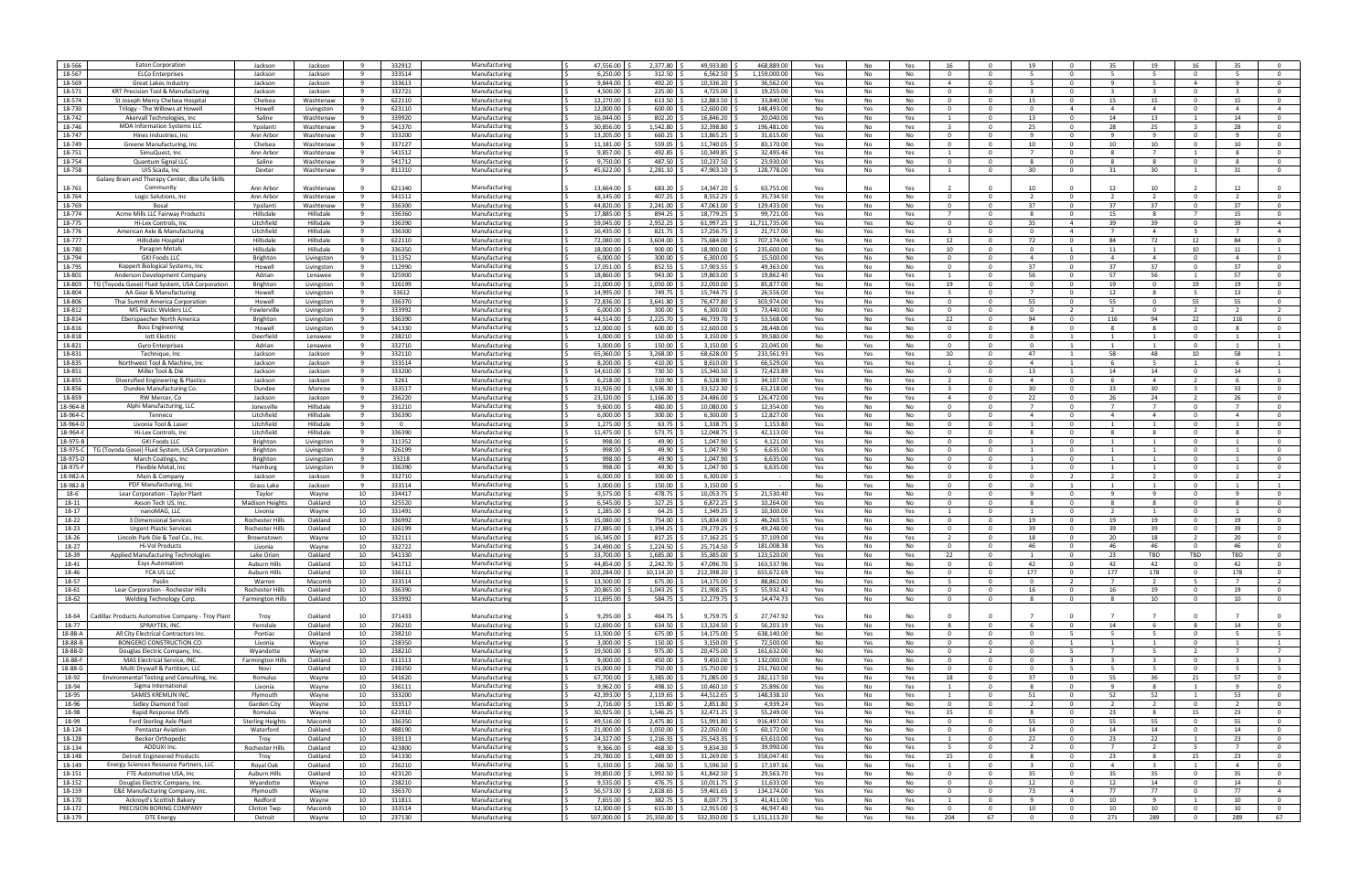| 18-566   |                                                   |                         |            |                |        |               |                                          |
|----------|---------------------------------------------------|-------------------------|------------|----------------|--------|---------------|------------------------------------------|
|          | <b>Eaton Corporation</b>                          | Jackson                 | Jackson    | 9              | 332912 | Manufacturing | 47,556.00                                |
|          |                                                   |                         |            | -9             |        |               |                                          |
| 18-567   | <b>ELCo Enterprises</b>                           | Jackson                 | Jackson    |                | 333514 | Manufacturing | 6,250.00                                 |
| 18-569   | Great Lakes Industry                              | Jackson                 | Jackson    | $\mathbf{q}$   | 333613 | Manufacturing | 9,844.00                                 |
|          |                                                   |                         |            |                |        |               |                                          |
| 18-571   | <b>KRT Precision Tool &amp; Manufacturing</b>     | Jackson                 | Jackson    | - 9            | 332721 | Manufacturing | 4,500.00                                 |
| 18-574   | St Joseph Mercy Chelsea Hospita                   | Chelsea                 | Washtenaw  | - 9            | 622110 | Manufacturing | 12,270.00                                |
|          |                                                   |                         |            |                |        |               |                                          |
| 18-730   | Trilogy - The Willows at Howell                   | Howell                  | Livingston | - 9            | 623110 | Manufacturing | 12,000.00                                |
| 18-742   |                                                   | Saline                  |            | - 9            | 339920 |               | 16,044.00                                |
|          | Akervall Technologies, Inc.                       |                         | Washtenaw  |                |        | Manufacturing |                                          |
| 18-746   | <b>MDA Information Systems LLC</b>                | Ypsilanti               | Washtenaw  | 9              | 541370 | Manufacturing | 30,856.00                                |
|          |                                                   |                         |            |                |        |               |                                          |
| 18-747   | Hines Industries, Inc.                            | Ann Arbor               | Washtenaw  | - 9            | 333200 | Manufacturing | 13,205.00                                |
| 18-749   | Greene Manufacturing, Inc.                        | Chelsea                 | Washtenaw  | - 9            | 337127 | Manufacturing | 11,181.00                                |
|          |                                                   |                         |            |                |        |               |                                          |
| 18-751   | SimuQuest, Inc                                    | Ann Arbor               | Washtenaw  | - 9            | 541512 | Manufacturing | 9,857.00                                 |
|          |                                                   |                         |            | - 9            |        |               |                                          |
| 18-754   | Quantum Signal LLC                                | Saline                  | Washtenaw  |                | 541712 | Manufacturing | 9,750.00                                 |
| 18-758   | UIS Scada, Inc.                                   | Dexter                  | Washtenaw  | - 9            | 811310 | Manufacturing | 45,622.00                                |
|          |                                                   |                         |            |                |        |               |                                          |
|          | Galaxy Brain and Therapy Center, dba Life Skills  |                         |            |                |        |               |                                          |
| 18-761   | Community                                         | Ann Arbor               | Washtenaw  | - 9            | 621340 | Manufacturing | 13,664.00                                |
|          |                                                   |                         |            |                |        |               |                                          |
| 18-764   | Logic Solutions, Inc                              | Ann Arbor               | Washtenaw  | $\mathbf{q}$   | 541512 | Manufacturing | 8.145.00                                 |
|          |                                                   |                         |            |                |        |               |                                          |
| 18-769   | Bosal                                             | Ypsilanti               | Washtenaw  | - 9            | 336300 | Manufacturing | 44,820.00                                |
| 18-774   | Acme Mills LLC Fairway Products                   | Hillsdale               | Hillsdale  | 9              | 336360 | Manufacturing | 17.885.00                                |
|          |                                                   |                         |            |                |        |               |                                          |
| 18-775   | Hi-Lex Controls, Inc                              | Litchfield              | Hillsdale  | - 9            | 336390 | Manufacturing | 59,045.00                                |
| 18-776   | American Axle & Manufacturing                     | Litchfield              | Hillsdale  | - 9            | 336300 | Manufacturing | 16,435.00                                |
|          |                                                   |                         |            |                |        |               |                                          |
| 18-777   | Hillsdale Hospital                                | Hillsdale               | Hillsdale  | 9              | 622110 | Manufacturing | 72.080.00                                |
| 18-780   |                                                   | Hillsdale               | Hillsdale  | -9             |        | Manufacturing | 18,000.00                                |
|          | Paragon Metals                                    |                         |            |                | 336350 |               |                                          |
| 18-794   | <b>GKI Foods LLC</b>                              | Brighton                | Livingston | 9              | 311352 | Manufacturing | 6,000.00                                 |
|          |                                                   |                         |            |                |        |               |                                          |
| 18-795   | Koppert Biological Systems, Inc.                  | Howell                  | Livingston | - 9            | 112990 | Manufacturing | 17,051.00                                |
| 18-801   | Anderson Development Company                      | Adrian                  | Lenawee    | - 9            | 325900 | Manufacturing | 18.860.00                                |
|          |                                                   |                         |            |                |        |               |                                          |
| 18-803   | TG (Tovoda Gosei) Fluid System, USA Corporation   | Brighton                | Livingston | 9              | 326199 | Manufacturing | 21.000.00<br>. I <                       |
| 18-804   | AA Gear & Manufacturing                           | Howell                  |            | - 9            | 33612  | Manufacturing | 14,995.00                                |
|          |                                                   |                         | Livingston |                |        |               |                                          |
| 18-806   | Thai Summit America Corporation                   | Howell                  | Livingston | 9              | 336370 | Manufacturing | 72,836.00                                |
|          |                                                   |                         |            |                |        |               |                                          |
| 18-812   | <b>MS Plastic Welders LLC</b>                     | Fowlerville             | Livingston | 9              | 333992 | Manufacturing | 6,000.00                                 |
| 18-814   | Eberspaecher North America                        | Brighton                | Livingston | - 9            | 336390 | Manufacturing | 44,514.00                                |
|          |                                                   |                         |            |                |        |               |                                          |
| 18-816   | <b>Boss Engineering</b>                           | Howell                  | Livingston | 9              | 541330 | Manufacturing | 12.000.00                                |
| 18-818   | lott Electric                                     | Deerfield               | Lenawee    | -9             | 238210 | Manufacturing | 3.000.00                                 |
|          |                                                   |                         |            |                |        |               |                                          |
| 18-821   | <b>Gyro Enterprises</b>                           | Adrian                  | Lenawee    | $\mathbf{q}$   | 332710 | Manufacturing | 3,000.00                                 |
|          |                                                   |                         |            |                |        |               |                                          |
| 18-831   | Technique, Inc                                    | Jackson                 | Jackson    | 9              | 332110 | Manufacturing | 65,360.00                                |
| 18-835   | Northwest Tool & Machine, Inc.                    | Jackson                 | Jackson    | 9              | 333514 | Manufacturing | 8,200.00                                 |
|          |                                                   |                         |            |                |        |               |                                          |
| 18-851   | Miller Tool & Die                                 | Jackson                 | Jackson    | 9              | 333200 | Manufacturing | 14.610.00<br>1 S                         |
| 18-855   |                                                   | Jackson                 | Jackson    | -9             | 3261   | Manufacturing | 6,218.00                                 |
|          | Diversified Engineering & Plastics                |                         |            |                |        |               |                                          |
| 18-856   | Dundee Manufacturing Co                           | Dundee                  | Monroe     | $\overline{9}$ | 333517 | Manufacturing | 31,926.00                                |
|          |                                                   |                         |            |                |        |               |                                          |
| 18-859   | RW Mercer, Co                                     | Jackson                 | Jackson    | 9              | 236220 | Manufacturing | 23,320.00                                |
| 18-964-B | Alphi Manufacturing, LLC                          | Jonesville              | Hillsdale  | - 9            | 331210 | Manufacturing | 9,600.00                                 |
|          |                                                   |                         |            |                |        |               |                                          |
| 18-964-0 | Tenneco                                           | Litchfield              | Hillsdale  | 9              | 336390 | Manufacturing | 6.000.00                                 |
| 18-964-D | Livonia Tool & Laser                              | Litchfield              | Hillsdale  | -9             |        | Manufacturing | 1,275.00                                 |
|          |                                                   |                         |            |                |        |               |                                          |
| 18-964-E | Hi-Lex Controls, Ind                              | Litchfield              | Hillsdale  | $\mathbf{q}$   | 336390 | Manufacturing | 11,475.00                                |
|          |                                                   |                         |            |                |        |               |                                          |
| 18-975-B | <b>GKI Foods LLC</b>                              | Brighton                | Livingston | 9              | 311352 | Manufacturing | 998.00                                   |
| 18-975-C | TG (Toyoda Gosei) Fluid System, USA Corporation   | Brighton                | Livingston | - 9            | 326199 | Manufacturing | 998.00                                   |
|          |                                                   |                         |            |                |        |               |                                          |
| 18-975-D | March Coatings, Inc                               | Brighton                | Livingston | 9              | 33218  | Manufacturing | 998.00<br>1 S                            |
| 18-975-F | Flexible Metal, Inc                               |                         |            | - 9            | 336390 | Manufacturing | 998.00 9                                 |
|          |                                                   | Hamburg                 | Livingston |                |        |               |                                          |
| 18-982-A | Main & Company                                    | Jackson                 | Jackson    | - 9            | 332710 | Manufacturing | 6,000.00                                 |
|          |                                                   |                         |            |                |        |               |                                          |
| 18-982-B | PDF Manufacturing, Inc                            | Grass Lake              | Jackson    | 9              | 333514 | Manufacturing | 3,000.00                                 |
| 18-6     | Lear Corporation - Taylor Plant                   | Taylor                  | Wayne      | 10             | 334417 | Manufacturing | 9,575.00                                 |
|          |                                                   |                         |            |                |        |               |                                          |
| 18-11    | Axson Tech US, Inc                                | <b>Madison Heights</b>  | Oakland    | 10             | 325520 | Manufacturing | 6.545.00                                 |
| 18-17    | nanoMAG. LLC                                      | Livonia                 | Wavne      | 10             | 331491 | Manufacturing | 1.285.00                                 |
|          |                                                   |                         |            |                |        |               |                                          |
| 18-22    | 3 Dimensional Services                            | Rochester Hills         | Oakland    | 10             | 336992 | Manufacturing | 15,080.00                                |
| 18-23    |                                                   |                         |            |                |        | Manufacturing |                                          |
|          | <b>Urgent Plastic Services</b>                    |                         |            |                |        |               |                                          |
|          |                                                   | Rochester Hills         | Oakland    | 10             | 326199 |               | 27,885.00                                |
|          |                                                   |                         |            |                |        |               |                                          |
| 18-26    | Lincoln Park Die & Tool Co., Inc                  | Brownstown              | Wayne      | 10             | 332111 | Manufacturing | 16,345.00                                |
| 18-27    | Hi-Vol Products                                   | Livonia                 | Wavne      | 10             | 332722 | Manufacturing | 24.490.00                                |
|          |                                                   |                         |            |                |        |               |                                          |
| 18-39    | Applied Manufacturing Technologies                | Lake Orion              | Oakland    | 10             | 541330 | Manufacturing | 33,700.00                                |
| 18-41    | <b>Esys Automation</b>                            | Auburn Hills            | Oakland    | 10             | 541712 | Manufacturing | 44,854.00                                |
|          |                                                   |                         |            |                |        |               |                                          |
| 18-46    | FCA US LLC                                        | <b>Auburn Hills</b>     | Oakland    | 10             | 336111 | Manufacturing | 202,284.00 \$                            |
| 18-57    | Paslin                                            | Warren                  | Macomb     | 10             | 333514 | Manufacturing | 13,500.00                                |
|          |                                                   |                         |            |                |        |               |                                          |
| 18-61    | Lear Corporation - Rochester Hills                | Rochester Hills         | Oakland    | 10             | 336390 | Manufacturing | 20,865.00<br>. I <                       |
| 18-62    | Welding Technology Corp.                          | <b>Farmington Hills</b> | Oakland    | 10             | 333992 | Manufacturing | 11,695.00 \$<br>ΙŚ                       |
|          |                                                   |                         |            |                |        |               |                                          |
|          |                                                   |                         |            |                |        |               |                                          |
|          |                                                   |                         |            |                |        |               |                                          |
| 18-64    | Cadillac Products Automotive Company - Troy Plant | Troy                    | Oakland    | 10             | 371433 | Manufacturing | 9,295.00                                 |
| 18-77    | SPRAYTEK, INC.                                    | Ferndale                | Oakland    | 10             | 236210 | Manufacturing | 12,690.00                                |
|          |                                                   |                         |            |                |        |               |                                          |
| 18-88-A  | All City Electrical Contractors Inc.              | Pontiac                 | Oakland    | 10             | 238210 | Manufacturing | 13,500.00 \$<br>$\overline{\phantom{a}}$ |
| 18-88-B  | BONGERO CONSTRUCTION CO.                          | Livonia                 | Wayne      | 10             | 238350 | Manufacturing | 3,000.00 \$                              |
|          |                                                   |                         |            |                |        |               |                                          |
| 18-88-D  | Douglas Electric Company, Inc.                    | Wyandotte               | Wayne      | 10             | 238210 | Manufacturing | 19,500.00                                |
| 18-88-F  | MAS Electrical Service, INC.                      | <b>Farmington Hills</b> | Oakland    | 10             | 611513 | Manufacturing | 9,000.00<br>I \$                         |
|          |                                                   |                         |            |                |        |               |                                          |
| 18-88-G  | Multi Drywall & Partition, LLC                    | Novi                    | Oakland    | 10             | 238350 | Manufacturing | 15,000.00 \$                             |
|          |                                                   |                         |            |                |        |               | IS.                                      |
| 18-92    | Environmental Testing and Consulting, Inc.        | Romulus                 | Wayne      | 10             | 541620 | Manufacturing | 67,700.00 \$                             |
| 18-94    | Sigma International                               | Livonia                 | Wayne      | 10             | 336111 | Manufacturing | 9,962.00 \$                              |
|          |                                                   |                         |            |                |        |               |                                          |
| 18-95    | <b>SAMES KREMLIN INC.</b>                         | Plymouth                | Wayne      | 10             | 333200 | Manufacturing | 42,393.00                                |
| 18-96    | Sidley Diamond Tool                               | Garden City             | Wayne      | 10             | 333517 | Manufacturing | 2,716.00 \$                              |
|          |                                                   |                         |            |                |        |               |                                          |
| 18-98    | Rapid Response EMS                                | Romulus                 | Wayne      | 10             | 621910 | Manufacturing | 30,925.00                                |
|          |                                                   |                         |            |                |        |               |                                          |
| 18-99    | Ford Sterling Axle Plant                          | <b>Sterling Heights</b> | Macomb     | 10             | 336350 | Manufacturing | 49,516.00 \$<br>IS.                      |
| 18-124   | <b>Pentastar Aviation</b>                         | Waterford               | Oakland    | 10             | 488190 | Manufacturing | 21,000.00 \$                             |
|          |                                                   |                         |            |                |        |               |                                          |
| 18-128   | <b>Becker Orthopedic</b>                          | Troy                    | Oakland    | 10             | 339113 | Manufacturing | 24,327.00                                |
| 18-134   | ADDUXI Inc.                                       | Rochester Hills         | Oakland    | 10             | 423800 | Manufacturing | 9,366.00                                 |
|          |                                                   |                         |            |                |        |               |                                          |
| 18-148   | <b>Detroit Engineered Products</b>                | Troy                    | Oakland    | 10             | 541330 | Manufacturing | 29,780.00                                |
| 18-149   | Energy Sciences Resource Partners, LLC            | Royal Oak               | Oakland    | 10             | 236210 | Manufacturing | $5,330.00$ \$<br>I S                     |
|          |                                                   |                         |            |                |        |               |                                          |
| 18-151   | FTE Automotive USA, Inc                           | Auburn Hills            | Oakland    | 10             | 423120 | Manufacturing | 39,850.00 \$                             |
| 18-152   | Douglas Electric Company, Inc.                    | Wyandotte               | Wayne      | 10             | 238210 | Manufacturing | 9,535.00                                 |
|          |                                                   |                         |            |                |        |               |                                          |
| 18-159   | E&E Manufacturing Company, Inc                    | Plymouth                | Wayne      | 10             | 336370 | Manufacturing | 56,573.00 \$                             |
| 18-170   | Ackroyd's Scottish Bakery                         | Redford                 | Wayne      | 10             | 311811 | Manufacturing | 7,655.00                                 |
|          |                                                   |                         |            |                |        |               |                                          |
| 18-172   | PRECISION BORING COMPANY                          | Clinton Twp             | Macomb     | 10             | 333514 | Manufacturing | 12,300.00 \$<br>IS.                      |
| 18-179   | DTE Energy                                        | Detroit                 | Wayne      | 10             | 237130 | Manufacturing | 507,000.00 \$                            |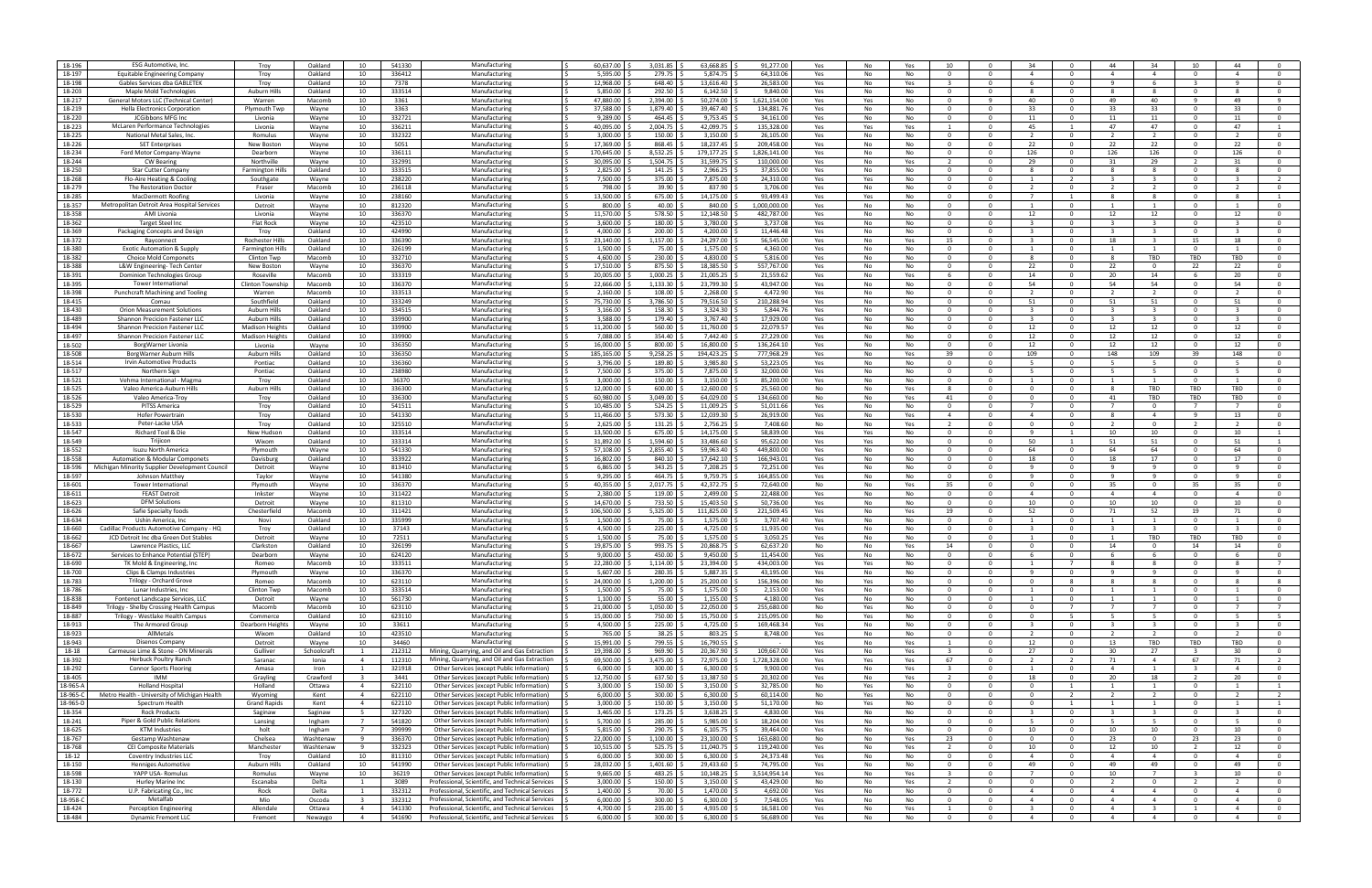| 18-196           | <b>ESG Automotive, Inc</b>                               | Troy                    | Oakland           | 10                               | 541330           | Manufacturing                                                                                              | 60,637.00                             | 3,031.85            | 63,668.85                 | 91,277.00              | Yes        | No<br>Yes             | 10 <sup>2</sup>                | $\Omega$                         | -34                                       |                                | 44                               | 34                                        | 10                      | 44                               |                                  |
|------------------|----------------------------------------------------------|-------------------------|-------------------|----------------------------------|------------------|------------------------------------------------------------------------------------------------------------|---------------------------------------|---------------------|---------------------------|------------------------|------------|-----------------------|--------------------------------|----------------------------------|-------------------------------------------|--------------------------------|----------------------------------|-------------------------------------------|-------------------------|----------------------------------|----------------------------------|
| 18-197           | <b>Equitable Engineering Company</b>                     | Troy                    | Oakland           | 10                               | 336412           | Manufacturing                                                                                              | 5,595.00                              | 279.75              | 5.874.75                  | 64.310.06              | Yes        | No<br>No              | $\Omega$                       | $\Omega$                         | $\overline{a}$                            |                                | $\mathbf{A}$                     | $\overline{4}$                            | $\Omega$                | $\mathbf{A}$                     | $\Omega$                         |
| 18-198           | Gables Services dba GABLETEK                             | Troy                    | Oakland           | 10                               | 7378             | Manufacturing                                                                                              | 12.968.00                             | 648.40              | 13,616.40                 | 26,583.00              | Yes        | No<br>Yes             |                                | $\Omega$                         | -6                                        | $\Omega$                       | $\mathbf{q}$                     | 6                                         | $\mathbf{R}$            | $\mathbf{q}$                     | $\Omega$                         |
|                  | Maple Mold Technologies                                  |                         |                   |                                  |                  | Manufacturing                                                                                              | 5,850.00                              |                     | 6,142.50                  |                        |            |                       | $\cap$                         | $\Omega$                         |                                           | - 0                            |                                  | -8                                        | $\Omega$                |                                  | $\Omega$                         |
| 18-203           |                                                          | <b>Auburn Hills</b>     | Oakland           | 10                               | 333514           |                                                                                                            |                                       | 292.50              |                           | 9,840.00               | Yes        | No<br>No              |                                |                                  |                                           |                                |                                  |                                           |                         |                                  |                                  |
| 18-217           | General Motors LLC (Technical Center                     | Warren                  | Macomb            | 10                               | 3361             | Manufacturin                                                                                               | 47,880.00                             | 2,394.00            | 50,274.00                 | 1,621,154.0            | Yes        | Yes<br>No             | - 0                            |                                  | 40                                        |                                | 49                               | 40                                        | -9                      | 49                               |                                  |
| 18-219           | <b>Hella Electronics Corporation</b>                     | Plymouth Twp            | Wayne             | 10                               | 3363             | Manufacturing                                                                                              | 37,588.00                             | 1,879.40            | 39,467.40                 | 134,881.7              | Yes        | No<br>No              | $\Omega$                       | $\Omega$                         | 33                                        | $\Omega$                       | 33                               | 33                                        | $\Omega$                | 33                               | $\mathbf{0}$                     |
| 18-220           | JCGibbons MFG Inc                                        | Livonia                 | Wayne             | 10                               | 332721           | Manufacturing                                                                                              | 9,289.00                              | 464.45              | 9,753.45                  | 34,161.0               | Yes        | No<br>No              | $\Omega$                       | $\Omega$                         | 11                                        | $\Omega$                       | 11                               | 11                                        | $\Omega$                | 11                               | $\mathbf{0}$                     |
|                  |                                                          |                         |                   |                                  |                  |                                                                                                            |                                       |                     |                           |                        |            |                       |                                |                                  |                                           |                                |                                  |                                           | $\Omega$                |                                  |                                  |
| 18-223           | McLaren Performance Technologies                         | Livonia                 | Wayne             | 10                               | 336211           | Manufacturing                                                                                              | 40,095.00                             | 2,004.75            | 42,099.75                 | 135,328.0              | Yes        | Yes<br>Yes            | $\mathbf{1}$                   | $\Omega$                         | 45                                        | $\overline{1}$                 | 47                               | 47                                        |                         | 47                               | $\overline{1}$                   |
| 18-225           | National Metal Sales, Inc.                               | Romulus                 | Wayne             | 10                               | 332322           | Manufacturing                                                                                              | 3,000.00                              | 150.00              | 3,150.00                  | 26,105.00              | Yes        | No<br>No              | $\cap$                         | $\Omega$                         |                                           | - 0                            |                                  | $\mathcal{L}$                             | $\Omega$                |                                  | $\Omega$                         |
| 18-226           | <b>SET Enterprises</b>                                   | New Boston              | Wayne             | 10                               | 5051             | Manufacturing                                                                                              | 17,369.00                             | 868.45              | 18,237.45                 | 209,458.0              | Yes        | No<br>No              | - 0                            | $\Omega$                         | 22                                        |                                | 22                               | 22                                        | $\Omega$                | 22                               | $\mathbf 0$                      |
| 18-234           | Ford Motor Company-Wayne                                 | Dearborn                |                   | 10                               | 336111           | Manufacturing                                                                                              | 170,645.00                            | 8,532.25            | 179,177.25                | 1,826,141.0            |            | No<br>No              | $\Omega$                       | $\Omega$                         | 126                                       | $\Omega$                       | 126                              | 126                                       | $\mathbf{0}$            | 126                              | $\mathbf{0}$                     |
|                  |                                                          |                         | Wayne             |                                  |                  |                                                                                                            |                                       |                     |                           |                        | Yes        |                       |                                |                                  |                                           |                                |                                  |                                           |                         |                                  |                                  |
| 18-244           | <b>CW Bearing</b>                                        | Northville              | Wayne             | 10                               | 332991           | Manufacturing                                                                                              | 30,095.00                             | 1,504.75            | 31,599.75                 | 110,000.00             | Yes        | No<br>Yes             |                                | $\Omega$                         | 29                                        | $\Omega$                       | 31                               | 29                                        |                         | 31                               | $\Omega$                         |
| 18-250           | Star Cutter Company                                      | <b>Farmington Hills</b> | Oakland           | 10                               | 333515           | Manufacturing                                                                                              | 2,825.00                              | 141.25              | 2,966.25                  | 37,855.0               | Yes        | No<br>No              | $\Omega$                       | $\Omega$                         | $\mathbf{R}$                              | $\Omega$                       | $\mathbf{R}$                     | -8                                        | $\Omega$                | $\mathbf{R}$                     | $\mathbf{0}$                     |
| 18-268           | Flo-Aire Heating & Cooling                               | Southgate               | Wayne             | 10                               | 238220           | Manufacturing                                                                                              | 7,500.00                              | 375.00              | 7,875.00                  | 24,310.00              | Yes        | Yes<br>No             | $\Omega$                       | $\Omega$                         |                                           | $\overline{2}$                 |                                  | - 33                                      | $\Omega$                |                                  |                                  |
|                  |                                                          |                         |                   |                                  |                  |                                                                                                            |                                       |                     |                           |                        |            |                       |                                |                                  |                                           |                                |                                  |                                           |                         |                                  |                                  |
| 18-279           | The Restoration Doctor                                   | Fraser                  | Macomb            | 10                               | 236118           | Manufacturing                                                                                              | 798.00                                | 39.90               | 837.90                    | 3,706.00               | Yes        | No<br>No              | - 0                            | $\Omega$                         |                                           |                                |                                  |                                           | $\Omega$                |                                  | $^{\circ}$                       |
| 18-285           | MacDermott Roofing                                       | Livonia                 | Wayne             | 10                               | 238160           | Manufacturing                                                                                              | 13,500.00                             | 675.00              | 14,175.00                 | 93,499.43              | Yes        | No<br>Yes             | $\Omega$                       | $\Omega$                         |                                           | -1                             | -8                               | -8                                        | $\Omega$                |                                  |                                  |
| 18-357           | Metropolitan Detroit Area Hospital Services              | Detroit                 | Wayne             | 10                               | 812320           | Manufacturing                                                                                              | 800.00                                | 40.00               | 840.00                    | 1.000.000.00           | Yes        | No<br>No              | $\Omega$                       | $\Omega$                         |                                           | - 0                            |                                  |                                           | $\Omega$                |                                  | $\mathbf{0}$                     |
|                  |                                                          |                         |                   |                                  |                  |                                                                                                            |                                       |                     |                           |                        |            |                       |                                | $\Omega$                         |                                           | $\Omega$                       |                                  |                                           | $\Omega$                |                                  |                                  |
| 18-358           | AMI Livonia                                              | Livonia                 | Wayne             | 10                               | 336370           | Manufacturing                                                                                              | 11,570.00                             | 578.50              | 12,148.50                 | 482,787.0              | Yes        | No<br>No              | $\Omega$                       |                                  | 12                                        |                                | 12                               | 12                                        |                         | 12                               | $\mathbf{0}$                     |
| 18-362           | <b>Target Steel Inc</b>                                  | Flat Rock               | Wayne             | 10                               | 423510           | Manufacturing                                                                                              | 3,600.00                              | 180.00              | 3,780.00                  | 3,737.08               | Yes        | No<br>No              | $\Omega$                       | $\Omega$                         |                                           | - 0                            |                                  | - 3                                       | $\Omega$                |                                  | $\Omega$                         |
| 18-369           | Packaging Concepts and Desig                             | Troy                    | Oakland           | 10                               | 424990           | Manufacturing                                                                                              | 4,000.00                              | 200.00              | 4,200.00                  | 11,446.48              | Yes        | No<br>No              | - 0                            | $\Omega$                         |                                           |                                |                                  |                                           | $\Omega$                |                                  | $^{\circ}$                       |
| 18-372           | Rayconnect                                               | Rochester Hills         | Oakland           | 10                               | 336390           | Manufacturing                                                                                              | 23,140.00                             | 1,157.00            | 24,297.00                 | 56,545.00              | Yes        | No<br>Yes             | 15                             | $\Omega$                         | -3                                        | $\Omega$                       | 18                               | $\overline{3}$                            | 15                      | 18                               | $\mathbf 0$                      |
|                  |                                                          |                         |                   |                                  |                  |                                                                                                            |                                       |                     |                           |                        |            |                       |                                |                                  |                                           |                                |                                  |                                           |                         |                                  |                                  |
| 18-380           | <b>Exotic Automation &amp; Supply</b>                    | <b>Farmington Hills</b> | Oakland           | 10                               | 326199           | Manufacturing                                                                                              | L,500.00                              | 75.00               | 1,575.00                  | 4.360.00               | Yes        | <b>No</b><br>No       | $\Omega$                       | $\Omega$                         |                                           | റ                              |                                  |                                           | $\Omega$                |                                  | $\Omega$                         |
| 18-382           | <b>Choice Mold Componets</b>                             | Clinton Twp             | Macomb            | 10                               | 332710           | Manufacturing                                                                                              | 4,600.00                              | 230.00              | 4,830.00                  | 5,816.0                | Yes        | No<br>No              | $\Omega$                       | $\Omega$                         | $\mathbf{R}$                              | $\Omega$                       | $\mathbf{R}$                     | TBD                                       | TBD                     | TBD                              | $\mathbf{0}$                     |
| 18-388           | L&W Engineering-Tech Center                              | New Boston              | Wayne             | 10                               | 336370           | Manufacturing                                                                                              | 17,510.00                             | 875.50              | 18,385.50                 | 557,767.00             | Yes        | No<br>No              | $\Omega$                       | $\Omega$                         | 22                                        | - 0                            | 22                               | $\Omega$                                  | 22                      | 22                               | $\Omega$                         |
| 18-391           | Dominion Technologies Group                              | Roseville               | Macomb            | 10                               | 333319           | Manufacturing                                                                                              | 20,005.00                             | 1,000.25            | 21,005.25                 | 21,559.6               | Yes        | No<br>Yes             |                                | $\Omega$                         | 14                                        |                                | 20                               | 14                                        |                         | 20                               |                                  |
|                  |                                                          |                         |                   |                                  |                  |                                                                                                            |                                       |                     |                           |                        |            |                       |                                |                                  |                                           |                                |                                  |                                           |                         |                                  |                                  |
| 18-395           | Tower Internationa                                       | Clinton Township        | Macomb            | 10                               | 336370           | Manufacturing                                                                                              | 22,666.00                             | 1,133.30            | 23,799.30                 | 43,947.0               | Yes        | No<br>No              | $\Omega$                       | $\Omega$                         | -54                                       | $\Omega$                       | 54                               | 54                                        | $\Omega$                | 54                               | $\mathbf{0}$                     |
| 18-398           | Punchcraft Machining and Tooling                         | Warren                  | Macomb            | 10                               | 333513           | Manufacturing                                                                                              | 2,160.00                              | 108.00              | 2,268.00                  | 4.472.90               | Yes        | No<br>No              | - 0                            | $\Omega$                         |                                           | റ                              |                                  |                                           | $\Omega$                |                                  | $\mathbf{0}$                     |
| 18-415           | Comar                                                    | Southfield              | Oakland           | 10                               | 333249           | Manufacturing                                                                                              | 75,730.00                             | 3,786.50            | 79,516.50                 | 210,288.94             | Yes        | No<br>No              | $\Omega$                       | $\Omega$                         | 51                                        | $\Omega$                       | 51                               | 51                                        | $\Omega$                | 51                               | $\Omega$                         |
|                  |                                                          |                         |                   |                                  |                  |                                                                                                            |                                       |                     |                           |                        |            |                       |                                |                                  |                                           |                                |                                  |                                           |                         |                                  |                                  |
| 18-430           | Orion Measurement Solutions                              | <b>Auburn Hills</b>     | Oakland           | 10                               | 334515           | Manufacturing                                                                                              | 3,166.00                              | 158.30              | 3,324.30                  | 5.844.76               | Yes        | No<br>No              | $\Omega$                       | $\Omega$                         |                                           | $\Omega$                       | -3                               | $\mathbf{R}$                              | $\Omega$                |                                  | $\Omega$                         |
| 18-489           | Shannon Precicion Fastener LL                            | Auburn Hills            | Oakland           | 10                               | 339900           | Manufacturing                                                                                              | 3,588.00                              | 179.40              | 3,767.40                  | 17,929.0               | Yes        | No<br>No              | - 0                            | $\Omega$                         |                                           |                                |                                  |                                           | $\Omega$                |                                  | $\mathbf 0$                      |
| 18-494           | Shannon Precicion Fastener LL                            | <b>Madison Heights</b>  | Oakland           | 10                               | 339900           | Manufacturing                                                                                              | 11,200.00                             | 560.00              | 11,760.00                 | 22,079.5               | Yes        | No<br>No              | $\Omega$                       | $\Omega$                         | 12                                        | $\Omega$                       | 12                               | 12                                        | $\Omega$                | 12                               | $\Omega$                         |
| 18-497           |                                                          |                         | Oakland           | 10                               | 339900           | Manufacturing                                                                                              | 7.088.00                              | 354.40              | 7,442.40                  | 27,229.00              |            | No<br>No              | $\Omega$                       | $\Omega$                         | 12                                        | $\Omega$                       | 12                               | 12                                        | $\Omega$                | 12                               | $\Omega$                         |
|                  | Shannon Precicion Fastener LLC                           | <b>Madison Heights</b>  |                   |                                  |                  |                                                                                                            |                                       |                     |                           |                        | Yes        |                       |                                |                                  |                                           |                                |                                  |                                           |                         |                                  |                                  |
| 18-502           | BorgWarner Livonia                                       | Livonia                 | Wayne             | 10                               | 336350           | Manufacturing                                                                                              | 16,000.00                             | 800.00              | 16,800.00                 | 136,264.1              | Yes        | No<br>No              | $\Omega$                       | $\Omega$                         | 12                                        | $\Omega$                       | 12                               | 12                                        | $\Omega$                | 12                               | $\mathbf{0}$                     |
| 18-508           | <b>BorgWarner Auburn Hills</b>                           | <b>Auburn Hills</b>     | Oakland           | 10                               | 336350           | Manufacturing                                                                                              | 185,165.00                            | 9,258.25            | 194,423.25                | 777.968.29             | Yes        | No<br>Yes             | 39                             | $\Omega$                         | 109                                       | $\Omega$                       | 148                              | 109                                       | 39                      | 148                              | $\mathbf{0}$                     |
| 18-514           | Irvin Automotive Products                                | Pontiac                 | Oakland           | 10                               | 336360           | Manufacturing                                                                                              | 3,796.00                              | 189.80              | 3,985.80                  | 53,223.0               | Yes        | No<br>No              | - 0                            | $\Omega$                         |                                           |                                |                                  |                                           | $\Omega$                |                                  | $\Omega$                         |
|                  |                                                          |                         |                   |                                  |                  |                                                                                                            |                                       |                     |                           |                        |            |                       |                                |                                  |                                           |                                |                                  |                                           |                         |                                  |                                  |
| 18-517           | Northern Sigr                                            | Pontiac                 | Oakland           | 10                               | 238980           | Manufacturing                                                                                              | 7,500.00                              | 375.00              | 7,875.00                  | 32,000.0               | Yes        | No<br>No              | $\Omega$                       | $\Omega$                         | -5                                        | - 0                            | -5                               | -5                                        | $\Omega$                | -5                               | $\mathbf{0}$                     |
| 18-521           | Vehma International - Magma                              | Troy                    | Oakland           | 10                               | 36370            | Manufacturing                                                                                              | 3,000.00                              | 150.00              | 3,150.00                  | 85,200.00              | Yes        | No<br>No              | $\Omega$                       | $\Omega$                         |                                           | - 0                            |                                  |                                           | $\Omega$                |                                  | $\mathbf{0}$                     |
| 18-525           | Valeo America-Auburn Hill:                               | <b>Auburn Hills</b>     | Oakland           | 10                               | 336300           | Manufacturing                                                                                              | 12,000.00                             | 600.00              | 12,600.00                 | 25,560.0               | No         | No<br>Yes             | -8                             | $\Omega$                         | $\Omega$                                  | $\Omega$                       | $\mathbf{R}$                     | TBD                                       | TBD                     | TBD                              | $\Omega$                         |
|                  |                                                          |                         |                   |                                  |                  |                                                                                                            |                                       |                     |                           |                        |            |                       |                                |                                  |                                           |                                |                                  |                                           |                         |                                  |                                  |
| 18-526           | Valeo America-Troy                                       | Troy                    | Oakland           | 10                               | 336300           | Manufacturing                                                                                              | 60.980.00                             | 3,049.00            | 64,029.00                 | 134.660.00             | No         | No.<br>Yes            | 41                             | $\Omega$                         | $\Omega$                                  | - 0                            | 41                               | TBD                                       | TBD                     | TBD                              | $\Omega$                         |
| 18-529           | <b>PITSS America</b>                                     | Troy                    | Oakland           | 10                               | 541511           | Manufacturing                                                                                              | 10,485.00                             | 524.25              | 11,009.25                 | 51,011.6               | Yes        | No<br>No              | - 0                            | $\Omega$                         |                                           |                                |                                  | $\Omega$                                  |                         |                                  | $\mathbf 0$                      |
| 18-530           | <b>Hofer Powertrain</b>                                  | Troy                    | Oakland           | 10                               | 541330           | Manufacturing                                                                                              | 11,466.00                             | 573.30              | 12,039.30                 | 26,919.0               | Yes        | No<br>Yes             | $\overline{4}$                 | $\Omega$                         | 4                                         | $\Omega$                       | -8                               | 4                                         | - 9                     | 13                               | $\mathbf 0$                      |
| 18-533           | Peter-Lacke USA                                          |                         | Oakland           | 10                               | 325510           | Manufacturing                                                                                              | 2,625.00                              | 131.25              | 2,756.25                  | 7.408.60               | No         | No<br>Yes             |                                | $\Omega$                         | $\Omega$                                  | $\Omega$                       | $\overline{\phantom{a}}$         | $\Omega$                                  | $\overline{2}$          | $\overline{\phantom{a}}$         | $\Omega$                         |
|                  |                                                          | Troy                    |                   |                                  |                  |                                                                                                            |                                       |                     |                           |                        |            |                       |                                |                                  |                                           |                                |                                  |                                           |                         |                                  |                                  |
| 18-547           | Richard Tool & Die                                       | New Hudson              | Oakland           | 10                               | 333514           | Manufacturing                                                                                              | 13,500.00                             | 675.00              | 14,175.00                 | 58,839.0               | Yes        | Yes<br>No             | $\Omega$                       | $\Omega$                         | $\alpha$                                  | $\overline{1}$                 | 10                               | 10                                        | $\Omega$                | 10                               |                                  |
| 18-549           | Trijicon                                                 | Wixom                   | Oakland           | 10                               | 333314           | Manufacturing                                                                                              | 31,892.00                             | 1,594.60            | 33,486.60                 | 95,622.00              | Yes        | Yes<br>No             | $\Omega$                       | $\Omega$                         | 50                                        | $\mathbf{1}$                   | 51                               | 51                                        | $\Omega$                | 51                               |                                  |
| 18-552           | Isuzu North America                                      | Plymouth                | Wayne             | 10                               | 541330           | Manufacturing                                                                                              | 57,108.00                             | 2,855.40            | 59,963.40                 | 449.800.0              | Yes        | No<br>No              | - 0                            | $\Omega$                         | 64                                        | $\Omega$                       | 64                               | 64                                        | $\Omega$                | 64                               | $\Omega$                         |
|                  |                                                          |                         |                   |                                  |                  |                                                                                                            |                                       |                     |                           |                        |            |                       |                                |                                  |                                           |                                |                                  |                                           |                         |                                  |                                  |
| 18-558           | Automation & Modular Componets                           | Davisburg               | Oakland           | 10                               | 333922           | Manufacturing                                                                                              | 16,802.00                             | 840.10              | 17,642.10                 | 166,943.0              | Yes        | No<br>No              | $\Omega$                       | $\Omega$                         | 18                                        | $\Omega$                       | 18                               | 17                                        | $\Omega$                | 17                               | $\mathbf 0$                      |
| 18-596           | Michigan Minority Supplier Development Council           | Detroit                 | Wayne             | 10                               | 813410           | Manufacturing                                                                                              | 6.865.00                              | 343.25              | 7.208.25                  | 72.251.00              | Yes        | No<br>No              | $\Omega$                       | $\Omega$                         |                                           | $\Omega$                       | $\mathbf{q}$                     | 9                                         | $\Omega$                | $\mathbf{q}$                     | $\mathbf{0}$                     |
|                  |                                                          |                         |                   |                                  |                  |                                                                                                            |                                       |                     |                           |                        |            |                       |                                |                                  |                                           |                                |                                  |                                           |                         |                                  |                                  |
|                  |                                                          |                         |                   |                                  |                  |                                                                                                            |                                       |                     |                           |                        |            |                       | $\Omega$                       | $\Omega$                         | $\alpha$                                  | $\Omega$                       | $\mathbf{q}$                     | 9                                         | $\Omega$                | $\mathbf{q}$                     | $\Omega$                         |
| 18-597           | Johnson Matthey                                          | Taylor                  | Wayne             | 10                               | 541380           | Manufacturing                                                                                              | 9,295.00                              | 464.75              | 9,759.75                  | 164,855.0              | Yes        | No<br>No              |                                |                                  |                                           |                                |                                  |                                           |                         |                                  |                                  |
| 18-601           | Tower Internationa                                       | Plymouth                | Wayne             | 10                               | 336370           | Manufacturing                                                                                              | 40,355.00                             | 2,017.75            | 42,372.75                 | 72.640.00              | No         | No<br>Yes             | 35                             | $\Omega$                         | $\Omega$                                  | - 0                            | 35                               | $\Omega$                                  | 35                      | 35                               | $\Omega$                         |
| 18-611           | <b>FEAST Detroit</b>                                     | Inkster                 | Wayne             | 10                               | 311422           | Manufacturing                                                                                              | 2,380.00                              | 119.00              | 2,499.00                  | 22,488.0               | Yes        | No<br>No              | - 0                            | $\Omega$                         | $\mathbf{A}$                              | $\Omega$                       | $\overline{a}$                   | $\overline{a}$                            | $\Omega$                | $\overline{a}$                   | $\mathbf 0$                      |
| 18-623           | <b>DFM Solutions</b>                                     | Detroit                 | Wayne             | 10                               | 811310           | Manufacturing                                                                                              | 14,670.00                             | 733.50              | 15,403.50                 | 50,736.0               | Yes        | No<br>No              | $\Omega$                       | $\Omega$                         | 10                                        | $\Omega$                       | 10                               | 10                                        | $\mathbf{0}$            | 10                               | $\Omega$                         |
|                  |                                                          |                         |                   |                                  |                  |                                                                                                            |                                       |                     |                           |                        |            |                       |                                |                                  |                                           |                                |                                  |                                           |                         |                                  |                                  |
| 18-626           | Safie Specialty foods                                    | Chesterfield            | Macomb            | 10                               | 311421           | Manufacturing                                                                                              | 106.500.00                            | 5,325.00            | 111,825.00                | 221.509.45             | Yes        | No<br>Yes             | 19                             | $\Omega$                         | 52                                        | $\Omega$                       | 71                               | 52                                        | 19                      | 71                               | $\mathbf{0}$                     |
| 18-634           | Ushin America, Inc                                       | Novi                    | Oakland           | 10                               | 335999           | Manufacturing                                                                                              | 1,500.00                              | 75.00               | 1,575.00                  | 3,707.4                | Yes        | No<br>No              | $\Omega$                       | $\Omega$                         |                                           | $\Omega$                       |                                  | $\overline{1}$                            | $\Omega$                |                                  | $\mathbf{0}$                     |
| 18-660           | Cadillac Products Automotive Company - HQ                | Troy                    | Oakland           | 10                               | 37143            | Manufacturing                                                                                              | 4,500.00                              | 225.00              | 4,725.00                  | 11,935.0               | Yes        | No<br>No              | $\Omega$                       | <sup>0</sup>                     |                                           | റ                              |                                  |                                           | - 0                     |                                  | $\Omega$                         |
| 18-662           | JCD Detroit Inc dba Green Dot Stable                     | Detroit                 | Wayne             | 10                               | 72511            | Manufacturing                                                                                              | 1,500.00                              | 75.00               | 1,575.00                  | 3,050.2                | Yes        | No<br>No              | $\Omega$                       | $\Omega$                         |                                           |                                |                                  | TBD                                       | TBD                     | TBD                              | $\Omega$                         |
|                  |                                                          |                         |                   |                                  |                  |                                                                                                            |                                       |                     |                           |                        |            |                       |                                |                                  |                                           |                                |                                  |                                           |                         |                                  |                                  |
| 18-667           | Lawrence Plastics, LLC                                   | Clarkston               | Oakland           | 10                               | 326199           | Manufacturing                                                                                              | 19,875.00                             | 993.75              | 20,868.75                 | 62,637.2               | No         | No<br>Yes             | 14                             | $\Omega$                         | $\Omega$                                  |                                | 14                               | $\mathbf{O}$                              | 14                      | 14                               | $\Omega$                         |
| 18-672           | Services to Enhance Potential (STEP)                     | Dearborn                | Wavne             | 10                               | 624120           | Manufacturing                                                                                              | 9,000.00                              | 450.00              | 9,450.00                  | 11,454.00              | Yes        | No<br>No              | $\Omega$                       | $\Omega$                         | -6                                        | $\Omega$                       | -6                               | - 6                                       | $\Omega$                | -6                               | $\mathbf{0}$                     |
| 18-690           |                                                          | Romeo                   | Macomb            | 10                               | 333511           | Manufacturing                                                                                              | 22,280.00                             | 1,114.00            | 23,394.00                 | 434,003.00             | Yes        | No<br>Yes             | $\Omega$                       |                                  |                                           |                                |                                  |                                           | $\Omega$                |                                  |                                  |
|                  | TK Mold & Engineering, Inc.<br>Clips & Clamps Industries |                         |                   |                                  |                  |                                                                                                            |                                       |                     |                           |                        |            |                       | $\Omega$                       | $\Omega$                         |                                           | - 0                            | - q                              | -9                                        | $\Omega$                |                                  | $\Omega$                         |
| 18-700           |                                                          | Plymouth                | Wayne             | 10                               | 336370           | Manufacturing                                                                                              | 5,607.00                              | 280.35              | 5,887.35                  | 43,195.00              | Yes        | No<br>No              |                                |                                  |                                           |                                |                                  |                                           |                         |                                  |                                  |
| 18-783           | Trilogy - Orchard Grove                                  | Romeo                   | Macomb            | 10                               | 623110           | Manufacturing                                                                                              | 24,000.00                             | 1,200.00            | 25,200.00                 | 156,396.00             | No         | Yes<br>No             | $\overline{\mathbf{0}}$        | $\overline{\mathbf{0}}$          | $\overline{\mathbf{0}}$                   | 8                              | -8                               | 8                                         | $\mathbf{0}$            | 8                                | 8                                |
| 18-786           | Lunar Industries, Inc.                                   | Clinton Twp             | Macomb            | 10                               | 333514           | Manufacturing                                                                                              | $1,500.00$ \$<br>ΙS                   | 75.00               | 1,575.00                  | 2,153.00               | Yes        | No<br>No              | $\overline{0}$                 | $\overline{0}$                   | $\overline{1}$                            | $\mathbf{O}$                   | $\mathbf{1}$                     | 1                                         | $\overline{0}$          | 1                                | $\mathbf{0}$                     |
| 18-838           | Fontenot Landscape Services, LLC                         | Detroit                 | Wayne             | 10                               | 561730           | Manufacturing                                                                                              | $1.100.00$ \$                         | 55.00               | 1,155.00                  | 4.180.00               | Yes        | No<br>No              | $\overline{0}$                 | $\overline{0}$                   | $\mathbf{1}$                              | $\overline{0}$                 | $\mathbf{1}$                     | 1                                         | $\overline{0}$          | 1                                | $\overline{0}$                   |
| 18-849           | Trilogy - Shelby Crossing Health Campus                  | Macomb                  | Macomb            | 10                               | 623110           | Manufacturing                                                                                              | 21,000.00                             | 1,050.00            | 22,050.00                 | 255,680.00             | No         | Yes<br>No             | $\overline{\mathbf{0}}$        | $\Omega$                         | $\overline{0}$                            | $\overline{7}$                 | $\overline{7}$                   | $\overline{7}$                            | $\overline{0}$          | $\overline{7}$                   | $\overline{7}$                   |
|                  |                                                          |                         |                   |                                  |                  |                                                                                                            |                                       |                     |                           |                        |            |                       |                                |                                  |                                           |                                |                                  |                                           |                         |                                  |                                  |
| 18-887           | Trilogy - Westlake Health Campus                         | Commerce                | Oakland           | 10                               | 623110           | Manufacturing                                                                                              | 15,000.00                             | 750.00              | 15,750.00                 | 215,095.00             | No         | Yes<br>No             | $\mathbf 0$                    | $\Omega$                         | $\Omega$                                  | - 5                            | - 5                              | 5                                         | $\Omega$                | -5                               | - 5                              |
| 18-913           | The Armored Group                                        | Dearborn Heights        | Wayne             | 10                               | 33611            | Manufacturing                                                                                              | 4,500.00                              | 225.00              | 4,725.00                  | 169,468.34             | Yes        | No<br>No              | $\overline{\mathbf{0}}$        | $\mathbf 0$                      | $\mathbf{3}$                              | $\mathbf 0$                    | - 3                              | $\overline{\mathbf{3}}$                   | $\overline{0}$          | $\mathbf{3}$                     | $\mathbf{0}$                     |
| 18-923           | AllMetals                                                | Wixom                   | Oakland           | 10                               | 423510           | Manufacturing                                                                                              | 765.00 \$<br>ΙŚ                       | 38.25               | 803.25                    | 8,748.00               | Yes        | No<br>No              | $\overline{\mathbf{0}}$        | $\overline{0}$                   | $\overline{2}$                            | $\mathbf{0}$                   | $\overline{2}$                   | $\overline{2}$                            | $\overline{0}$          | $\overline{2}$                   | $\overline{0}$                   |
| 18-943           | Disenos Company                                          | Detroit                 | Wayne             | 10                               | 34460            | Manufacturing                                                                                              | 15,991.00 \$                          | 799.55              | 16,790.55                 | $\sim$                 | Yes        | No<br>Yes             | 1                              | $\overline{0}$                   | 12                                        | $\overline{0}$                 | 13                               | TBD                                       | TBD                     | TBD                              | $\overline{0}$                   |
|                  |                                                          |                         |                   |                                  |                  |                                                                                                            |                                       |                     |                           |                        |            |                       |                                |                                  |                                           |                                |                                  |                                           |                         |                                  |                                  |
| 18-18            | Carmeuse Lime & Stone - ON Minerals                      | Gulliver                | Schoolcraft       | $\mathbf{1}$                     | 212312           | Mining, Quarrying, and Oil and Gas Extraction                                                              | 19,398.00                             | 969.90              | 20,367.90                 | 109,667.00             | Yes        | No<br>Yes             | $\mathbf{R}$                   | $\overline{0}$                   | 27                                        | $\mathbf{0}$                   | 30                               | 27                                        | $\overline{\mathbf{3}}$ | 30                               | $\overline{0}$                   |
| 18-392           | Herbuck Poultry Ranch                                    | Saranac                 | Ionia             | $\overline{4}$                   | 112310           | Mining, Quarrying, and Oil and Gas Extraction                                                              | 69,500.00                             | 3,475.00            | 72,975.00                 | 1,728,328.00           | Yes        | Yes<br>Yes            | 67                             | $^{\circ}$                       |                                           | 2                              | 71                               | 4                                         | 67                      | 71                               | <sup>2</sup>                     |
| 18-292           | <b>Connor Sports Flooring</b>                            | Amasa                   | Iron              | 1                                | 321918           | Other Services (except Public Information)                                                                 | 6,000.00                              | 300.00              | 6,300.00                  | 9,900.00               | Yes        | No<br>Yes             |                                | $\overline{\mathbf{0}}$          |                                           | $\mathbf 0$                    | -4                               | 1                                         | $_{3}$                  | $\overline{4}$                   | $\mathbf 0$                      |
|                  | IMM                                                      |                         |                   |                                  |                  | Other Services (except Public Information)                                                                 |                                       |                     |                           |                        |            |                       |                                |                                  |                                           |                                |                                  |                                           |                         |                                  |                                  |
| 18-405           |                                                          | Grayling                | Crawford          | $\overline{\mathbf{3}}$          | 3441             |                                                                                                            | 12,750.00                             | 637.50              | 13,387.50                 | 20,302.00              | Yes        | No<br>Yes             | $\overline{2}$                 | $\overline{0}$                   | 18                                        | $\mathbf{0}$                   | 20                               | 18                                        | $\overline{2}$          | 20                               | $\overline{0}$                   |
| 18-965-A         | <b>Holland Hospital</b>                                  | Holland                 | Ottawa            | $\overline{4}$                   | 622110           | Other Services (except Public Information)                                                                 | $3,000.00$ \$                         | 150.00              | 3,150.00                  | 32.785.00              | No         | Yes<br>No             | $\overline{0}$                 | $\overline{0}$                   | $\overline{0}$                            | 1                              | $\mathbf{1}$                     | 1                                         | $\overline{0}$          | 1                                | 1                                |
| 18-965-C         | Metro Health - University of Michigan Health             | Wyoming                 | Kent              | $\overline{4}$                   | 622110           | Other Services (except Public Information)                                                                 | 6,000.00                              | 300.00              | 6,300.00                  | 60,114.00              | No         | Yes<br>No             | $\overline{\mathbf{0}}$        | $\overline{0}$                   | $\overline{0}$                            | $\overline{2}$                 | $\overline{2}$                   | $\overline{2}$                            | $\overline{0}$          | $\overline{2}$                   | $\overline{2}$                   |
|                  | Spectrum Health                                          |                         | Kent              | $\overline{4}$                   | 622110           | Other Services (except Public Information)                                                                 | 3,000.00                              |                     |                           | 51,170.00              | No         | Yes<br>No             | $\mathbf 0$                    | $\Omega$                         | $\Omega$                                  | $\mathbf{1}$                   | -1                               | 1                                         | $\mathbf{0}$            |                                  | 1                                |
| 18-965-D         |                                                          | <b>Grand Rapids</b>     |                   |                                  |                  |                                                                                                            |                                       | 150.00              | 3,150.00                  |                        |            |                       |                                |                                  |                                           |                                |                                  |                                           |                         |                                  |                                  |
| 18-354           | <b>Rock Products</b>                                     | Saginaw                 | Saginaw           | 5                                | 327320           | Other Services (except Public Information)                                                                 | 3,465.00                              | 173.25              | 3,638.25                  | 4,830.00               | Yes        | No<br>No              | $\overline{\mathbf{0}}$        | $\Omega$                         |                                           | $\mathbf 0$                    | - 3                              | $\overline{\mathbf{3}}$                   | $\overline{0}$          | $\mathbf{3}$                     | $\mathbf 0$                      |
| 18-241           | Piper & Gold Public Relations                            | Lansing                 | Ingham            | $\overline{7}$                   | 541820           | Other Services (except Public Information)                                                                 | $5,700.00$ $\mid$ \$                  | 285.00              | 5,985.00                  | 18,204.00              | Yes        | No<br>No              | $\overline{\mathbf{0}}$        | $\overline{0}$                   | 5                                         | $\mathbf{0}$                   | 5                                | 5                                         | $\overline{0}$          | 5                                | $\overline{0}$                   |
| 18-625           | <b>KTM Industries</b>                                    | holt                    | Ingham            | $\overline{7}$                   | 399999           | Other Services (except Public Information)                                                                 | $5,815.00$ \$                         | 290.75              | 6,105.75                  | 39.464.00              | Yes        | No<br>No              | $\overline{0}$                 | $\overline{0}$                   | 10                                        | $\overline{0}$                 | 10                               | 10                                        | $\overline{0}$          | 10                               | $\overline{0}$                   |
|                  |                                                          |                         |                   |                                  |                  |                                                                                                            |                                       |                     |                           |                        |            |                       |                                |                                  |                                           |                                |                                  |                                           |                         |                                  |                                  |
| 18-767           | Gestamp Washtenaw                                        | Chelsea                 | Washtenaw         | 9                                | 336370           | Other Services (except Public Information)                                                                 | 22,000.00                             | 1,100.00            | 23,100.00                 | 163,680.00             | No         | No<br>Yes             | 23                             | $\overline{0}$                   | $\overline{0}$                            | $\mathbf{0}$                   | 23                               | $\mathbf{0}$                              | 23                      | 23                               | $\mathbf{0}$                     |
| 18-768           | <b>CEI Composite Materials</b>                           | Manchester              | Washtenaw         | - 9                              | 332323           | Other Services (except Public Information)                                                                 | 10,515.00                             | 525.75              | 11,040.75                 | 119,240.00             | Yes        | No<br>Yes             |                                | $\mathbf{0}$                     | 10                                        | $\mathbf{O}$                   | 12                               | 10                                        | - 2                     | 12                               | $\overline{0}$                   |
| 18-12            | Coventry Industries LLC                                  | Troy                    | Oakland           | 10                               | 811310           | Other Services (except Public Information)                                                                 | 6,000.00                              | 300.00              | 6,300.00                  | 24,373.48              | Yes        | No<br>No              | $\overline{\mathbf{0}}$        | $\overline{\mathbf{0}}$          | $\overline{4}$                            | $\mathbf{0}$                   | -4                               | $\overline{4}$                            | $\mathbf{0}$            | 4                                | $\mathbf 0$                      |
| 18-150           |                                                          | Auburn Hills            | Oakland           | 10                               | 541990           | Other Services (except Public Information)                                                                 | 28,032.00                             | 1,401.60            | 29,433.60                 | 74,795.00              | Yes        | No<br>No              | $\overline{0}$                 | $\overline{0}$                   | 49                                        | $\mathbf{0}$                   | 49                               | 49                                        | $\overline{0}$          | 49                               | $\overline{0}$                   |
|                  | <b>Henniges Automotive</b>                               |                         |                   |                                  |                  |                                                                                                            |                                       |                     |                           |                        |            |                       |                                |                                  |                                           |                                |                                  |                                           |                         |                                  |                                  |
| 18-598           | YAPP USA- Romulus                                        | Romulus                 | Wayne             | 10                               | 36219            | Other Services (except Public Information)                                                                 | 9,665.00                              | 483.25              | 10,148.25                 | 3,514,954.14           | Yes        | No<br>Yes             | $\overline{\mathbf{3}}$        | $\overline{0}$                   | $\overline{7}$                            | $\overline{0}$                 | 10                               | 7                                         | $\overline{\mathbf{3}}$ | 10                               | $\mathbf{0}$                     |
| 18-130           | Hurley Marine Inc                                        | Escanaba                | Delta             | $\overline{1}$                   | 3089             | Professional, Scientific, and Technical Services                                                           | 3,000.00                              | 150.00              | 3,150.00                  | 43,429.00              | No         | No<br>Yes             | $\overline{2}$                 | $\overline{0}$                   | $\overline{0}$                            | $\overline{0}$                 | $\overline{2}$                   | $\mathbf{0}$                              | $\overline{2}$          | $\overline{2}$                   | $\overline{0}$                   |
| 18-772           | U.P. Fabricating Co., Inc.                               | Rock                    | Delta             | -1                               | 332312           | Professional, Scientific, and Technical Services                                                           | $1,400.00$ $\mid$ 3                   | 70.00               | 1,470.00                  | 4,692.00               | Yes        | No<br>No              | $\Omega$                       | $\Omega$                         | $\overline{4}$                            | $\Omega$                       | $\overline{4}$                   | $\overline{4}$                            | $\overline{\mathbf{0}}$ | 4                                | $\overline{0}$                   |
|                  |                                                          |                         |                   |                                  |                  |                                                                                                            |                                       |                     |                           |                        |            |                       | $\overline{\mathbf{0}}$        | $\Omega$                         | $\overline{4}$                            | $\mathbf 0$                    | $\overline{4}$                   |                                           | $\overline{0}$          | 4                                |                                  |
| 18-958-C         | Metalfab                                                 | Mio                     | Oscoda            | $\overline{\mathbf{3}}$          | 332312           | Professional, Scientific, and Technical Services                                                           | 6,000.00                              | 300.00              | 6,300.00                  | 7,548.05               | Yes        | No<br>No              |                                |                                  |                                           |                                |                                  | $\overline{4}$                            |                         |                                  | $\mathbf 0$                      |
| 18-424<br>18-484 | Perception Engineering<br><b>Dynamic Fremont LLC</b>     | Allendale<br>Fremont    | Ottawa<br>Newaygo | $\overline{4}$<br>$\overline{4}$ | 541330<br>541690 | Professional, Scientific, and Technical Services<br>Professional, Scientific, and Technical Services \cdot | $4,700.00$ $\degree$<br>$6,000.00$ \$ | 235.00<br>300.00 \$ | 4,935.00<br>$6,300.00$ \$ | 16,581.00<br>56,689.00 | Yes<br>Yes | No<br>Yes<br>No<br>No | $\mathbf{1}$<br>$\overline{0}$ | $\overline{0}$<br>$\overline{0}$ | $\overline{\mathbf{3}}$<br>$\overline{4}$ | $\mathbf{0}$<br>$\overline{0}$ | $\overline{4}$<br>$\overline{4}$ | $\overline{\mathbf{3}}$<br>$\overline{4}$ | 1<br>$\overline{0}$     | $\overline{4}$<br>$\overline{4}$ | $\overline{0}$<br>$\overline{0}$ |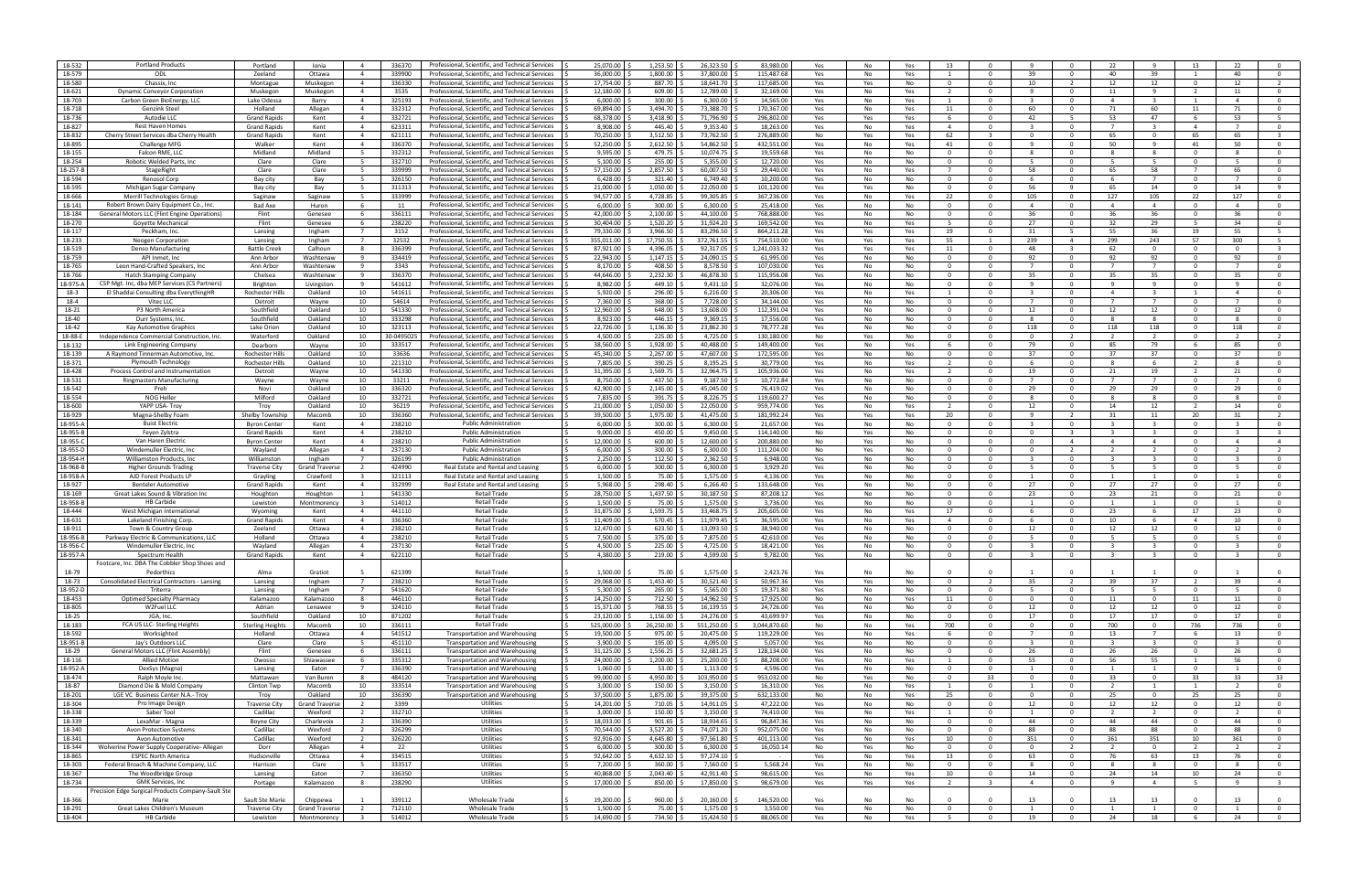| 18-532   | <b>Portland Products</b>                             | Portland                | Ionia                 | 336370<br>$\overline{4}$          | Professional, Scientific, and Technical Services | 25,070.00    | 1,253.50  | 26,323.50    | 83,980.0     | Yes | No<br>Yes       |                         |                         |                         |                |                          |                         | 13             | 22                       |                         |
|----------|------------------------------------------------------|-------------------------|-----------------------|-----------------------------------|--------------------------------------------------|--------------|-----------|--------------|--------------|-----|-----------------|-------------------------|-------------------------|-------------------------|----------------|--------------------------|-------------------------|----------------|--------------------------|-------------------------|
| 18-579   | ODL                                                  | Zeeland                 | Ottawa                | $\overline{4}$<br>339900          | Professional, Scientific, and Technical Services | 36,000.00    | 1.800.00  | 37.800.00    | 115.487.68   | Yes | No<br>Yes       |                         | $\Omega$                | 39                      |                | 40                       | 39                      |                | 40                       |                         |
|          |                                                      |                         |                       |                                   |                                                  |              |           |              |              |     |                 |                         |                         |                         |                |                          |                         |                |                          |                         |
| 18-580   | Chassix, Inc.                                        | Montague                | Muskegon              | $\overline{4}$<br>336330          | Professional, Scientific, and Technical Services | 17.754.00    | 887.70    | 18,641.70    | 117,685.00   | Yes | Yes<br>No       | $\Omega$                | $\Omega$                | 10                      | 2              | 12                       | 12                      | $\overline{0}$ | 12                       | $\overline{2}$          |
| 18-621   | <b>Dynamic Conveyor Corporation</b>                  | Muskegon                | Muskegon              | 3535<br>$\overline{a}$            | Professional, Scientific, and Technical Services | 12,180.00    | 609.00    | 12,789.00    | 32.169.00    | Yes | No<br>Yes       | $\overline{2}$          | $\Omega$                | $\alpha$                | $\Omega$       | 11                       | $\mathbf{q}$            | $\overline{2}$ | 11                       | $\Omega$                |
| 18-703   |                                                      |                         |                       | 325193<br>$\overline{a}$          |                                                  | 6,000.00     | 300.00    | 6,300.00     | 14,565.00    |     |                 |                         | $\Omega$                |                         | $\Omega$       | $\overline{a}$           | $\mathbf{R}$            |                | $\overline{a}$           | $\Omega$                |
|          | Carbon Green BioEnergy, LLC                          | Lake Odessa             | Barry                 |                                   | Professional, Scientific, and Technical Services |              |           |              |              | Yes | No<br>Yes       |                         |                         |                         |                |                          |                         |                |                          |                         |
| 18-718   | Genzink Steel                                        | Holland                 | Allegan               | 332312<br>$\overline{4}$          | Professional, Scientific, and Technical Services | 69,894.00    | 3,494.70  | 73,388.70    | 170,367.0    | Yes | No<br>Yes       | 11                      | $\Omega$                | 60                      | $\overline{0}$ | 71                       | 60                      | 11             | 71                       |                         |
| 18-736   | Autodie LLC                                          | <b>Grand Rapids</b>     | Kent                  | 332721<br>4                       | Professional, Scientific, and Technical Services | 68,378.00    | 3,418.90  | 71,796.90    | 296,802.0    | Yes | Yes<br>Yes      |                         | $\Omega$                | 42                      |                | 53                       | 47                      | -6             | 53                       |                         |
|          |                                                      |                         |                       |                                   |                                                  |              |           |              |              |     |                 |                         |                         |                         |                |                          |                         |                |                          |                         |
| 18-827   | <b>Rest Haven Homes</b>                              | <b>Grand Rapids</b>     | Kent                  | $\overline{4}$<br>623311          | Professional, Scientific, and Technical Services | 8.908.00     | 445.40    | 9,353.40     | 18,263.00    | Yes | No<br>Yes       | $\overline{4}$          | $\Omega$                | $\mathbf{R}$            | $\overline{0}$ | $\overline{7}$           | $\mathbf{R}$            | $\overline{4}$ | $\overline{7}$           | $\overline{0}$          |
| 18-832   | Cherry Street Services dba Cherry Health             | <b>Grand Rapids</b>     | Kent                  | 621111<br>$\overline{a}$          | Professional, Scientific, and Technical Services | 70,250.00    | 3.512.50  | 73.762.50    | 276.889.00   | No  | Yes<br>Yes      | 62                      | $\mathbf{R}$            | $\Omega$                | $\Omega$       | 65.                      | $\Omega$                | 65             | 65                       |                         |
|          |                                                      |                         |                       | $\overline{a}$                    |                                                  |              |           |              |              |     |                 |                         | $\Omega$                |                         | $\Omega$       | 50                       | $\mathbf{q}$            |                |                          |                         |
| 18-895   | Challenge MFG                                        | Walker                  | Kent                  | 336370                            | Professional, Scientific, and Technical Services | 52,250.00    | 2,612.50  | 54,862.50    | 432,551.0    | Yes | No<br>Yes       | 41                      |                         |                         |                |                          |                         | 41             | 50                       | $\overline{0}$          |
| 18-155   | Falcon RME, LLC                                      | Midland                 | Midland               | 332312<br>- 5                     | Professional, Scientific, and Technical Services | 9,595.00     | 479.75    | 10,074.75    | 19,559.6     | Yes | No<br>No        | - 0                     | $\Omega$                |                         | $\mathbf{O}$   | -8                       | -8                      | $\mathbf{0}$   | 8                        | $\Omega$                |
|          |                                                      |                         |                       |                                   |                                                  |              |           |              |              |     |                 |                         |                         |                         |                |                          |                         |                |                          |                         |
| 18-254   | Robotic Welded Parts, Inc                            | Clare                   | Clare                 | 332710                            | Professional, Scientific, and Technical Services | 5,100.00     | 255.00    | 5,355.00     | 12,720.00    | Yes | No<br>No        | $\Omega$                | $\Omega$                |                         |                |                          |                         | $\Omega$       |                          |                         |
| 18-257-E | StageRight                                           | Clare                   | Clare                 | 5<br>339999                       | Professional, Scientific, and Technical Services | 57.150.00    | 2,857.50  | 60.007.50    | 29,440.00    | Yes | No<br>Yes       |                         | $\Omega$                | - 58                    | $\Omega$       | 65                       | 58                      | $\overline{7}$ | 65                       | $\overline{0}$          |
| 18-594   | <b>Renosol Corp</b>                                  | Bay city                | Bay                   | 326150<br>- 5                     | Professional, Scientific, and Technical Services | 6.428.00     | 321.40    | 6.749.40     | 10.200.00    | Yes | No<br>No.       | $\Omega$                | $\Omega$                | -6                      | $\Omega$       | -6                       | $\overline{7}$          | $\Omega$       | $\overline{7}$           | $\Omega$                |
|          |                                                      |                         |                       |                                   |                                                  |              |           |              |              |     |                 |                         |                         |                         |                |                          |                         |                |                          |                         |
| 18-595   | Michigan Sugar Company                               | Bay city                | Bay                   | 311313<br>- 5                     | Professional, Scientific, and Technical Services | 21,000.00    | 1,050.00  | 22,050.00    | 101,120.0    | Yes | No<br>Yes       | $\Omega$                | $\Omega$                | 56                      | $\alpha$       | 65                       | 14                      | $\Omega$       | 14                       | $\mathbf{q}$            |
| 18-666   | Merrill Technologies Group                           | Saginaw                 | Saginaw               | 333999<br>- 5                     | Professional, Scientific, and Technical Services | 94,577.00    | 4,728.85  | 99,305.85    | 367,236.0    | Yes | No<br>Yes       | 22                      | $\Omega$                | 105                     | $\mathbf{0}$   | 127                      | 105                     | 22             | 127                      | $\Omega$                |
|          |                                                      |                         |                       |                                   |                                                  |              |           |              |              |     |                 |                         |                         |                         |                |                          |                         |                |                          |                         |
| 18-141   | Robert Brown Dairy Equipment Co., Inc.               | Bad Axe                 | Huron                 | 11<br>-6                          | Professional, Scientific, and Technical Services | 6,000.00     | 300.00    | 6,300.00     | 25,418.0     | Yes | No<br>No        | - 0                     | $\Omega$                | $\overline{a}$          |                | $\overline{4}$           | $\overline{a}$          | $\Omega$       | 4                        | $\Omega$                |
| 18-184   | General Motors LLC (Flint Engine Operations)         | Flint                   | Genesee               | 6<br>336111                       | Professional, Scientific, and Technical Services | 42.000.00    | 2.100.00  | 44.100.00    | 768.888.00   | Yes | No<br>No        | $\Omega$                | $\Omega$                | - 36                    | $\mathbf{0}$   | 36                       | 36                      | $\Omega$       | 36                       | $\overline{0}$          |
|          |                                                      |                         |                       |                                   |                                                  |              |           |              |              |     |                 |                         |                         |                         |                |                          |                         |                |                          |                         |
| 18-270   | Govette Mechanical                                   | Flint                   | Genesee               | 238220<br>- 6                     | Professional, Scientific, and Technical Services | 30.404.00    | 1,520.20  | 31,924.20    | 169.542.00   | Yes | No.<br>Yes      |                         | $\Omega$                | 27                      | $\Omega$       | 32                       | 29                      | -5.            | 34                       | $\Omega$                |
| 18-117   | Peckham, Inc                                         | Lansing                 | Ingham                | 3152<br>$\overline{7}$            | Professional, Scientific, and Technical Services | 79,330.00    | 3,966.50  | 83,296.50    | 864,211.2    | Yes | Yes<br>Yes      | 19                      | $\Omega$                | 31                      | - 5            | 55                       | 36                      | 19             | 55                       |                         |
|          |                                                      |                         |                       |                                   |                                                  |              |           |              |              |     |                 |                         |                         |                         |                |                          |                         |                |                          |                         |
| 18-233   | <b>Neogen Corporation</b>                            | Lansing                 | Ingham                | 32532<br>$\overline{7}$           | Professional, Scientific, and Technical Services | 355,011.00   | 17,750.55 | 372,761.55   | 754,510.0    | Yes | Yes<br>Yes      | 55                      | -1                      | 239                     | $\overline{4}$ | 299                      | 243                     | 57             | 300                      |                         |
| 18-519   | Denso Manufacturing                                  | <b>Battle Creek</b>     | Calhoun               | 336399<br>-8                      | Professional, Scientific, and Technical Services | 87,921.00    | 4,396.05  | 92,317.05    | 1,241,033.3. | Yes | Yes<br>Yes      | 11                      | $\Omega$                | 48                      |                | 62                       | $\Omega$                | $\Omega$       | $\Omega$                 |                         |
| 18-759   | API Inmet, Inc                                       | Ann Arbor               | Washtenaw             | 334419<br>9                       | Professional, Scientific, and Technical Services | 22.943.00    | 1,147.15  | 24,090.15    | 61,995.00    | Yes | No<br>No        | $\Omega$                | $\Omega$                | 92                      | $\mathbf{0}$   | 92                       | 92                      | $\mathbf{0}$   | 92                       | $\overline{0}$          |
|          |                                                      |                         |                       |                                   |                                                  |              |           |              |              |     |                 |                         |                         |                         |                |                          |                         |                |                          |                         |
| 18-765   | Leon Hand-Crafted Speakers, Inc.                     | Ann Arbor               | Washtenaw             | 3343<br>$\overline{9}$            | Professional, Scientific, and Technical Services | 8,170.00     | 408.50    | 8,578.50     | 107.030.00   | Yes | No<br>No.       | $\Omega$                | $\Omega$                | $\overline{7}$          | $\Omega$       | $\overline{7}$           | $7^{\circ}$             | $\Omega$       | $\overline{7}$           | $\Omega$                |
| 18-766   | Hatch Stamping Compan                                | Chelsea                 | Washtenaw             | 336370<br>9                       | Professional, Scientific, and Technical Services | 44.646.00    | 2,232.30  | 46,878.30    | 115,956.08   | Yes | No<br>No        | $\Omega$                | $\Omega$                | 35                      | $\Omega$       | 35                       | 35                      | $\Omega$       | 35                       | $\Omega$                |
|          |                                                      |                         |                       |                                   |                                                  |              |           |              |              |     |                 |                         |                         |                         |                |                          |                         |                |                          |                         |
| 18-975-A | CSP Mgt. Inc, dba MEP Services (CS Partners)         | Brighton                | Livingston            | 541612<br>- 9                     | Professional, Scientific, and Technical Services | 8,982.00     | 449.10    | 9,431.10     | 32,076.0     | Yes | No<br>No        | 0                       | $\Omega$                |                         | $\mathbf{0}$   | -9                       | 9                       | $\mathbf{0}$   | -9                       | $\Omega$                |
| 18-3     | El Shaddai Consulting dba EverythingHR               | Rochester Hills         | Oakland               | 10<br>541611                      | Professional, Scientific, and Technical Services | 5,920.00     | 296.00    | 6,216.00     | 20,306.0     | Yes | No<br>Yes       |                         | $\Omega$                |                         |                | $\overline{4}$           | -3                      |                | $\overline{4}$           | $\overline{0}$          |
|          |                                                      |                         |                       |                                   |                                                  |              |           |              |              |     |                 |                         |                         | $\overline{7}$          |                | $\overline{7}$           | $\overline{7}$          |                | $\overline{7}$           |                         |
| 18-4     | Vitec LLC                                            | Detroit                 | Wayne                 | 54614<br>10                       | Professional, Scientific, and Technical Services | 7.360.00     | 368.00    | 7,728.00     | 34.144.00    | Yes | No<br>No        | $\Omega$                | $\Omega$                |                         | $\mathbf{0}$   |                          |                         | $\Omega$       |                          | $\overline{0}$          |
| 18-21    | P3 North America                                     | Southfield              | Oakland               | 10<br>541330                      | Professional, Scientific, and Technical Services | 12.960.00    | 648.00    | 13.608.00    | 112.391.04   | Yes | No<br>No.       | $\cap$                  | $\Omega$                | 12                      | $\Omega$       | 12                       | 12                      | $\Omega$       | 12                       | $\Omega$                |
| 18-40    | Durr Systems, Inc.                                   | Southfield              | Oakland               | 10<br>333298                      |                                                  | 8,923.00     | 446.15    | 9,369.15     | 17,556.0     |     | No<br>No        | - 0                     | $\Omega$                | $\mathbf{R}$            | $\Omega$       | -8                       | -8                      | $\Omega$       | $\mathbf{R}$             | $\overline{0}$          |
|          |                                                      |                         |                       |                                   | Professional, Scientific, and Technical Services |              |           |              |              | Yes |                 |                         |                         |                         |                |                          |                         |                |                          |                         |
| 18-42    | Kay Automotive Graphics                              | Lake Orion              | Oakland               | 10<br>323113                      | Professional, Scientific, and Technical Services | 22,726.00    | 1,136.30  | 23,862.30    | 78,777.28    | Yes | No<br>No        | $\Omega$                | $\Omega$                | 118                     | $\mathbf{0}$   | 118                      | 118                     | $\mathbf{0}$   | 118                      | $\Omega$                |
| 18-88-E  | Independence Commercial Construction, Inc.           | Waterford               | Oakland               | 10<br>30-0495025                  | Professional, Scientific, and Technical Services | 4,500.00     | 225.00    | 4,725.00     | 130.180.00   | No  | No<br>Yes       | - 0                     | $\Omega$                |                         |                |                          | $\overline{2}$          | $\Omega$       |                          |                         |
|          |                                                      |                         |                       |                                   |                                                  |              |           |              |              |     |                 |                         |                         |                         |                |                          |                         |                |                          |                         |
| 18-132   | Link Engineering Company                             | Dearborn                | Wayne                 | 10<br>333517                      | Professional, Scientific, and Technical Services | 38.560.00    | 1,928.00  | 40.488.00    | 149.400.00   | Yes | No<br>Yes       | -6                      | $\Omega$                | - 79                    | $\mathbf{0}$   | 85                       | 79                      | -6             | 85                       | $\overline{0}$          |
| 18-139   | A Raymond Tinnerman Automotive, Inc.                 | Rochester Hills         | Oakland               | 10<br>33636                       | Professional, Scientific, and Technical Services | 45.340.00    | 2,267.00  | 47,607.00    | 172,595.00   | Yes | No<br>No.       | $\Omega$                | $\Omega$                | 37                      | $\Omega$       | 37                       | 37                      | $\Omega$       | 37                       | $\Omega$                |
|          |                                                      |                         |                       |                                   |                                                  |              |           |              |              |     |                 |                         |                         |                         |                |                          |                         |                |                          |                         |
| 18-371   | <b>Plymouth Technology</b>                           | <b>Rochester Hills</b>  | Oakland               | 10<br>221310                      | Professional, Scientific, and Technical Services | 7,805.00     | 390.25    | 8,195.25     | 30,779.0     | Yes | No<br>Yes       |                         | $\Omega$                | -6                      | $\Omega$       | -8                       | -6                      | $\overline{2}$ | $\mathbf{R}$             | $\Omega$                |
| 18-428   | Process Control and Instrumentation                  | Detroit                 | Wayne                 | 541330<br>10                      | Professional, Scientific, and Technical Services | 31,395.00    | 1,569.75  | 32,964.75    | 105,936.0    | Yes | No<br>Yes       |                         | $\Omega$                | 19                      | $\mathbf{0}$   | 21                       | 19                      | - 2            | 21                       | $\Omega$                |
|          |                                                      |                         |                       |                                   |                                                  |              |           |              |              |     |                 |                         |                         |                         |                |                          |                         |                |                          |                         |
| 18-531   | <b>Ringmasters Manufacturing</b>                     | Wayne                   | Wayne                 | 10<br>33211                       | Professional, Scientific, and Technical Services | 8,750.00     | 437.50    | 9,187.50     | 10,772.8     | Yes | No<br>No        | - 0                     | $\Omega$                |                         |                |                          |                         | $\Omega$       |                          | $\Omega$                |
| 18-542   | Preh                                                 | Novi                    | Oakland               | 10<br>336320                      | Professional, Scientific, and Technical Services | 42.900.00    | 2.145.00  | 45.045.00    | 76.419.0     | Yes | No<br>No        | $\Omega$                | $\Omega$                | - 29                    | $\mathbf{0}$   | 29                       | 29                      | $\Omega$       | 29                       | $\overline{0}$          |
| 18-554   | NOG Heller                                           | Milford                 | Oakland               | 10<br>332721                      | Professional, Scientific, and Technical Services | 7.835.00     | 391.75    | 8,226.75     | 119.600.27   | Yes | No.<br>No       | $\Omega$                | $\Omega$                |                         | $\Omega$       | -8                       | 8                       | $\Omega$       | -8                       | $\Omega$                |
|          |                                                      |                         |                       |                                   |                                                  |              |           |              |              |     |                 |                         |                         |                         |                |                          |                         |                |                          |                         |
| 18-600   | YAPP USA- Troy                                       | Troy                    | Oakland               | 10<br>36219                       | Professional, Scientific, and Technical Services | 21,000.00    | 1,050.00  | 22,050.00    | 959,774.0    | Yes | No<br>Yes       |                         | $\Omega$                | 12                      | $\Omega$       | 14                       | 12                      | $\overline{2}$ | 14                       | $\overline{0}$          |
| 18-929   | Magna-Shelby Foam                                    | Shelby Township         | Macomb                | 10<br>336360                      | Professional, Scientific, and Technical Services | 39,500.00    | 1,975.00  | 41,475.00    | 181,992.24   | Yes | Yes<br>Yes      | 20                      | $\Omega$                |                         | $\overline{2}$ | 31                       | 11                      | 20             | 31                       | $\overline{2}$          |
|          |                                                      |                         |                       |                                   |                                                  |              |           |              |              |     |                 |                         |                         |                         |                |                          |                         |                |                          |                         |
| 18-955-A | <b>Buist Electric</b>                                | <b>Byron Center</b>     | Kent                  | 238210<br>$\overline{4}$          | <b>Public Administration</b>                     | 6,000.00     | 300.00    | 6,300.00     | 21,657.00    | Yes | No<br>No        | $\Omega$                | $\Omega$                |                         | $\Omega$       | -3                       | $\mathbf{B}$            | $\Omega$       | -3                       |                         |
| 18-955-E | Feyen Zylstra                                        | <b>Grand Rapids</b>     | Kent                  | 238210<br>$\overline{4}$          | <b>Public Administration</b>                     | 9.000.00     | 450.00    | 9,450.00     | 114.140.00   | No  | Yes<br>No       | $\Omega$                | $\Omega$                | $\Omega$                | $\mathbf{R}$   | $\overline{\mathbf{3}}$  | $\overline{\mathbf{3}}$ | $\mathbf{0}$   | $\overline{\mathbf{3}}$  | $\overline{\mathbf{3}}$ |
|          | Van Haren Electric                                   |                         |                       |                                   | <b>Public Administration</b>                     |              |           |              | 200.880.00   |     |                 | $\cap$                  | $\Omega$                |                         | $\overline{a}$ | $\overline{a}$           | $\overline{a}$          | $\Omega$       | $\overline{a}$           | $\overline{4}$          |
| 18-955-0 |                                                      | <b>Byron Center</b>     | Kent                  | 238210<br>$\overline{4}$          |                                                  | 12,000.00    | 600.00    | 12,600.00    |              | No  | No<br>Yes       |                         |                         |                         |                |                          |                         |                |                          |                         |
| 18-955-D | Windemuller Electric, Inc                            | Wayland                 | Allegan               | 237130<br>$\overline{4}$          | <b>Public Administration</b>                     | 6,000.00     | 300.00    | 6,300.00     | 111,204.0    | No  | Yes<br>No       | $\Omega$                | $\Omega$                | $\Omega$                | $\overline{2}$ | $\overline{\phantom{a}}$ | $\overline{2}$          | $\Omega$       | $\overline{\phantom{a}}$ | $\overline{2}$          |
| 18-954-  | Williamston Products, Inc                            | Williamston             | Ingham                | 326199<br>$\overline{7}$          | <b>Public Administration</b>                     | 2,250.00     | 112.50    | 2,362.50     | 6,948.0      | Yes | No<br>No        | $\Omega$                | $\Omega$                |                         | $\overline{0}$ | -3                       | $\mathbf{B}$            | $\Omega$       | 3                        | $\overline{0}$          |
|          |                                                      |                         |                       |                                   |                                                  |              |           |              |              |     |                 |                         |                         |                         |                |                          |                         |                |                          |                         |
| 18-968-E | Higher Grounds Trading                               | <b>Traverse City</b>    | <b>Grand Travers</b>  | 424990<br>$\overline{2}$          | Real Estate and Rental and Leasing               | 6,000.00     | 300.00    | 6,300.00     | 3,929.20     | Yes | No<br>No        | - 0                     | $\Omega$                | -5                      | $\Omega$       | - 5                      | -5                      | $\Omega$       | - 5                      | $\overline{0}$          |
| 18-958-A | AJD Forest Products LI                               | Grayling                | Crawford              | $\overline{\mathbf{3}}$<br>321113 | Real Estate and Rental and Leasing               | 1.500.00     | 75.00     | 1.575.00     | 4.136.00     | Yes | No<br>No        | $\Omega$                | $\Omega$                | $\overline{1}$          | $\mathbf{0}$   | $\overline{1}$           | 1                       | $\Omega$       | $\overline{1}$           | $\overline{0}$          |
|          |                                                      |                         |                       |                                   |                                                  |              |           |              |              |     |                 |                         |                         |                         |                |                          |                         |                |                          |                         |
| 18-927   | <b>Benteler Automotive</b>                           | <b>Grand Rapids</b>     | Kent                  | 332999<br>$\overline{a}$          | Real Estate and Rental and Leasing               | 5.968.00     | 298.40    | 6,266.40     | 133.648.00   | Yes | No<br>No        |                         | $\Omega$                | 27                      | n.             | 27                       | 27                      | $\Omega$       | 27                       | $\Omega$                |
| 18-169   | Great Lakes Sound & Vibration Ind                    | Houghton                | Houghton              | 541330<br>$\overline{1}$          | Retail Trade                                     | 28,750.00    | 1,437.50  | 30,187.50    | 87,208.1     | Yes | No<br>No        | $\Omega$                | $\Omega$                | 23                      | $\Omega$       | 23                       | 21                      | $\Omega$       | 21                       | $\overline{0}$          |
|          |                                                      |                         |                       |                                   |                                                  |              |           |              |              |     |                 |                         |                         |                         |                |                          |                         |                |                          |                         |
| 18-958-B | <b>HB Carbide</b>                                    | Lewiston                | Montmorenc            | 514012<br>- 3                     | Retail Trade                                     | 1,500.00     | 75.00     | 1,575.00     | 3,736.00     | Yes | No<br>No        | $\Omega$                | $\Omega$                |                         | $\overline{0}$ | -1                       | -1                      | $\mathbf{0}$   | -1                       | $\Omega$                |
| 18-444   | West Michigan Internationa                           | Wyoming                 | Kent                  | 441110<br>$\overline{4}$          | <b>Retail Trade</b>                              | 31,875.00    | 1,593.75  | 33,468.75    | 205,605.0    | Yes | No<br>Yes       | 17                      | $\Omega$                |                         | $\Omega$       | 23                       | -6                      | 17             | 23                       |                         |
| 18-631   | Lakeland Finishing Corp                              | <b>Grand Rapids</b>     | Kent                  | 336360<br>$\overline{4}$          | <b>Retail Trade</b>                              | 11.409.00    | 570.45    | 11,979.45    | 36.595.00    | Yes | No<br>Yes       | $\overline{4}$          | $\Omega$                | - 6                     | $\mathbf{0}$   | 10                       | - 6                     | $\overline{4}$ | 10                       | $\overline{0}$          |
|          |                                                      |                         |                       |                                   |                                                  |              |           |              |              |     |                 |                         |                         |                         |                |                          |                         |                |                          |                         |
| 18-911   | Town & Country Group                                 | Zeeland                 | Ottawa                | 238210<br>$\overline{a}$          | <b>Retail Trade</b>                              | 12,470.00    | 623.50    | 13,093.50    | 38.940.00    | Yes | No<br>No        | $\Omega$                | $\Omega$                | 12                      |                | 12                       | 12                      | $\Omega$       | 12                       | $\Omega$                |
| 18-956-B | Parkway Electric & Communications, LLC               | Holland                 | Ottawa                | 238210<br>$\overline{a}$          | Retail Trade                                     | 7,500.00     | 375.00    | 7,875.00     | 42,610.0     | Yes | No<br>No        | $\Omega$                | $\Omega$                |                         |                | 5                        | -5                      | $\Omega$       | 5                        | $\Omega$                |
|          |                                                      |                         |                       |                                   |                                                  |              |           |              |              |     |                 |                         |                         |                         |                |                          |                         |                |                          |                         |
| 18-956-  | Windemuller Electric, Inc.                           | Wayland                 | Allegan               | $\overline{4}$<br>237130          | Retail Trade                                     | 4,500.00     | 225.00    | 4,725.00     | 18,421.0     | Yes | No<br>No        | $\Omega$                | $\Omega$                |                         | $\Omega$       | -3                       | -3                      | $\Omega$       | -3                       | $\Omega$                |
| 18-957-A | Spectrum Health                                      | <b>Grand Rapids</b>     | Kent                  | 622110<br>$\overline{4}$          | <b>Retail Trade</b>                              | 4,380.00     | 219.00    | 4,599.00     | 9,782.00     | Yes | No<br>No        | $\Omega$                |                         |                         |                | $\overline{3}$           | $\overline{\mathbf{3}}$ | $\Omega$       | $\overline{3}$           | $\overline{0}$          |
|          | Footcare, Inc. DBA The Cobbler Shop Shoes and        |                         |                       |                                   |                                                  |              |           |              |              |     |                 |                         |                         |                         |                |                          |                         |                |                          |                         |
|          |                                                      |                         |                       |                                   |                                                  |              |           |              |              |     |                 |                         |                         |                         |                |                          |                         |                |                          |                         |
| 18-79    | Pedorthics                                           | Alma                    | Gratiot               | 621399                            | Retail Trade                                     | 1,500.00     | 75.00     | 1,575.00     | 2,423.76     | Yes | <b>No</b><br>No |                         |                         |                         |                |                          |                         | $\Omega$       |                          |                         |
| 18-73    | <b>Consolidated Electrical Contractors - Lansing</b> | Lansing                 | Ingham                | 238210<br>$\overline{7}$          | <b>Retail Trade</b>                              | 29,068.00    | 1,453.40  | 30,521.40    | 50,967.3     | Yes | No<br>Yes       | $\Omega$                | $\overline{2}$          | 35                      | $\overline{2}$ | 39                       | 37                      | $\overline{2}$ | 39                       | $\overline{4}$          |
|          |                                                      |                         |                       |                                   |                                                  |              |           |              |              |     |                 |                         |                         |                         |                |                          |                         |                |                          |                         |
| 18-952-D | Triterra                                             | Lansing                 | Ingham                | 541620<br>$\overline{7}$          | Retail Trade                                     | 5,300.00     | 265.00    | 5,565.00     | 19,371.80    | Yes | No<br>No        | $\Omega$                | $\overline{0}$          | - 5                     | $\mathbf{0}$   | - 5                      | 5                       | $\overline{0}$ | - 5                      | $\overline{0}$          |
| 18-453   | <b>Optimed Specialty Pharmacy</b>                    | Kalamazoo               | Kalamazoo             | 446110<br>8                       | Retail Trade                                     | 14,250.00    | 712.50 \$ | 14,962.50    | 17,925.00    | No  | No<br>Yes       | 11                      | $\overline{0}$          | $\mathbf{0}$            | $\overline{0}$ | 11                       | $\overline{0}$          | 11             | 11                       | $\overline{0}$          |
| 18-805   | W2Fuel LLC                                           | Adrian                  | Lenawee               | 324110<br>- 9                     | <b>Retail Trade</b>                              | 15,371.00    | 768.55    | 16,139.55    | 24,726.00    | Yes | No<br>No        | $\overline{0}$          | $\overline{0}$          | 12                      | $\overline{0}$ | 12                       | 12                      | $\overline{0}$ | 12                       | $\overline{0}$          |
|          |                                                      |                         |                       |                                   |                                                  |              |           |              |              |     |                 |                         |                         |                         |                |                          |                         |                |                          |                         |
| 18-25    | JGA, Inc.                                            | Southfield              | Oakland               | 10<br>871202                      | Retail Trade                                     | 23,120.00    | 1,156.00  | 24,276.00    | 43,699.97    | Yes | No<br>No        | $\Omega$                | $\Omega$                | 17                      | $\mathbf{O}$   | 17                       | 17                      | $\overline{0}$ | 17                       | $\mathbf 0$             |
| 18-183   | FCA US LLC- Sterling Heights                         | <b>Sterling Heights</b> | Macomb                | 10<br>336111                      | Retail Trade                                     | 525,000.00   | 26,250.00 | 551,250.00   | 3,044,870.60 | No  | No<br>Yes       | 700                     | $\overline{0}$          | $\Omega$                | $\mathbf{0}$   | 700                      | $\mathbf 0$             | 736            | 736                      | $\mathbf 0$             |
|          |                                                      |                         |                       |                                   |                                                  |              |           |              |              |     |                 |                         |                         |                         |                |                          |                         |                |                          |                         |
| 18-592   | Worksighted                                          | Holland                 | Ottawa                | 541512<br>$\overline{4}$          | <b>Transportation and Warehousing</b>            | 19,500.00    | 975.00    | 20,475.00    | 119,229.00   | Yes | No<br>Yes       | -6                      | $\Omega$                | $\overline{7}$          | $\mathbf{0}$   | 13                       | $\overline{7}$          | - 6            | 13                       | $\overline{0}$          |
| 18-951-B | Jay's Outdoors LLC                                   | Clare                   | Clare                 | 451110<br>5                       | <b>Transportation and Warehousing</b>            | 3,900.00     | 195.00    | 4,095.00     | 5,057.00     | Yes | No<br>No        | $\overline{\mathbf{0}}$ | $\overline{0}$          | $\overline{\mathbf{3}}$ | $\mathbf 0$    | $\overline{\mathbf{3}}$  | $\overline{\mathbf{3}}$ | $\mathbf 0$    | $\overline{\mathbf{3}}$  | $\overline{0}$          |
| 18-29    | General Motors LLC (Flint Assembly)                  | Flint                   | Genesee               | 336111<br>6                       | <b>Transportation and Warehousing</b>            | 31,125.00    | 1,556.25  | 32,681.25    | 128,134.00   | Yes | No<br>No        | $\overline{0}$          | $\overline{0}$          | 26                      | $\overline{0}$ | - 26                     | 26                      | $\overline{0}$ | 26                       | $\overline{0}$          |
|          |                                                      |                         |                       |                                   |                                                  |              |           |              |              |     |                 |                         |                         |                         |                |                          |                         |                |                          |                         |
| 18-116   | <b>Allied Motion</b>                                 | Owosso                  | Shiawassee            | 6<br>335312                       | <b>Transportation and Warehousing</b>            | 24,000.00    | 1,200.00  | 25,200.00    | 88,208.00    | Yes | No<br>Yes       |                         | $\Omega$                | 55                      | $\mathbf 0$    | 56                       | 55                      | $\mathbf{1}$   | 56                       | $\overline{0}$          |
| 18-952-A | DexSys (Magna)                                       | Lansing                 | Eaton                 | 336390<br>$\overline{7}$          | <b>Transportation and Warehousing</b>            | 1,060.00     | 53.00     | 1,113.00     | 4,596.00     | Yes | No<br>No        | $\overline{\mathbf{0}}$ | $\overline{\mathbf{0}}$ |                         | $\mathbf 0$    | 1                        | $\mathbf{1}$            | $\overline{0}$ | $\overline{1}$           | $\mathbf 0$             |
|          |                                                      |                         |                       |                                   |                                                  |              |           |              |              |     |                 |                         |                         |                         |                |                          |                         |                |                          |                         |
| 18-474   | Ralph Moyle Inc.                                     | Mattawan                | Van Buren             | 484120<br>8                       | <b>Transportation and Warehousing</b>            | 99,000.00    | 4,950.00  | 103,950.00   | 953,032.00   | No  | No<br>Yes       | $\Omega$                | 33                      | $\Omega$                | $\Omega$       | 33                       | $\overline{0}$          | 33             | 33                       | 33                      |
| 18-87    | Diamond Die & Mold Company                           | Clinton Twp             | Macomb                | 10<br>333514                      | <b>Transportation and Warehousing</b>            | 3,000.00     | 150.00    | 3,150.00     | 16,310.00    | Yes | No<br>Yes       | $\overline{1}$          | $\overline{0}$          |                         | $\mathbf 0$    | $\overline{2}$           | 1                       | $\mathbf{1}$   | $\overline{2}$           | $\mathbf 0$             |
|          |                                                      |                         |                       |                                   |                                                  |              |           |              |              |     |                 |                         |                         |                         |                |                          |                         |                |                          |                         |
| 18-201   | LGE VC Business Center N.A.- Troy                    | Troy                    | Oakland               | 10<br>336390                      | <b>Transportation and Warehousing</b>            | 37,500.00    | 1,875.00  | 39,375.00    | 632,133.00   | No  | No<br>Yes       | 25                      | $\overline{0}$          | $\overline{0}$          | $\overline{0}$ | 25                       | $\overline{0}$          | 25             | 25                       | $\overline{0}$          |
| 18-304   | Pro Image Design                                     | <b>Traverse City</b>    | <b>Grand Traverse</b> | 3399<br>$\overline{2}$            | Utilities                                        | 14,201.00    | 710.05    | 14,911.05    | 47,222.00    | Yes | No<br>No        | $\Omega$                | $\Omega$                | 12                      | $\mathbf 0$    | 12                       | 12                      | $\mathbf{0}$   | 12                       | $\mathbf 0$             |
|          |                                                      |                         |                       |                                   |                                                  |              |           |              |              |     |                 |                         |                         |                         |                |                          |                         |                |                          |                         |
| 18-338   | Saber Tool                                           | Cadillac                | Wexford               | $\overline{2}$<br>332710          | Utilities                                        | 3,000.00     | 150.00    | 3,150.00     | 74,410.00    | Yes | No<br>Yes       |                         | $\overline{0}$          |                         | $\mathbf{0}$   | $\overline{2}$           | 2                       | $\mathbf{0}$   | $\overline{2}$           | $\mathbf 0$             |
| 18-339   | LexaMar - Magna                                      | <b>Boyne City</b>       | Charlevoix            | 336390<br>$\overline{2}$          | Utilities                                        | 18,033.00    | 901.65    | 18,934.65    | 96,847.36    | Yes | No<br>No        | $\Omega$                | $\Omega$                | 44                      | $\overline{0}$ | 44                       | 44                      | $\overline{0}$ | 44                       | $\overline{0}$          |
| 18-340   | <b>Avon Protection Systems</b>                       | Cadillac                | Wexford               | 326299<br>$\overline{2}$          | Utilities                                        | 70,544.00    | 3,527.20  | 74,071.20    | 952,075.00   | Yes | No<br>No        | $\overline{\mathbf{0}}$ | $\overline{0}$          | 88                      | $\mathbf 0$    | 88                       | 88                      | $\mathbf 0$    | 88                       | $\overline{0}$          |
|          |                                                      |                         |                       |                                   |                                                  |              |           |              |              |     |                 |                         |                         |                         |                |                          |                         |                |                          |                         |
| 18-341   | Avon Automotive                                      | Cadillac                | Wexford               | 326220<br>$\overline{2}$          | Utilities                                        | 92,916.00    | 4,645.80  | 97,561.80    | 401,113.00   | Yes | No<br>Yes       | 10                      | $\overline{0}$          | 351                     | $\overline{0}$ | 361                      | 351                     | 10             | 361                      | $\overline{0}$          |
| 18-344   | Wolverine Power Supply Cooperative- Allegan          | Dorr                    | Allegan               | $\overline{4}$<br>22              | Utilities                                        | 6,000.00     | 300.00    | 6,300.00     | 16,050.14    | No  | No<br>Yes       | $\Omega$                | $\Omega$                | $\Omega$                | 2              |                          | $\overline{0}$          | $\overline{2}$ | $\overline{2}$           | $\overline{2}$          |
|          |                                                      |                         |                       |                                   |                                                  |              |           |              |              |     |                 |                         |                         |                         |                |                          |                         |                |                          |                         |
| 18-865   | <b>ESPEC North America</b>                           | Hudsonville             | Ottawa                | 334515<br>$\overline{4}$          | Utilities                                        | 92,642.00    | 4,632.10  | 97,274.10    |              | Yes | No<br>Yes       | 13                      | $\overline{\mathbf{0}}$ | 63                      | $\mathbf 0$    | 76                       | 63                      | 13             | 76                       | $\mathbf{0}$            |
| 18-303   | Federal Broach & Machine Company, LLC                | Harrison                | Clare                 | 333517<br>- 5                     | Utilities                                        | 7,200.00     | 360.00    | 7,560.00     | 5,568.24     | Yes | No<br>No        | - റ                     | $\Omega$                | -8                      | $\Omega$       | -8                       | -8                      | $\overline{0}$ | -8                       | $\overline{0}$          |
| 18-367   |                                                      |                         |                       |                                   |                                                  |              | 2,043.40  |              |              |     |                 |                         |                         |                         |                |                          |                         |                |                          |                         |
|          | The Woodbridge Group                                 | Lansing                 | Eaton                 | 336350<br>$\overline{7}$          | Utilities                                        | 40,868.00    |           | 42,911.40    | 98,615.00    | Yes | No<br>Yes       | 10                      | $\overline{0}$          | 14                      | $\overline{0}$ | 24                       | 14                      | 10             | 24                       | $\overline{0}$          |
| 18-734   | GMK Services, Inc                                    | Portage                 | Kalamazoo             | 238290<br>8                       | Utilities                                        | 17,000.00    | 850.00    | 17,850.00    | 98,679.00    | Yes | Yes<br>Yes      | $\overline{2}$          | $\overline{\mathbf{3}}$ | $\overline{4}$          | $\overline{0}$ | 9                        | $\overline{4}$          | - 5            | 9                        | $\overline{\mathbf{3}}$ |
|          | Precision Edge Surgical Products Company-Sault Ste   |                         |                       |                                   |                                                  |              |           |              |              |     |                 |                         |                         |                         |                |                          |                         |                |                          |                         |
|          |                                                      |                         |                       |                                   |                                                  |              |           |              |              |     |                 |                         |                         |                         |                |                          |                         |                |                          |                         |
| 18-366   | Marie                                                | Sault Ste Marie         | Chippewa              | 339112                            | <b>Wholesale Trade</b>                           | 19,200.00    | 960.00    | 20,160.00    | 146,520.00   | Yes | No<br>No        | - 0                     | $\Omega$                | 13                      |                | 13                       | 13                      | $\Omega$       | 13                       | $\Omega$                |
| 18-291   | Great Lakes Children's Museum                        | <b>Traverse City</b>    | <b>Grand Traverse</b> | 712110<br>$\overline{2}$          | <b>Wholesale Trade</b>                           | 1,500.00     | 75.00     | 1,575.00     | 3,550.00     | Yes | No<br>No        | $\overline{0}$          | $\overline{0}$          | $\overline{1}$          | $\mathbf 0$    | $\mathbf{1}$             | 1                       | $\mathbf 0$    | 1                        | $\overline{0}$          |
| 18-404   | <b>HB Carbide</b>                                    |                         |                       |                                   | <b>Wholesale Trade</b>                           |              | 734.50 \$ | 15,424.50 \$ | 88,065.00    |     | No<br>Yes       | 5 <sup>5</sup>          | $\overline{0}$          | 19                      |                | 24                       | 18                      | 6              | 24                       | $\overline{0}$          |
|          |                                                      | Lewiston                | Montmorency           | 514012<br>$\overline{\mathbf{3}}$ |                                                  | 14,690.00 \$ |           |              |              | Yes |                 |                         |                         |                         | $\overline{0}$ |                          |                         |                |                          |                         |